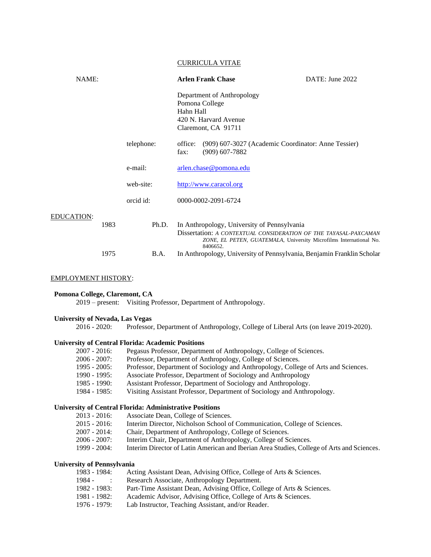#### CURRICULA VITAE

| NAME:             |      |            | <b>Arlen Frank Chase</b>                                                                                                    | DATE: June 2022                                                    |
|-------------------|------|------------|-----------------------------------------------------------------------------------------------------------------------------|--------------------------------------------------------------------|
|                   |      |            | Department of Anthropology<br>Pomona College<br>Hahn Hall<br>420 N. Harvard Avenue<br>Claremont, CA 91711                   |                                                                    |
|                   |      | telephone: | (909) 607-3027 (Academic Coordinator: Anne Tessier)<br>office:<br>$(909)$ 607-7882<br>fax:                                  |                                                                    |
|                   |      | e-mail:    | arlen.chase@pomona.edu                                                                                                      |                                                                    |
|                   |      | web-site:  | http://www.caracol.org                                                                                                      |                                                                    |
|                   |      | orcid id:  | 0000-0002-2091-6724                                                                                                         |                                                                    |
| <b>EDUCATION:</b> | 1983 | Ph.D.      | In Anthropology, University of Pennsylvania<br>Dissertation: A CONTEXTUAL CONSIDERATION OF THE TAYASAL-PAXCAMAN<br>8406652. | ZONE, EL PETEN, GUATEMALA, University Microfilms International No. |

#### 1975 B.A. In Anthropology, University of Pennsylvania, Benjamin Franklin Scholar

### EMPLOYMENT HISTORY:

# **Pomona College, Claremont, CA**

2019 – present: Visiting Professor, Department of Anthropology.

### **University of Nevada, Las Vegas**

2016 - 2020: Professor, Department of Anthropology, College of Liberal Arts (on leave 2019-2020).

#### **University of Central Florida: Academic Positions**

| $2007 - 2016$ : | Pegasus Professor, Department of Anthropology, College of Sciences.                |
|-----------------|------------------------------------------------------------------------------------|
| $2006 - 2007$ : | Professor, Department of Anthropology, College of Sciences.                        |
| $1995 - 2005$ : | Professor, Department of Sociology and Anthropology, College of Arts and Sciences. |
| $1990 - 1995$ : | Associate Professor, Department of Sociology and Anthropology                      |
| 1985 - 1990:    | Assistant Professor, Department of Sociology and Anthropology.                     |
| $1984 - 1985$ : | Visiting Assistant Professor, Department of Sociology and Anthropology.            |

# **University of Central Florida: Administrative Positions**

| $2013 - 2016$ : |  | Associate Dean, College of Sciences. |
|-----------------|--|--------------------------------------|
|-----------------|--|--------------------------------------|

- 2015 2016: Interim Director, Nicholson School of Communication, College of Sciences.
- 2007 2014: Chair, Department of Anthropology, College of Sciences.
- 2006 2007: Interim Chair, Department of Anthropology, College of Sciences.
- 1999 2004: Interim Director of Latin American and Iberian Area Studies, College of Arts and Sciences.

# **University of Pennsylvania**

| 1983 - 1984:  | Acting Assistant Dean, Advising Office, College of Arts & Sciences.    |
|---------------|------------------------------------------------------------------------|
| 1984 -        | Research Associate, Anthropology Department.                           |
| 1982 - 1983:  | Part-Time Assistant Dean, Advising Office, College of Arts & Sciences. |
| 1981 - 1982:  | Academic Advisor, Advising Office, College of Arts & Sciences.         |
| $1976 - 1979$ | Lab Instructor Teaching Assistant and/or Reader                        |

1976 - 1979: Lab Instructor, Teaching Assistant, and/or Reader.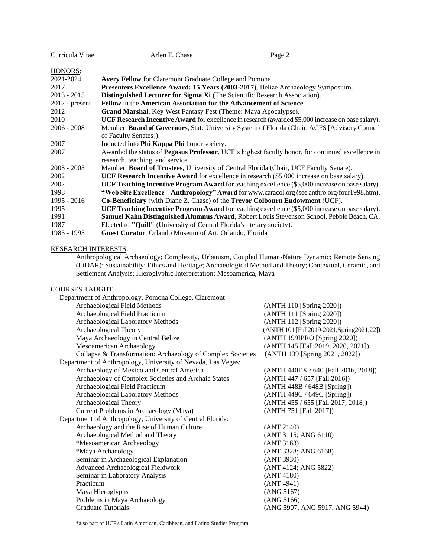| Curricula Vitae  | Arlen F. Chase<br>Page 2                                                                                  |  |
|------------------|-----------------------------------------------------------------------------------------------------------|--|
|                  |                                                                                                           |  |
| HONORS:          |                                                                                                           |  |
| 2021-2024        | <b>Avery Fellow</b> for Claremont Graduate College and Pomona.                                            |  |
| 2017             | Presenters Excellence Award: 15 Years (2003-2017), Belize Archaeology Symposium.                          |  |
| $2013 - 2015$    | Distinguished Lecturer for Sigma Xi (The Scientific Research Association).                                |  |
| $2012$ - present | Fellow in the American Association for the Advancement of Science.                                        |  |
| 2012             | Grand Marshal, Key West Fantasy Fest (Theme: Maya Apocalypse).                                            |  |
| 2010             | <b>UCF Research Incentive Award</b> for excellence in research (awarded \$5,000 increase on base salary). |  |
| $2006 - 2008$    | Member, Board of Governors, State University System of Florida (Chair, ACFS [Advisory Council]            |  |
|                  | of Faculty Senates]).                                                                                     |  |
| 2007             | Inducted into Phi Kappa Phi honor society.                                                                |  |
| 2007             | Awarded the status of <b>Pegasus Professor</b> , UCF's highest faculty honor, for continued excellence in |  |
|                  | research, teaching, and service.                                                                          |  |
| $2003 - 2005$    | Member, <b>Board of Trustees</b> , University of Central Florida (Chair, UCF Faculty Senate).             |  |
| 2002             | <b>UCF Research Incentive Award</b> for excellence in research (\$5,000 increase on base salary).         |  |
| 2002             | UCF Teaching Incentive Program Award for teaching excellence (\$5,000 increase on base salary).           |  |
| 1998             | "Web Site Excellence - Anthropology" Award for www.caracol.org (see anthro.org/four1998.htm).             |  |
| 1995 - 2016      | <b>Co-Beneficiary</b> (with Diane Z. Chase) of the <b>Trevor Colbourn Endowment</b> (UCF).                |  |
| 1995             | <b>UCF Teaching Incentive Program Award</b> for teaching excellence (\$5,000 increase on base salary).    |  |
| 1991             | Samuel Kahn Distinguished Alumnus Award, Robert Louis Stevenson School, Pebble Beach, CA.                 |  |
| 1987             | Elected to "Quill" (University of Central Florida's literary society).                                    |  |
| 1985 - 1995      | Guest Curator, Orlando Museum of Art, Orlando, Florida                                                    |  |

# RESEARCH INTERESTS:

Anthropological Archaeology; Complexity, Urbanism, Coupled Human-Nature Dynamic; Remote Sensing (LiDAR); Sustainability; Ethics and Heritage; Archaeological Method and Theory; Contextual, Ceramic, and Settlement Analysis; Hieroglyphic Interpretation; Mesoamerica, Maya

# COURSES TAUGHT

| Department of Anthropology, Pomona College, Claremont        |                                          |
|--------------------------------------------------------------|------------------------------------------|
| Archaeological Field Methods                                 | (ANTH 110 [Spring 2020])                 |
| Archaeological Field Practicum                               | (ANTH 111 [Spring 2020])                 |
| Archaeological Laboratory Methods                            | (ANTH 112 [Spring 2020])                 |
| Archaeological Theory                                        | (ANTH 101 [Fall2019-2021;Spring2021,22]) |
| Maya Archaeology in Central Belize                           | (ANTH 199IPRO [Spring 2020])             |
| Mesoamerican Archaeology                                     | (ANTH 145 [Fall 2019, 2020, 2021])       |
| Collapse & Transformation: Archaeology of Complex Societies  | (ANTH 139 [Spring 2021, 2022])           |
| Department of Anthropology, University of Nevada, Las Vegas: |                                          |
| Archaeology of Mexico and Central America                    | (ANTH 440EX / 640 [Fall 2016, 2018])     |
| Archaeology of Complex Societies and Archaic States          | (ANTH 447 / 657 [Fall 2016])             |
| Archaeological Field Practicum                               | (ANTH 448B / 648B [Spring])              |
| Archaeological Laboratory Methods                            | (ANTH 449C / 649C [Spring])              |
| Archaeological Theory                                        | (ANTH 455 / 655 [Fall 2017, 2018])       |
| Current Problems in Archaeology (Maya)                       | (ANTH 751 [Fall 2017])                   |
| Department of Anthropology, University of Central Florida:   |                                          |
| Archaeology and the Rise of Human Culture                    | (ANT 2140)                               |
| Archaeological Method and Theory                             | (ANT 3115; ANG 6110)                     |
| *Mesoamerican Archaeology                                    | (ANT 3163)                               |
| *Maya Archaeology                                            | (ANT 3328; ANG 6168)                     |
| Seminar in Archaeological Explanation                        | (ANT 3930)                               |
| Advanced Archaeological Fieldwork                            | (ANT 4124; ANG 5822)                     |
| Seminar in Laboratory Analysis                               | (ANT 4180)                               |
| Practicum                                                    | (ANT 4941)                               |
| Maya Hieroglyphs                                             | (ANG 5167)                               |
| Problems in Maya Archaeology                                 | (ANG 5166)                               |
| Graduate Tutorials                                           | (ANG 5907, ANG 5917, ANG 5944)           |

\*also part of UCF's Latin American, Caribbean, and Latino Studies Program.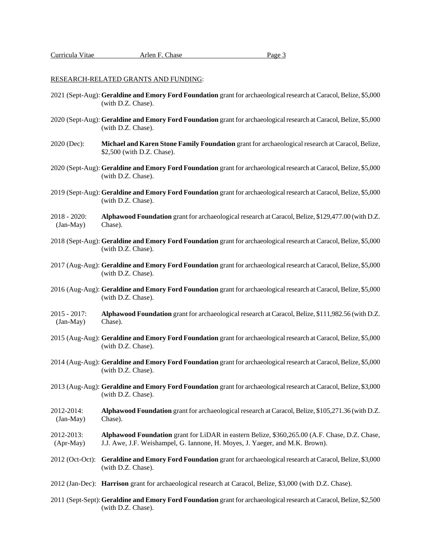#### RESEARCH-RELATED GRANTS AND FUNDING:

- 2021 (Sept-Aug): **Geraldine and Emory Ford Foundation** grant for archaeological research at Caracol, Belize, \$5,000 (with D.Z. Chase).
- 2020 (Sept-Aug): **Geraldine and Emory Ford Foundation** grant for archaeological research at Caracol, Belize, \$5,000 (with D.Z. Chase).
- 2020 (Dec): **Michael and Karen Stone Family Foundation** grant for archaeological research at Caracol, Belize, \$2,500 (with D.Z. Chase).
- 2020 (Sept-Aug): **Geraldine and Emory Ford Foundation** grant for archaeological research at Caracol, Belize, \$5,000 (with D.Z. Chase).
- 2019 (Sept-Aug): **Geraldine and Emory Ford Foundation** grant for archaeological research at Caracol, Belize, \$5,000 (with D.Z. Chase).
- 2018 2020: **Alphawood Foundation** grant for archaeological research at Caracol, Belize, \$129,477.00 (with D.Z. (Jan-May) Chase).
- 2018 (Sept-Aug): **Geraldine and Emory Ford Foundation** grant for archaeological research at Caracol, Belize, \$5,000 (with D.Z. Chase).
- 2017 (Aug-Aug): **Geraldine and Emory Ford Foundation** grant for archaeological research at Caracol, Belize, \$5,000 (with D.Z. Chase).
- 2016 (Aug-Aug): **Geraldine and Emory Ford Foundation** grant for archaeological research at Caracol, Belize, \$5,000 (with D.Z. Chase).
- 2015 2017: **Alphawood Foundation** grant for archaeological research at Caracol, Belize, \$111,982.56 (with D.Z. (Jan-May) Chase).
- 2015 (Aug-Aug): **Geraldine and Emory Ford Foundation** grant for archaeological research at Caracol, Belize, \$5,000 (with D.Z. Chase).
- 2014 (Aug-Aug): **Geraldine and Emory Ford Foundation** grant for archaeological research at Caracol, Belize, \$5,000 (with D.Z. Chase).
- 2013 (Aug-Aug): **Geraldine and Emory Ford Foundation** grant for archaeological research at Caracol, Belize, \$3,000 (with D.Z. Chase).
- 2012-2014: **Alphawood Foundation** grant for archaeological research at Caracol, Belize, \$105,271.36 (with D.Z. (Jan-May) Chase).
- 2012-2013: **Alphawood Foundation** grant for LiDAR in eastern Belize, \$360,265.00 (A.F. Chase, D.Z. Chase, (Apr-May) J.J. Awe, J.F. Weishampel, G. Iannone, H. Moyes, J. Yaeger, and M.K. Brown).
- 2012 (Oct-Oct): **Geraldine and Emory Ford Foundation** grant for archaeological research at Caracol, Belize, \$3,000 (with D.Z. Chase).
- 2012 (Jan-Dec): **Harrison** grant for archaeological research at Caracol, Belize, \$3,000 (with D.Z. Chase).
- 2011 (Sept-Sept):**Geraldine and Emory Ford Foundation** grant for archaeological research at Caracol, Belize, \$2,500 (with D.Z. Chase).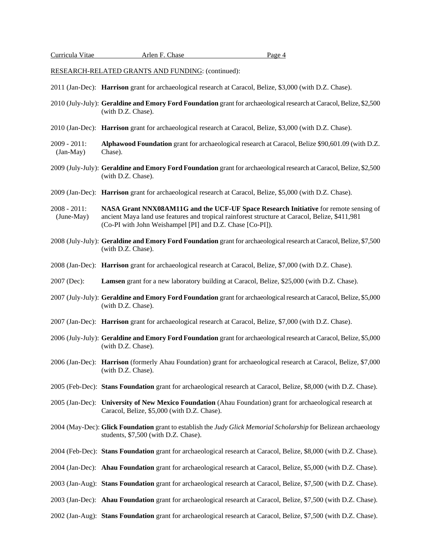RESEARCH-RELATED GRANTS AND FUNDING: (continued):

- 2011 (Jan-Dec): **Harrison** grant for archaeological research at Caracol, Belize, \$3,000 (with D.Z. Chase).
- 2010 (July-July): **Geraldine and Emory Ford Foundation** grant for archaeological research atCaracol, Belize, \$2,500 (with D.Z. Chase).
- 2010 (Jan-Dec): **Harrison** grant for archaeological research at Caracol, Belize, \$3,000 (with D.Z. Chase).
- 2009 2011: **Alphawood Foundation** grant for archaeological research at Caracol, Belize \$90,601.09 (with D.Z. (Jan-May) Chase).
- 2009 (July-July): **Geraldine and Emory Ford Foundation** grant for archaeological research at Caracol, Belize, \$2,500 (with D.Z. Chase).
- 2009 (Jan-Dec): **Harrison** grant for archaeological research at Caracol, Belize, \$5,000 (with D.Z. Chase).

2008 - 2011: **NASA Grant NNX08AM11G and the UCF-UF Space Research Initiative** for remote sensing of (June-May) ancient Maya land use features and tropical rainforest structure at Caracol, Belize, \$411,981 (Co-PI with John Weishampel [PI] and D.Z. Chase [Co-PI]).

- 2008 (July-July): **Geraldine and Emory Ford Foundation** grant for archaeological research at Caracol, Belize, \$7,500 (with D.Z. Chase).
- 2008 (Jan-Dec): **Harrison** grant for archaeological research at Caracol, Belize, \$7,000 (with D.Z. Chase).
- 2007 (Dec): **Lamsen** grant for a new laboratory building at Caracol, Belize, \$25,000 (with D.Z. Chase).
- 2007 (July-July): **Geraldine and Emory Ford Foundation** grant for archaeological research at Caracol, Belize, \$5,000 (with D.Z. Chase).
- 2007 (Jan-Dec): **Harrison** grant for archaeological research at Caracol, Belize, \$7,000 (with D.Z. Chase).
- 2006 (July-July): **Geraldine and Emory Ford Foundation** grant for archaeological research at Caracol, Belize, \$5,000 (with D.Z. Chase).
- 2006 (Jan-Dec): **Harrison** (formerly Ahau Foundation) grant for archaeological research at Caracol, Belize, \$7,000 (with D.Z. Chase).
- 2005 (Feb-Dec): **Stans Foundation** grant for archaeological research at Caracol, Belize, \$8,000 (with D.Z. Chase).
- 2005 (Jan-Dec): **University of New Mexico Foundation** (Ahau Foundation) grant for archaeological research at Caracol, Belize, \$5,000 (with D.Z. Chase).
- 2004 (May-Dec): **Glick Foundation** grant to establish the *Judy Glick Memorial Scholarship* for Belizean archaeology students, \$7,500 (with D.Z. Chase).
- 2004 (Feb-Dec): **Stans Foundation** grant for archaeological research at Caracol, Belize, \$8,000 (with D.Z. Chase).
- 2004 (Jan-Dec): **Ahau Foundation** grant for archaeological research at Caracol, Belize, \$5,000 (with D.Z. Chase).
- 2003 (Jan-Aug): **Stans Foundation** grant for archaeological research at Caracol, Belize, \$7,500 (with D.Z. Chase).
- 2003 (Jan-Dec): **Ahau Foundation** grant for archaeological research at Caracol, Belize, \$7,500 (with D.Z. Chase).
- 2002 (Jan-Aug): **Stans Foundation** grant for archaeological research at Caracol, Belize, \$7,500 (with D.Z. Chase).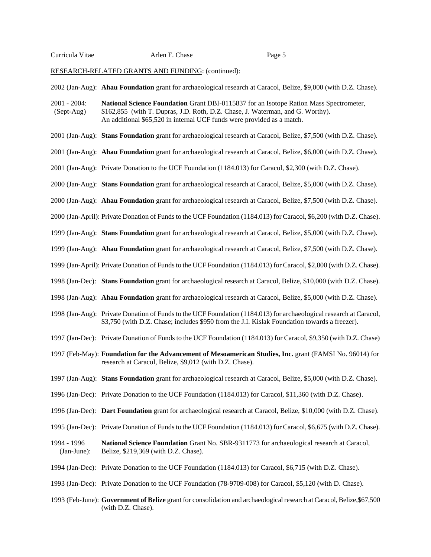RESEARCH-RELATED GRANTS AND FUNDING: (continued):

2002 (Jan-Aug): **Ahau Foundation** grant for archaeological research at Caracol, Belize, \$9,000 (with D.Z. Chase).

2001 - 2004: **National Science Foundation** Grant DBI-0115837 for an Isotope Ration Mass Spectrometer, (Sept-Aug) \$162,855 (with T. Dupras, J.D. Roth, D.Z. Chase, J. Waterman, and G. Worthy). An additional \$65,520 in internal UCF funds were provided as a match.

- 2001 (Jan-Aug): **Stans Foundation** grant for archaeological research at Caracol, Belize, \$7,500 (with D.Z. Chase).
- 2001 (Jan-Aug): **Ahau Foundation** grant for archaeological research at Caracol, Belize, \$6,000 (with D.Z. Chase).
- 2001 (Jan-Aug): Private Donation to the UCF Foundation (1184.013) for Caracol, \$2,300 (with D.Z. Chase).
- 2000 (Jan-Aug): **Stans Foundation** grant for archaeological research at Caracol, Belize, \$5,000 (with D.Z. Chase).
- 2000 (Jan-Aug): **Ahau Foundation** grant for archaeological research at Caracol, Belize, \$7,500 (with D.Z. Chase).
- 2000 (Jan-April): Private Donation of Funds to the UCF Foundation (1184.013) for Caracol, \$6,200 (with D.Z. Chase).
- 1999 (Jan-Aug): **Stans Foundation** grant for archaeological research at Caracol, Belize, \$5,000 (with D.Z. Chase).
- 1999 (Jan-Aug): **Ahau Foundation** grant for archaeological research at Caracol, Belize, \$7,500 (with D.Z. Chase).
- 1999 (Jan-April): Private Donation of Funds to the UCF Foundation (1184.013) for Caracol, \$2,800 (with D.Z. Chase).
- 1998 (Jan-Dec): **Stans Foundation** grant for archaeological research at Caracol, Belize, \$10,000 (with D.Z. Chase).
- 1998 (Jan-Aug): **Ahau Foundation** grant for archaeological research at Caracol, Belize, \$5,000 (with D.Z. Chase).
- 1998 (Jan-Aug): Private Donation of Funds to the UCF Foundation (1184.013) for archaeological research at Caracol, \$3,750 (with D.Z. Chase; includes \$950 from the J.I. Kislak Foundation towards a freezer).
- 1997 (Jan-Dec): Private Donation of Funds to the UCF Foundation (1184.013) for Caracol, \$9,350 (with D.Z. Chase)
- 1997 (Feb-May): **Foundation for the Advancement of Mesoamerican Studies, Inc.** grant (FAMSI No. 96014) for research at Caracol, Belize, \$9,012 (with D.Z. Chase).
- 1997 (Jan-Aug): **Stans Foundation** grant for archaeological research at Caracol, Belize, \$5,000 (with D.Z. Chase).
- 1996 (Jan-Dec): Private Donation to the UCF Foundation (1184.013) for Caracol, \$11,360 (with D.Z. Chase).
- 1996 (Jan-Dec): **Dart Foundation** grant for archaeological research at Caracol, Belize, \$10,000 (with D.Z. Chase).
- 1995 (Jan-Dec): Private Donation of Funds to the UCF Foundation (1184.013) for Caracol, \$6,675 (with D.Z. Chase).
- 1994 1996 **National Science Foundation** Grant No. SBR-9311773 for archaeological research at Caracol, (Jan-June): Belize, \$219,369 (with D.Z. Chase).
- 1994 (Jan-Dec): Private Donation to the UCF Foundation (1184.013) for Caracol, \$6,715 (with D.Z. Chase).
- 1993 (Jan-Dec): Private Donation to the UCF Foundation (78-9709-008) for Caracol, \$5,120 (with D. Chase).
- 1993 (Feb-June): **Government of Belize** grant for consolidation and archaeological research at Caracol,Belize,\$67,500 (with D.Z. Chase).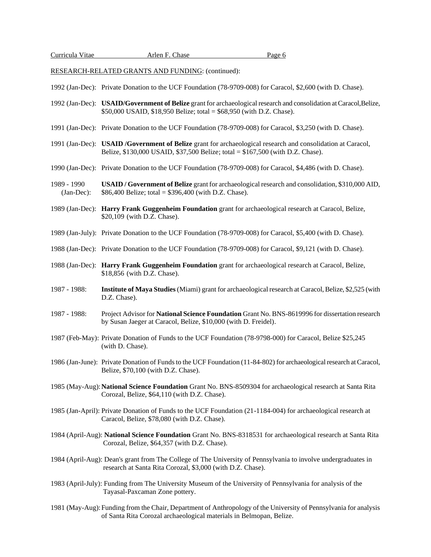RESEARCH-RELATED GRANTS AND FUNDING: (continued):

1992 (Jan-Dec): Private Donation to the UCF Foundation (78-9709-008) for Caracol, \$2,600 (with D. Chase).

- 1992 (Jan-Dec): **USAID/Government of Belize** grant for archaeological research and consolidation at Caracol,Belize, \$50,000 USAID, \$18,950 Belize; total = \$68,950 (with D.Z. Chase).
- 1991 (Jan-Dec): Private Donation to the UCF Foundation (78-9709-008) for Caracol, \$3,250 (with D. Chase).
- 1991 (Jan-Dec): **USAID /Government of Belize** grant for archaeological research and consolidation at Caracol, Belize, \$130,000 USAID, \$37,500 Belize; total = \$167,500 (with D.Z. Chase).
- 1990 (Jan-Dec): Private Donation to the UCF Foundation (78-9709-008) for Caracol, \$4,486 (with D. Chase).
- 1989 1990 **USAID / Government of Belize** grant for archaeological research and consolidation, \$310,000 AID, (Jan-Dec): \$86,400 Belize; total = \$396,400 (with D.Z. Chase).
- 1989 (Jan-Dec): **Harry Frank Guggenheim Foundation** grant for archaeological research at Caracol, Belize, \$20,109 (with D.Z. Chase).
- 1989 (Jan-July): Private Donation to the UCF Foundation (78-9709-008) for Caracol, \$5,400 (with D. Chase).
- 1988 (Jan-Dec): Private Donation to the UCF Foundation (78-9709-008) for Caracol, \$9,121 (with D. Chase).
- 1988 (Jan-Dec): **Harry Frank Guggenheim Foundation** grant for archaeological research at Caracol, Belize, \$18,856 (with D.Z. Chase).
- 1987 1988: **Institute of Maya Studies** (Miami) grant for archaeological research at Caracol, Belize, \$2,525 (with D.Z. Chase).
- 1987 1988: Project Advisor for **National Science Foundation** Grant No. BNS-8619996 for dissertation research by Susan Jaeger at Caracol, Belize, \$10,000 (with D. Freidel).
- 1987 (Feb-May): Private Donation of Funds to the UCF Foundation (78-9798-000) for Caracol, Belize \$25,245 (with D. Chase).
- 1986 (Jan-June): Private Donation of Funds to the UCF Foundation (11-84-802) for archaeological research at Caracol, Belize, \$70,100 (with D.Z. Chase).
- 1985 (May-Aug):**National Science Foundation** Grant No. BNS-8509304 for archaeological research at Santa Rita Corozal, Belize, \$64,110 (with D.Z. Chase).
- 1985 (Jan-April): Private Donation of Funds to the UCF Foundation (21-1184-004) for archaeological research at Caracol, Belize, \$78,080 (with D.Z. Chase).
- 1984 (April-Aug): **National Science Foundation** Grant No. BNS-8318531 for archaeological research at Santa Rita Corozal, Belize, \$64,357 (with D.Z. Chase).
- 1984 (April-Aug): Dean's grant from The College of The University of Pennsylvania to involve undergraduates in research at Santa Rita Corozal, \$3,000 (with D.Z. Chase).
- 1983 (April-July): Funding from The University Museum of the University of Pennsylvania for analysis of the Tayasal-Paxcaman Zone pottery.
- 1981 (May-Aug):Funding from the Chair, Department of Anthropology of the University of Pennsylvania for analysis of Santa Rita Corozal archaeological materials in Belmopan, Belize.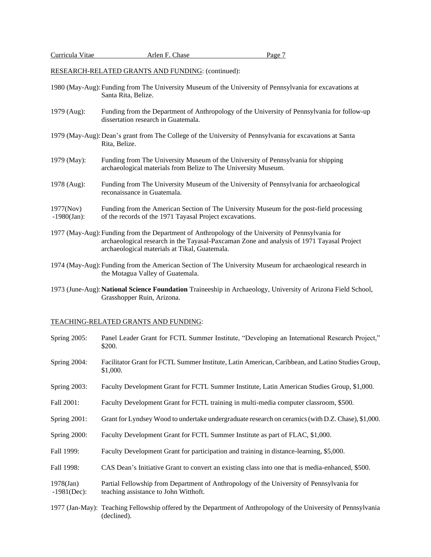RESEARCH-RELATED GRANTS AND FUNDING: (continued):

- 1980 (May-Aug):Funding from The University Museum of the University of Pennsylvania for excavations at Santa Rita, Belize.
- 1979 (Aug): Funding from the Department of Anthropology of the University of Pennsylvania for follow-up dissertation research in Guatemala.
- 1979 (May-Aug):Dean's grant from The College of the University of Pennsylvania for excavations at Santa Rita, Belize.
- 1979 (May): Funding from The University Museum of the University of Pennsylvania for shipping archaeological materials from Belize to The University Museum.
- 1978 (Aug): Funding from The University Museum of the University of Pennsylvania for archaeological reconaissance in Guatemala.
- 1977(Nov) Funding from the American Section of The University Museum for the post-field processing -1980(Jan): of the records of the 1971 Tayasal Project excavations.
- 1977 (May-Aug):Funding from the Department of Anthropology of the University of Pennsylvania for archaeological research in the Tayasal-Paxcaman Zone and analysis of 1971 Tayasal Project archaeological materials at Tikal, Guatemala.
- 1974 (May-Aug):Funding from the American Section of The University Museum for archaeological research in the Motagua Valley of Guatemala.
- 1973 (June-Aug):**National Science Foundation** Traineeship in Archaeology, University of Arizona Field School, Grasshopper Ruin, Arizona.

# TEACHING-RELATED GRANTS AND FUNDING:

| <b>Spring 2005:</b>            | Panel Leader Grant for FCTL Summer Institute, "Developing an International Research Project,"<br>\$200.                           |
|--------------------------------|-----------------------------------------------------------------------------------------------------------------------------------|
| <b>Spring 2004:</b>            | Facilitator Grant for FCTL Summer Institute, Latin American, Caribbean, and Latino Studies Group,<br>\$1,000.                     |
| <b>Spring 2003:</b>            | Faculty Development Grant for FCTL Summer Institute, Latin American Studies Group, \$1,000.                                       |
| Fall 2001:                     | Faculty Development Grant for FCTL training in multi-media computer classroom, \$500.                                             |
| Spring 2001:                   | Grant for Lyndsey Wood to undertake undergraduate research on ceramics (with D.Z. Chase), \$1,000.                                |
| Spring 2000:                   | Faculty Development Grant for FCTL Summer Institute as part of FLAC, \$1,000.                                                     |
| Fall 1999:                     | Faculty Development Grant for participation and training in distance-learning, \$5,000.                                           |
| Fall 1998:                     | CAS Dean's Initiative Grant to convert an existing class into one that is media-enhanced, \$500.                                  |
| $1978$ (Jan)<br>$-1981$ (Dec): | Partial Fellowship from Department of Anthropology of the University of Pennsylvania for<br>teaching assistance to John Witthoft. |
|                                | 1977 (Jan-May): Teaching Fellowship offered by the Department of Anthropology of the University of Pennsylvania<br>(declined).    |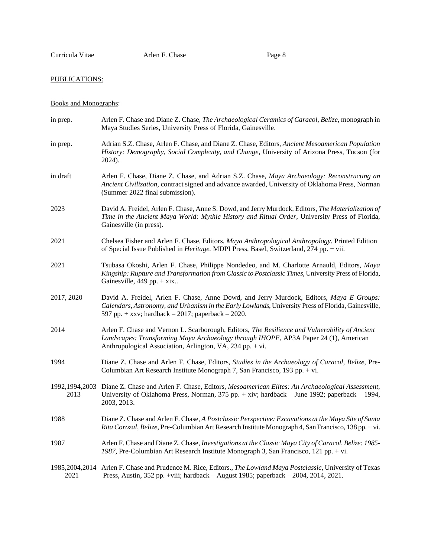# PUBLICATIONS:

# Books and Monographs:

| in prep.               | Arlen F. Chase and Diane Z. Chase, The Archaeological Ceramics of Caracol, Belize, monograph in<br>Maya Studies Series, University Press of Florida, Gainesville.                                                                                       |
|------------------------|---------------------------------------------------------------------------------------------------------------------------------------------------------------------------------------------------------------------------------------------------------|
| in prep.               | Adrian S.Z. Chase, Arlen F. Chase, and Diane Z. Chase, Editors, Ancient Mesoamerican Population<br>History: Demography, Social Complexity, and Change, University of Arizona Press, Tucson (for<br>2024).                                               |
| in draft               | Arlen F. Chase, Diane Z. Chase, and Adrian S.Z. Chase, Maya Archaeology: Reconstructing an<br>Ancient Civilization, contract signed and advance awarded, University of Oklahoma Press, Norman<br>(Summer 2022 final submission).                        |
| 2023                   | David A. Freidel, Arlen F. Chase, Anne S. Dowd, and Jerry Murdock, Editors, The Materialization of<br>Time in the Ancient Maya World: Mythic History and Ritual Order, University Press of Florida,<br>Gainesville (in press).                          |
| 2021                   | Chelsea Fisher and Arlen F. Chase, Editors, Maya Anthropological Anthropology. Printed Edition<br>of Special Issue Published in <i>Heritage</i> . MDPI Press, Basel, Switzerland, 274 pp. + vii.                                                        |
| 2021                   | Tsubasa Okoshi, Arlen F. Chase, Philippe Nondedeo, and M. Charlotte Arnauld, Editors, Maya<br>Kingship: Rupture and Transformation from Classic to Postclassic Times, University Press of Florida,<br>Gainesville, $449$ pp. + xix                      |
| 2017, 2020             | David A. Freidel, Arlen F. Chase, Anne Dowd, and Jerry Murdock, Editors, Maya E Groups:<br>Calendars, Astronomy, and Urbanism in the Early Lowlands, University Press of Florida, Gainesville,<br>597 pp. + xxv; hardback $-2017$ ; paperback $-2020$ . |
| 2014                   | Arlen F. Chase and Vernon L. Scarborough, Editors, The Resilience and Vulnerability of Ancient<br>Landscapes: Transforming Maya Archaeology through IHOPE, AP3A Paper 24 (1), American<br>Anthropological Association, Arlington, VA, 234 pp. + vi.     |
| 1994                   | Diane Z. Chase and Arlen F. Chase, Editors, Studies in the Archaeology of Caracol, Belize, Pre-<br>Columbian Art Research Institute Monograph 7, San Francisco, 193 pp. + vi.                                                                           |
| 1992,1994,2003<br>2013 | Diane Z. Chase and Arlen F. Chase, Editors, Mesoamerican Elites: An Archaeological Assessment,<br>University of Oklahoma Press, Norman, 375 pp. + xiv; hardback - June 1992; paperback - 1994,<br>2003, 2013.                                           |
| 1988                   | Diane Z. Chase and Arlen F. Chase, A Postclassic Perspective: Excavations at the Maya Site of Santa<br>Rita Corozal, Belize, Pre-Columbian Art Research Institute Monograph 4, San Francisco, 138 pp. + vi.                                             |
| 1987                   | Arlen F. Chase and Diane Z. Chase, Investigations at the Classic Maya City of Caracol, Belize: 1985-<br>1987, Pre-Columbian Art Research Institute Monograph 3, San Francisco, 121 pp. + vi.                                                            |
| 1985,2004,2014<br>2021 | Arlen F. Chase and Prudence M. Rice, Editors., The Lowland Maya Postclassic, University of Texas<br>Press, Austin, 352 pp. +viii; hardback - August 1985; paperback - 2004, 2014, 2021.                                                                 |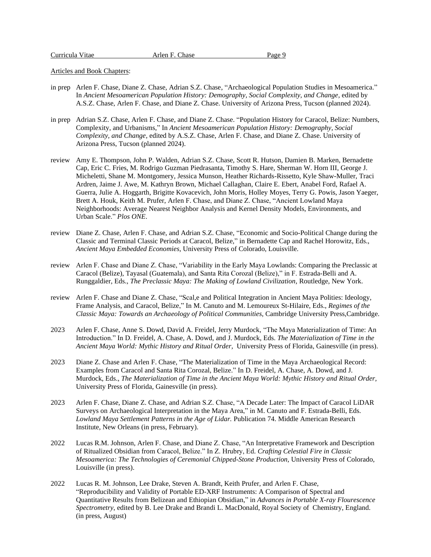Articles and Book Chapters:

- in prep Arlen F. Chase, Diane Z. Chase, Adrian S.Z. Chase, "Archaeological Population Studies in Mesoamerica." In *Ancient Mesoamerican Population History: Demography, Social Complexity, and Change,* edited by A.S.Z. Chase, Arlen F. Chase, and Diane Z. Chase. University of Arizona Press, Tucson (planned 2024).
- in prep Adrian S.Z. Chase, Arlen F. Chase, and Diane Z. Chase. "Population History for Caracol, Belize: Numbers, Complexity, and Urbanisms," In *Ancient Mesoamerican Population History: Demography, Social Complexity, and Change,* edited by A.S.Z. Chase, Arlen F. Chase, and Diane Z. Chase. University of Arizona Press, Tucson (planned 2024).
- review Amy E. Thompson, John P. Walden, Adrian S.Z. Chase, Scott R. Hutson, Damien B. Marken, Bernadette Cap, Eric C. Fries, M. Rodrigo Guzman Piedrasanta, Timothy S. Hare, Sherman W. Horn III, George J. Micheletti, Shane M. Montgomery, Jessica Munson, Heather Richards-Rissetto, Kyle Shaw-Muller, Traci Ardren, Jaime J. Awe, M. Kathryn Brown, Michael Callaghan, Claire E. Ebert, Anabel Ford, Rafael A. Guerra, Julie A. Hoggarth, Brigitte Kovacevich, John Moris, Holley Moyes, Terry G. Powis, Jason Yaeger, Brett A. Houk, Keith M. Prufer, Arlen F. Chase, and Diane Z. Chase, "Ancient Lowland Maya Neighborhoods: Average Nearest Neighbor Analysis and Kernel Density Models, Environments, and Urban Scale." *Plos ONE*.
- review Diane Z. Chase, Arlen F. Chase, and Adrian S.Z. Chase, "Economic and Socio-Political Change during the Classic and Terminal Classic Periods at Caracol, Belize," in Bernadette Cap and Rachel Horowitz, Eds., *Ancient Maya Embedded Economies,* University Press of Colorado, Louisville.
- review Arlen F. Chase and Diane Z. Chase, "Variability in the Early Maya Lowlands: Comparing the Preclassic at Caracol (Belize), Tayasal (Guatemala), and Santa Rita Corozal (Belize)," in F. Estrada-Belli and A. Runggaldier, Eds., *The Preclassic Maya: The Making of Lowland Civilization,* Routledge, New York.
- review Arlen F. Chase and Diane Z. Chase, "Scal,e and Political Integration in Ancient Maya Polities: Ideology, Frame Analysis, and Caracol, Belize," In M. Canuto and M. Lemoureux St-Hilaire, Eds., *Regimes of the Classic Maya: Towards an Archaeology of Political Communities*, Cambridge University Press,Cambridge.
- 2023 Arlen F. Chase, Anne S. Dowd, David A. Freidel, Jerry Murdock, "The Maya Materialization of Time: An Introduction." In D. Freidel, A. Chase, A. Dowd, and J. Murdock, Eds. *The Materialization of Time in the Ancient Maya World: Mythic History and Ritual Order,* University Press of Florida, Gainesville (in press).
- 2023 Diane Z. Chase and Arlen F. Chase, "The Materialization of Time in the Maya Archaeological Record: Examples from Caracol and Santa Rita Corozal, Belize." In D. Freidel, A. Chase, A. Dowd, and J. Murdock, Eds., *The Materialization of Time in the Ancient Maya World: Mythic History and Ritual Order,* University Press of Florida, Gainesville (in press).
- 2023 Arlen F. Chase, Diane Z. Chase, and Adrian S.Z. Chase, "A Decade Later: The Impact of Caracol LiDAR Surveys on Archaeological Interpretation in the Maya Area," in M. Canuto and F. Estrada-Belli, Eds. *Lowland Maya Settlement Patterns in the Age of Lidar.* Publication 74. Middle American Research Institute, New Orleans (in press, February).
- 2022 Lucas R.M. Johnson, Arlen F. Chase, and Diane Z. Chase, "An Interpretative Framework and Description of Ritualized Obsidian from Caracol, Belize." In Z. Hrubry, Ed. *Crafting Celestial Fire in Classic Mesoamerica: The Technologies of Ceremonial Chipped-Stone Production,* University Press of Colorado, Louisville (in press).
- 2022 Lucas R. M. Johnson, Lee Drake, Steven A. Brandt, Keith Prufer, and Arlen F. Chase, "Reproducibility and Validity of Portable ED-XRF Instruments: A Comparison of Spectral and Quantitative Results from Belizean and Ethiopian Obsidian," in *Advances in Portable X-ray Flourescence Spectrometry*, edited by B. Lee Drake and Brandi L. MacDonald, Royal Society of Chemistry, England. (in press, August)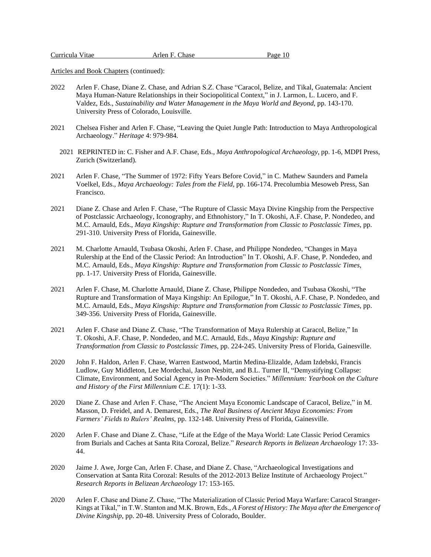- 2022 Arlen F. Chase, Diane Z. Chase, and Adrian S.Z. Chase "Caracol, Belize, and Tikal, Guatemala: Ancient Maya Human-Nature Relationships in their Sociopolitical Context," in J. Larmon, L. Lucero, and F. Valdez, Eds., *Sustainability and Water Management in the Maya World and Beyond*, pp. 143-170. University Press of Colorado, Louisville.
- 2021 Chelsea Fisher and Arlen F. Chase, "Leaving the Quiet Jungle Path: Introduction to Maya Anthropological Archaeology." *Heritage* 4: 979-984*.*
	- 2021 REPRINTED in: C. Fisher and A.F. Chase, Eds., *Maya Anthropological Archaeology*, pp. 1-6, MDPI Press, Zurich (Switzerland).
- 2021 Arlen F. Chase, "The Summer of 1972: Fifty Years Before Covid," in C. Mathew Saunders and Pamela Voelkel, Eds., *Maya Archaeology: Tales from the Field,* pp. 166-174. Precolumbia Mesoweb Press, San Francisco.
- 2021 Diane Z. Chase and Arlen F. Chase, "The Rupture of Classic Maya Divine Kingship from the Perspective of Postclassic Archaeology, Iconography, and Ethnohistory," In T. Okoshi, A.F. Chase, P. Nondedeo, and M.C. Arnauld, Eds., *Maya Kingship: Rupture and Transformation from Classic to Postclassic Times*, pp. 291-310. University Press of Florida, Gainesville.
- 2021 M. Charlotte Arnauld, Tsubasa Okoshi, Arlen F. Chase, and Philippe Nondedeo, "Changes in Maya Rulership at the End of the Classic Period: An Introduction" In T. Okoshi, A.F. Chase, P. Nondedeo, and M.C. Arnauld, Eds., *Maya Kingship: Rupture and Transformation from Classic to Postclassic Times*, pp. 1-17. University Press of Florida, Gainesville.
- 2021 Arlen F. Chase, M. Charlotte Arnauld, Diane Z. Chase, Philippe Nondedeo, and Tsubasa Okoshi, "The Rupture and Transformation of Maya Kingship: An Epilogue," In T. Okoshi, A.F. Chase, P. Nondedeo, and M.C. Arnauld, Eds., *Maya Kingship: Rupture and Transformation from Classic to Postclassic Times*, pp. 349-356. University Press of Florida, Gainesville.
- 2021 Arlen F. Chase and Diane Z. Chase, "The Transformation of Maya Rulership at Caracol, Belize," In T. Okoshi, A.F. Chase, P. Nondedeo, and M.C. Arnauld, Eds., *Maya Kingship: Rupture and Transformation from Classic to Postclassic Times*, pp. 224-245. University Press of Florida, Gainesville.
- 2020 John F. Haldon, Arlen F. Chase, Warren Eastwood, Martin Medina-Elizalde, Adam Izdebski, Francis Ludlow, Guy Middleton, Lee Mordechai, Jason Nesbitt, and B.L. Turner II, "Demystifying Collapse: Climate, Environment, and Social Agency in Pre-Modern Societies." *Millennium: Yearbook on the Culture and History of the First Millennium C.E.* 17(1): 1-33.
- 2020 Diane Z. Chase and Arlen F. Chase, "The Ancient Maya Economic Landscape of Caracol, Belize," in M. Masson, D. Freidel, and A. Demarest, Eds., *The Real Business of Ancient Maya Economies: From Farmers' Fields to Rulers' Realms*, pp. 132-148. University Press of Florida, Gainesville.
- 2020 Arlen F. Chase and Diane Z. Chase, "Life at the Edge of the Maya World: Late Classic Period Ceramics from Burials and Caches at Santa Rita Corozal, Belize." *Research Reports in Belizean Archaeology* 17: 33- 44.
- 2020 Jaime J. Awe, Jorge Can, Arlen F. Chase, and Diane Z. Chase, "Archaeological Investigations and Conservation at Santa Rita Corozal: Results of the 2012-2013 Belize Institute of Archaeology Project." *Research Reports in Belizean Archaeology* 17: 153-165.
- 2020 Arlen F. Chase and Diane Z. Chase, "The Materialization of Classic Period Maya Warfare: Caracol Stranger-Kings at Tikal," in T.W. Stanton and M.K. Brown, Eds., *A Forest of History: The Maya after the Emergence of Divine Kingship*, pp. 20-48. University Press of Colorado, Boulder.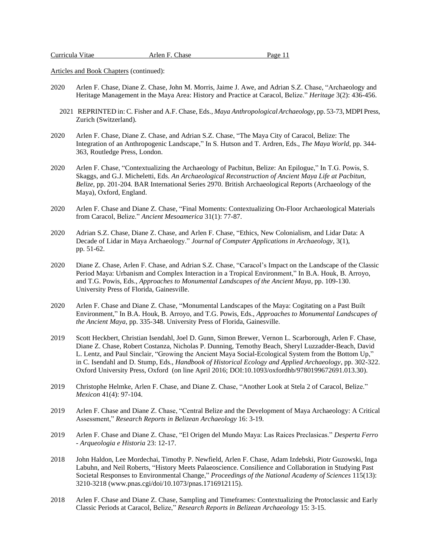- 2020 Arlen F. Chase, Diane Z. Chase, John M. Morris, Jaime J. Awe, and Adrian S.Z. Chase, "Archaeology and Heritage Management in the Maya Area: History and Practice at Caracol, Belize." *Heritage* 3(2): 436-456.
	- 2021 REPRINTED in: C. Fisher and A.F. Chase, Eds., *Maya Anthropological Archaeology*, pp. 53-73, MDPI Press, Zurich (Switzerland).
- 2020 Arlen F. Chase, Diane Z. Chase, and Adrian S.Z. Chase, "The Maya City of Caracol, Belize: The Integration of an Anthropogenic Landscape," In S. Hutson and T. Ardren, Eds., *The Maya World,* pp. 344- 363, Routledge Press, London.
- 2020 Arlen F. Chase, "Contextualizing the Archaeology of Pacbitun, Belize: An Epilogue," In T.G. Powis, S. Skaggs, and G.J. Micheletti, Eds. *An Archaeological Reconstruction of Ancient Maya Life at Pacbitun, Belize*, pp. 201-204*.* BAR International Series 2970. British Archaeological Reports (Archaeology of the Maya), Oxford, England.
- 2020 Arlen F. Chase and Diane Z. Chase, "Final Moments: Contextualizing On-Floor Archaeological Materials from Caracol, Belize." *Ancient Mesoamerica* 31(1): 77-87.
- 2020 Adrian S.Z. Chase, Diane Z. Chase, and Arlen F. Chase, "Ethics, New Colonialism, and Lidar Data: A Decade of Lidar in Maya Archaeology." *Journal of Computer Applications in Archaeology,* 3(1), pp. 51-62.
- 2020 Diane Z. Chase, Arlen F. Chase, and Adrian S.Z. Chase, "Caracol's Impact on the Landscape of the Classic Period Maya: Urbanism and Complex Interaction in a Tropical Environment," In B.A. Houk, B. Arroyo, and T.G. Powis, Eds., *Approaches to Monumental Landscapes of the Ancient Maya,* pp. 109-130. University Press of Florida, Gainesville.
- 2020 Arlen F. Chase and Diane Z. Chase, "Monumental Landscapes of the Maya: Cogitating on a Past Built Environment," In B.A. Houk, B. Arroyo, and T.G. Powis, Eds., *Approaches to Monumental Landscapes of the Ancient Maya,* pp. 335-348. University Press of Florida, Gainesville.
- 2019 Scott Heckbert, Christian Isendahl, Joel D. Gunn, Simon Brewer, Vernon L. Scarborough, Arlen F. Chase, Diane Z. Chase, Robert Costanza, Nicholas P. Dunning, Temothy Beach, Sheryl Luzzadder-Beach, David L. Lentz, and Paul Sinclair, "Growing the Ancient Maya Social-Ecological System from the Bottom Up," in C. Isendahl and D. Stump, Eds., *Handbook of Historical Ecology and Applied Archaeology*, pp. 302-322. Oxford University Press, Oxford (on line April 2016; DOI:10.1093/oxfordhb/9780199672691.013.30).
- 2019 Christophe Helmke, Arlen F. Chase, and Diane Z. Chase, "Another Look at Stela 2 of Caracol, Belize." *Mexicon* 41(4): 97-104.
- 2019 Arlen F. Chase and Diane Z. Chase, "Central Belize and the Development of Maya Archaeology: A Critical Assessment," *Research Reports in Belizean Archaeology* 16: 3-19.
- 2019 Arlen F. Chase and Diane Z. Chase, "El Origen del Mundo Maya: Las Raices Preclasicas." *Desperta Ferro - Arqueologia e Historia* 23: 12-17.
- 2018 John Haldon, Lee Mordechai, Timothy P. Newfield, Arlen F. Chase, Adam Izdebski, Piotr Guzowski, Inga Labuhn, and Neil Roberts, "History Meets Palaeoscience. Consilience and Collaboration in Studying Past Societal Responses to Environmental Change," *Proceedings of the National Academy of Sciences* 115(13): 3210-3218 (www.pnas.cgi/doi/10.1073/pnas.1716912115).
- 2018 Arlen F. Chase and Diane Z. Chase, Sampling and Timeframes: Contextualizing the Protoclassic and Early Classic Periods at Caracol, Belize," *Research Reports in Belizean Archaeology* 15: 3-15.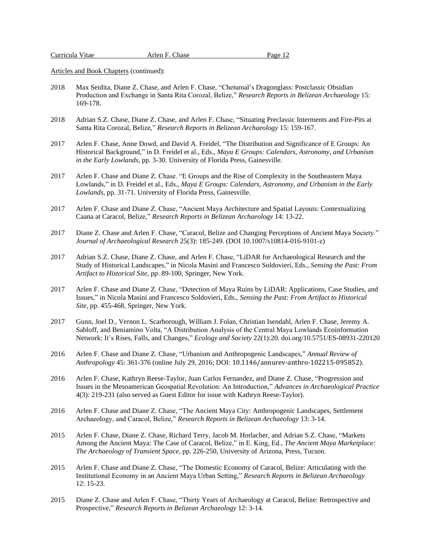- 2018 Max Seidita, Diane Z. Chase, and Arlen F. Chase, "Chetumal's Dragonglass: Postclassic Obsidian Production and Exchange in Santa Rita Corozal, Belize," *Research Reports in Belizean Archaeology* 15: 169-178.
- 2018 Adrian S.Z. Chase, Diane Z. Chase, and Arlen F. Chase, "Situating Preclassic Interments and Fire-Pits at Santa Rita Corozal, Belize," *Research Reports in Belizean Archaeology* 15: 159-167.
- 2017 Arlen F. Chase, Anne Dowd, and David A. Freidel, "The Distribution and Significance of E Groups: An Historical Background," in D. Freidel et al., Eds., *Maya E Groups: Calendars, Astronomy, and Urbanism in the Early Lowlands*, pp. 3-30. University of Florida Press, Gainesville.
- 2017 Arlen F. Chase and Diane Z. Chase. "E Groups and the Rise of Complexity in the Southeastern Maya Lowlands," in D. Freidel et al., Eds., *Maya E Groups: Calendars, Astronomy, and Urbanism in the Early Lowlands*, pp. 31-71. University of Florida Press, Gainesville.
- 2017 Arlen F. Chase and Diane Z. Chase, "Ancient Maya Architecture and Spatial Layouts: Contextualizing Caana at Caracol, Belize," *Research Reports in Belizean Archaeology* 14: 13-22.
- 2017 Diane Z. Chase and Arlen F. Chase, "Caracol, Belize and Changing Perceptions of Ancient Maya Society." *Journal of Archaeological Research* 25(3): 185-249. (DOI 10.1007/s10814-016-9101-z)
- 2017 Adrian S.Z. Chase, Diane Z. Chase, and Arlen F. Chase, "LiDAR for Archaeological Research and the Study of Historical Landscapes," in Nicola Masini and Francesco Soldovieri, Eds., *Sensing the Past: From Artifact to Historical Site,* pp. 89-100, Springer, New York.
- 2017 Arlen F. Chase and Diane Z. Chase, "Detection of Maya Ruins by LiDAR: Applications, Case Studies, and Issues," in Nicola Masini and Francesco Soldovieri, Eds., *Sensing the Past: From Artifact to Historical Site*, pp. 455-468, Springer, New York.
- 2017 Gunn, Joel D., Vernon L. Scarborough, William J. Folan, Christian Isendahl, Arlen F. Chase, Jeremy A. Sabloff, and Beniamino Volta, "A Distribution Analysis of the Central Maya Lowlands Ecoinformation Network: It's Rises, Falls, and Changes," *Ecology and Society* 22(1):20. doi.org/10.5751/ES-08931-220120
- 2016 Arlen F. Chase and Diane Z. Chase, "Urbanism and Anthropogenic Landscapes," *Annual Review of Anthropology* 45: 361-376 (online July 29, 2016; DOI: 10.1146/annurev-anthro-102215-095852).
- 2016 Arlen F. Chase, Kathryn Reese-Taylor, Juan Carlos Fernandez, and Diane Z. Chase, "Progression and Issues in the Mesoamerican Geospatial Revolution: An Introduction," *Advances in Archaeological Practice* 4(3): 219-231 (also served as Guest Editor for issue with Kathryn Reese-Taylor).
- 2016 Arlen F. Chase and Diane Z. Chase, "The Ancient Maya City: Anthropogenic Landscapes, Settlement Archaeology, and Caracol, Belize," *Research Reports in Belizean Archaeology* 13: 3-14.
- 2015 Arlen F. Chase, Diane Z. Chase, Richard Terry, Jacob M. Horlacher, and Adrian S.Z. Chase, "Markets Among the Ancient Maya: The Case of Caracol, Belize," in E. King, Ed., *The Ancient Maya Marketplace: The Archaeology of Transient Space*, pp. 226-250, University of Arizona, Press, Tucson.
- 2015 Arlen F. Chase and Diane Z. Chase, "The Domestic Economy of Caracol, Belize: Articulating with the Institutional Economy in an Ancient Maya Urban Setting," *Research Reports in Belizean Archaeology*  12: 15-23.
- 2015 Diane Z. Chase and Arlen F. Chase, "Thirty Years of Archaeology at Caracol, Belize: Retrospective and Prospective," *Research Reports in Belizean Archaeology* 12: 3-14.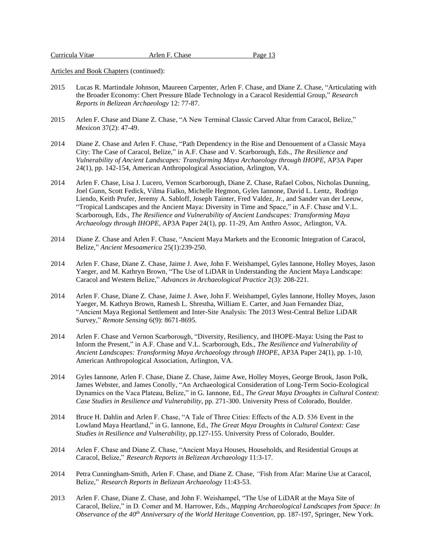| Curricula Vitae | Arlen F. Chase | Page 13 |
|-----------------|----------------|---------|
|                 |                |         |

- 2015 Lucas R. Martindale Johnson, Maureen Carpenter, Arlen F. Chase, and Diane Z. Chase, "Articulating with the Broader Economy: Chert Pressure Blade Technology in a Caracol Residential Group," *Research Reports in Belizean Archaeology* 12: 77-87.
- 2015 Arlen F. Chase and Diane Z. Chase, "A New Terminal Classic Carved Altar from Caracol, Belize," *Mexicon* 37(2): 47-49.
- 2014 Diane Z. Chase and Arlen F. Chase, "Path Dependency in the Rise and Denouement of a Classic Maya City: The Case of Caracol, Belize," in A.F. Chase and V. Scarborough, Eds., *The Resilience and Vulnerability of Ancient Landscapes: Transforming Maya Archaeology through IHOPE*, AP3A Paper 24(1), pp. 142-154, American Anthropological Association, Arlington, VA.
- 2014 Arlen F. Chase, Lisa J. Lucero, Vernon Scarborough, Diane Z. Chase, Rafael Cobos, Nicholas Dunning, Joel Gunn, Scott Fedick, Vilma Fialko, Michelle Hegmon, Gyles Iannone, David L. Lentz, Rodrigo Liendo, Keith Prufer, Jeremy A. Sabloff, Joseph Tainter, Fred Valdez, Jr., and Sander van der Leeuw, "Tropical Landscapes and the Ancient Maya: Diversity in Time and Space," in A.F. Chase and V.L. Scarborough, Eds., *The Resilience and Vulnerability of Ancient Landscapes: Transforming Maya Archaeology through IHOPE*, AP3A Paper 24(1), pp. 11-29, Am Anthro Assoc, Arlington, VA.
- 2014 Diane Z. Chase and Arlen F. Chase, "Ancient Maya Markets and the Economic Integration of Caracol, Belize," *Ancient Mesoamerica* 25(1):239-250.
- 2014 Arlen F. Chase, Diane Z. Chase, Jaime J. Awe, John F. Weishampel, Gyles Iannone, Holley Moyes, Jason Yaeger, and M. Kathryn Brown, "The Use of LiDAR in Understanding the Ancient Maya Landscape: Caracol and Western Belize," *Advances in Archaeological Practice* 2(3): 208-221.
- 2014 Arlen F. Chase, Diane Z. Chase, Jaime J. Awe, John F. Weishampel, Gyles Iannone, Holley Moyes, Jason Yaeger, M. Kathryn Brown, Ramesh L. Shrestha, William E. Carter, and Juan Fernandez Diaz, "Ancient Maya Regional Settlement and Inter-Site Analysis: The 2013 West-Central Belize LiDAR Survey," *Remote Sensing* 6(9): 8671-8695.
- 2014 Arlen F. Chase and Vernon Scarborough, "Diversity, Resiliency, and IHOPE-Maya: Using the Past to Inform the Present," in A.F. Chase and V.L. Scarborough, Eds., *The Resilience and Vulnerability of Ancient Landscapes: Transforming Maya Archaeology through IHOPE*, AP3A Paper 24(1), pp. 1-10, American Anthropological Association, Arlington, VA.
- 2014 Gyles Iannone, Arlen F. Chase, Diane Z. Chase, Jaime Awe, Holley Moyes, George Brook, Jason Polk, James Webster, and James Conolly, "An Archaeological Consideration of Long-Term Socio-Ecological Dynamics on the Vaca Plateau, Belize," in G. Iannone, Ed., *The Great Maya Droughts in Cultural Context: Case Studies in Resilience and Vulnerability*, pp. 271-300. University Press of Colorado, Boulder.
- 2014 Bruce H. Dahlin and Arlen F. Chase, "A Tale of Three Cities: Effects of the A.D. 536 Event in the Lowland Maya Heartland," in G. Iannone, Ed., *The Great Maya Droughts in Cultural Context: Case Studies in Resilience and Vulnerability*, pp.127-155. University Press of Colorado, Boulder.
- 2014 Arlen F. Chase and Diane Z. Chase, "Ancient Maya Houses, Households, and Residential Groups at Caracol, Belize," *Research Reports in Belizean Archaeology* 11:3-17.
- 2014 Petra Cunningham-Smith, Arlen F. Chase, and Diane Z. Chase, *"*Fish from Afar: Marine Use at Caracol, Belize," *Research Reports in Belizean Archaeology* 11:43-53.
- 2013 Arlen F. Chase, Diane Z. Chase, and John F. Weishampel, "The Use of LiDAR at the Maya Site of Caracol, Belize," in D. Comer and M. Harrower, Eds., *Mapping Archaeological Landscapes from Space: In*  Observance of the 40<sup>th</sup> Anniversary of the World Heritage Convention, pp. 187-197, Springer, New York.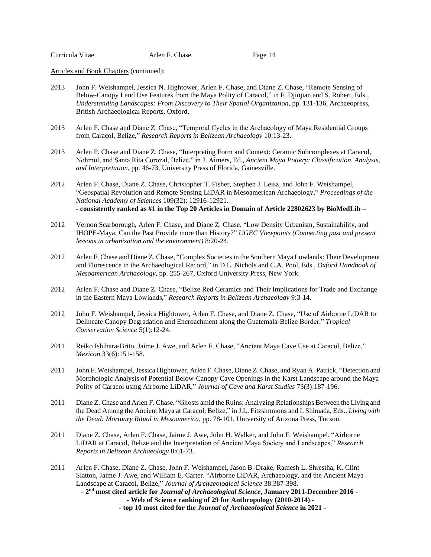| Curricula Vitae | Arlen F. Chase | Page 14 |
|-----------------|----------------|---------|
|                 |                |         |

- 2013 John F. Weishampel, Jessica N. Hightower, Arlen F. Chase, and Diane Z. Chase, "Remote Sensing of Below-Canopy Land Use Features from the Maya Polity of Caracol," in F. Djinjian and S. Robert, Eds., *Understanding Landscapes: From Discovery to Their Spatial Organization,* pp. 131-136, Archaeopress, British Archaeological Reports, Oxford.
- 2013 Arlen F. Chase and Diane Z. Chase, "Temporal Cycles in the Archaeology of Maya Residential Groups from Caracol, Belize," *Research Reports in Belizean Archaeology* 10:13-23.
- 2013 Arlen F. Chase and Diane Z. Chase, "Interpreting Form and Context: Ceramic Subcomplexes at Caracol, Nohmul, and Santa Rita Corozal, Belize," in J. Aimers, Ed., *Ancient Maya Pottery: Classification, Analysis, and Interpretation*, pp. 46-73, University Press of Florida, Gainesville.
- 2012 Arlen F. Chase, Diane Z. Chase, Christopher T. Fisher, Stephen J. Leisz, and John F. Weishampel, "Geospatial Revolution and Remote Sensing LiDAR in Mesoamerican Archaeology," *Proceedings of the National Academy of Sciences* 109(32): 12916-12921. **- consistently ranked as #1 in the Top 20 Articles in Domain of Article 22802623 by BioMedLib –**
- 2012 Vernon Scarborough, Arlen F. Chase, and Diane Z. Chase, "Low Density Urbanism, Sustainability, and IHOPE-Maya: Can the Past Provide more than History?" *UGEC Viewpoints (Connecting past and present lessons in urbanization and the environment)* 8:20-24.
- 2012 Arlen F. Chase and Diane Z. Chase, "Complex Societiesin the Southern Maya Lowlands: Their Development and Florescence in the Archaeological Record," in D.L. Nichols and C.A. Pool, Eds., *Oxford Handbook of Mesoamerican Archaeology*, pp. 255-267, Oxford University Press, New York.
- 2012 Arlen F. Chase and Diane Z. Chase, "Belize Red Ceramics and Their Implications for Trade and Exchange in the Eastern Maya Lowlands," *Research Reports in Belizean Archaeology* 9:3-14.
- 2012 John F. Weishampel, Jessica Hightower, Arlen F. Chase, and Diane Z. Chase, "Use of Airborne LiDAR to Delineate Canopy Degradation and Encroachment along the Guatemala-Belize Border," *Tropical Conservation Science* 5(1):12-24.
- 2011 Reiko Ishihara-Brito, Jaime J. Awe, and Arlen F. Chase, "Ancient Maya Cave Use at Caracol, Belize," *Mexicon* 33(6):151-158.
- 2011 John F. Weishampel, Jessica Hightower, Arlen F. Chase, Diane Z. Chase, and Ryan A. Patrick, "Detection and Morphologic Analysis of Potential Below-Canopy Cave Openings in the Karst Landscape around the Maya Polity of Caracol using Airborne LiDAR," *Journal of Cave and Karst Studies* 73(3):187-196.
- 2011 Diane Z. Chase and Arlen F. Chase, "Ghosts amid the Ruins: Analyzing Relationships Between the Living and the Dead Among the Ancient Maya at Caracol, Belize," in J.L. Fitzsimmons and I. Shimada, Eds., *Living with the Dead: Mortuary Ritual in Mesoamerica*, pp. 78-101, University of Arizona Press, Tucson.
- 2011 Diane Z. Chase, Arlen F. Chase, Jaime J. Awe, John H. Walker, and John F. Weishampel, "Airborne LiDAR at Caracol, Belize and the Interpretation of Ancient Maya Society and Landscapes," *Research Reports in Belizean Archaeology* 8:61-73.
- 2011 Arlen F. Chase, Diane Z. Chase, John F. Weishampel, Jason B. Drake, Ramesh L. Shrestha, K. Clint Slatton, Jaime J. Awe, and William E. Carter. "Airborne LiDAR, Archaeology, and the Ancient Maya Landscape at Caracol, Belize," *Journal of Archaeological Science* 38:387-398. **- 2 nd most cited article for** *Journal of Archaeological Science***, January 2011-December 2016 - - Web of Science ranking of 29 for Anthropology (2010-2014) -**
	- **- top 10 most cited for the** *Journal of Archaeological Science* **in 2021 -**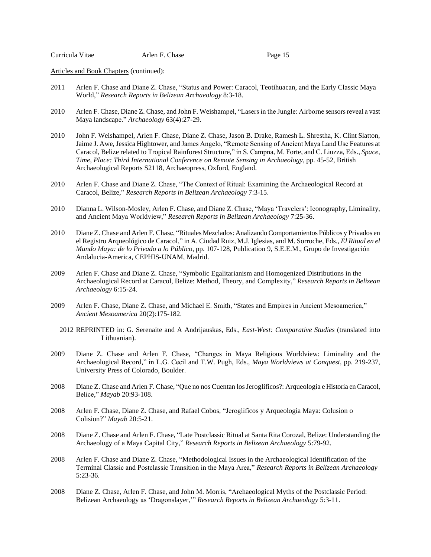| Curricula Vitae | Arlen F. Chase | Page 15 |
|-----------------|----------------|---------|
|                 |                |         |

- 2011 Arlen F. Chase and Diane Z. Chase, "Status and Power: Caracol, Teotihuacan, and the Early Classic Maya World," *Research Reports in Belizean Archaeology* 8:3-18.
- 2010 Arlen F. Chase, Diane Z. Chase, and John F. Weishampel, "Lasers in the Jungle: Airborne sensors reveal a vast Maya landscape." *Archaeology* 63(4):27-29.
- 2010 John F. Weishampel, Arlen F. Chase, Diane Z. Chase, Jason B. Drake, Ramesh L. Shrestha, K. Clint Slatton, Jaime J. Awe, Jessica Hightower, and James Angelo, "Remote Sensing of Ancient Maya Land Use Features at Caracol, Belize related to Tropical Rainforest Structure," in S. Campna, M. Forte, and C. Liuzza, Eds., *Space, Time, Place: Third International Conference on Remote Sensing in Archaeology*, pp. 45-52, British Archaeological Reports S2118, Archaeopress, Oxford, England.
- 2010 Arlen F. Chase and Diane Z. Chase, "The Context of Ritual: Examining the Archaeological Record at Caracol, Belize," *Research Reports in Belizean Archaeology* 7:3-15.
- 2010 Dianna L. Wilson-Mosley, Arlen F. Chase, and Diane Z. Chase, "Maya 'Travelers': Iconography, Liminality, and Ancient Maya Worldview," *Research Reports in Belizean Archaeology* 7:25-36.
- 2010 Diane Z. Chase and Arlen F. Chase, "Rituales Mezclados: Analizando Comportamientos Públicos y Privados en el Registro Arqueológico de Caracol," in A. Ciudad Ruiz, M.J. Iglesias, and M. Sorroche, Eds., *El Ritual en el Mundo Maya: de lo Privado a lo Público*, pp. 107-128, Publication 9, S.E.E.M., Grupo de Investigación Andalucia-America, CEPHIS-UNAM, Madrid.
- 2009 Arlen F. Chase and Diane Z. Chase, "Symbolic Egalitarianism and Homogenized Distributions in the Archaeological Record at Caracol, Belize: Method, Theory, and Complexity," *Research Reports in Belizean Archaeology* 6:15-24.
- 2009 Arlen F. Chase, Diane Z. Chase, and Michael E. Smith, "States and Empires in Ancient Mesoamerica," *Ancient Mesoamerica* 20(2):175-182.
	- 2012 REPRINTED in: G. Serenaite and A Andrijauskas, Eds., *East-West: Comparative Studies* (translated into Lithuanian).
- 2009 Diane Z. Chase and Arlen F. Chase, "Changes in Maya Religious Worldview: Liminality and the Archaeological Record," in L.G. Cecil and T.W. Pugh, Eds., *Maya Worldviews at Conquest*, pp. 219-237, University Press of Colorado, Boulder.
- 2008 Diane Z. Chase and Arlen F. Chase, "Que no nos Cuentan los Jeroglificos?: Arqueología e Historia en Caracol, Belice," *Mayab* 20:93-108.
- 2008 Arlen F. Chase, Diane Z. Chase, and Rafael Cobos, "Jeroglificos y Arqueologia Maya: Colusion o Colision?" *Mayab* 20:5-21.
- 2008 Diane Z. Chase and Arlen F. Chase, "Late Postclassic Ritual at Santa Rita Corozal, Belize: Understanding the Archaeology of a Maya Capital City," *Research Reports in Belizean Archaeology* 5:79-92.
- 2008 Arlen F. Chase and Diane Z. Chase, "Methodological Issues in the Archaeological Identification of the Terminal Classic and Postclassic Transition in the Maya Area," *Research Reports in Belizean Archaeology* 5:23-36.
- 2008 Diane Z. Chase, Arlen F. Chase, and John M. Morris, "Archaeological Myths of the Postclassic Period: Belizean Archaeology as 'Dragonslayer,'" *Research Reports in Belizean Archaeology* 5:3-11.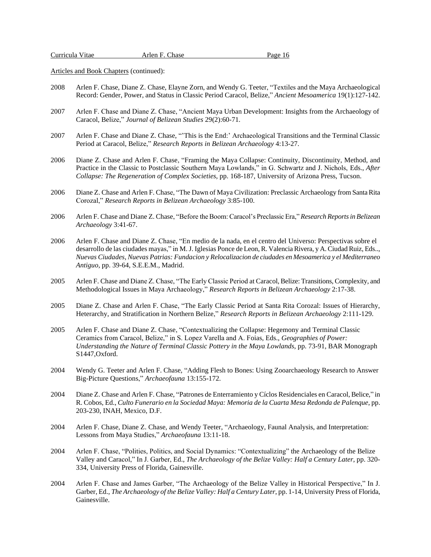- 2008 Arlen F. Chase, Diane Z. Chase, Elayne Zorn, and Wendy G. Teeter, "Textiles and the Maya Archaeological Record: Gender, Power, and Status in Classic Period Caracol, Belize," *Ancient Mesoamerica* 19(1):127-142.
- 2007 Arlen F. Chase and Diane Z. Chase, "Ancient Maya Urban Development: Insights from the Archaeology of Caracol, Belize," *Journal of Belizean Studies* 29(2):60-71.
- 2007 Arlen F. Chase and Diane Z. Chase, "'This is the End:' Archaeological Transitions and the Terminal Classic Period at Caracol, Belize," *Research Reports in Belizean Archaeology* 4:13-27.
- 2006 Diane Z. Chase and Arlen F. Chase, "Framing the Maya Collapse: Continuity, Discontinuity, Method, and Practice in the Classic to Postclassic Southern Maya Lowlands," in G. Schwartz and J. Nichols, Eds., *After Collapse: The Regeneration of Complex Societies*, pp. 168-187, University of Arizona Press, Tucson.
- 2006 Diane Z. Chase and Arlen F. Chase, "The Dawn of Maya Civilization: Preclassic Archaeology from Santa Rita Corozal," *Research Reports in Belizean Archaeology* 3:85-100.
- 2006 Arlen F. Chase and Diane Z. Chase, "Before the Boom: Caracol's Preclassic Era," *Research Reports in Belizean Archaeology* 3:41-67.
- 2006 Arlen F. Chase and Diane Z. Chase, "En medio de la nada, en el centro del Universo: Perspectivas sobre el desarrollo de las ciudades mayas," in M. J. Iglesias Ponce de Leon, R. Valencia Rivera, y A. Ciudad Ruiz, Eds.., *Nuevas Ciudades, Nuevas Patrias: Fundacion y Relocalizacion de ciudades en Mesoamerica y el Mediterraneo Antiguo*, pp. 39-64, S.E.E.M., Madrid.
- 2005 Arlen F. Chase and Diane Z. Chase, "The Early Classic Period at Caracol, Belize: Transitions, Complexity, and Methodological Issues in Maya Archaeology," *Research Reports in Belizean Archaeology* 2:17-38.
- 2005 Diane Z. Chase and Arlen F. Chase, "The Early Classic Period at Santa Rita Corozal: Issues of Hierarchy, Heterarchy, and Stratification in Northern Belize," *Research Reports in Belizean Archaeology* 2:111-129.
- 2005 Arlen F. Chase and Diane Z. Chase, "Contextualizing the Collapse: Hegemony and Terminal Classic Ceramics from Caracol, Belize," in S. Lopez Varella and A. Foias, Eds., *Geographies of Power: Understanding the Nature of Terminal Classic Pottery in the Maya Lowlands*, pp. 73-91, BAR Monograph S1447,Oxford.
- 2004 Wendy G. Teeter and Arlen F. Chase, "Adding Flesh to Bones: Using Zooarchaeology Research to Answer Big-Picture Questions," *Archaeofauna* 13:155-172.
- 2004 Diane Z. Chase and Arlen F. Chase, "Patrones de Enterramiento y Cíclos Residenciales en Caracol, Belice," in R. Cobos, Ed., *Culto Funerario en la Sociedad Maya: Memoria de la Cuarta Mesa Redonda de Palenque*, pp. 203-230, INAH, Mexico, D.F.
- 2004 Arlen F. Chase, Diane Z. Chase, and Wendy Teeter, "Archaeology, Faunal Analysis, and Interpretation: Lessons from Maya Studies," *Archaeofauna* 13:11-18.
- 2004 Arlen F. Chase, "Polities, Politics, and Social Dynamics: "Contextualizing" the Archaeology of the Belize Valley and Caracol," In J. Garber, Ed., *The Archaeology of the Belize Valley: Half a Century Later*, pp. 320- 334, University Press of Florida, Gainesville.
- 2004 Arlen F. Chase and James Garber, "The Archaeology of the Belize Valley in Historical Perspective," In J. Garber, Ed., *The Archaeology of the Belize Valley: Half a Century Later*, pp. 1-14, University Press of Florida, Gainesville.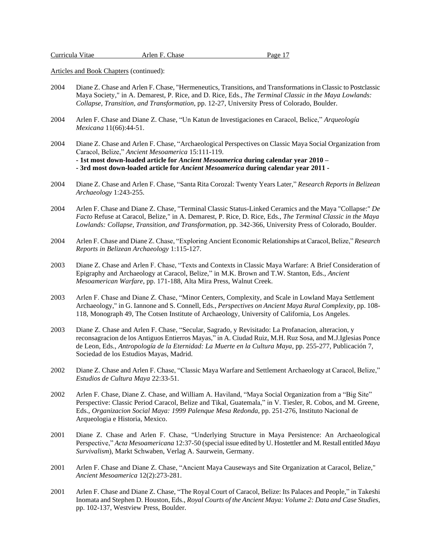| Curricula Vitae | Arlen F. Chase | Page 1′ |
|-----------------|----------------|---------|
|                 |                |         |

- 2004 Diane Z. Chase and Arlen F. Chase, "Hermeneutics, Transitions, and Transformations in Classic to Postclassic Maya Society," in A. Demarest, P. Rice, and D. Rice, Eds., *The Terminal Classic in the Maya Lowlands: Collapse, Transition, and Transformation*, pp. 12-27, University Press of Colorado, Boulder.
- 2004 Arlen F. Chase and Diane Z. Chase, "Un Katun de Investigaciones en Caracol, Belice," *Arqueología Mexicana* 11(66):44-51.
- 2004 Diane Z. Chase and Arlen F. Chase, "Archaeological Perspectives on Classic Maya Social Organization from Caracol, Belize," *Ancient Mesoamerica* 15:111-119. **- 1st most down-loaded article for** *Ancient Mesoamerica* **during calendar year 2010 – - 3rd most down-loaded article for** *Ancient Mesoamerica* **during calendar year 2011 -**
- 2004 Diane Z. Chase and Arlen F. Chase, "Santa Rita Corozal: Twenty Years Later," *Research Reports in Belizean Archaeology* 1:243-255.
- 2004 Arlen F. Chase and Diane Z. Chase, "Terminal Classic Status-Linked Ceramics and the Maya "Collapse:" *De Facto* Refuse at Caracol, Belize," in A. Demarest, P. Rice, D. Rice, Eds., *The Terminal Classic in the Maya Lowlands: Collapse, Transition, and Transformation*, pp. 342-366, University Press of Colorado, Boulder.
- 2004 Arlen F. Chase and Diane Z. Chase, "Exploring Ancient Economic Relationships at Caracol, Belize," *Research Reports in Belizean Archaeology* 1:115-127.
- 2003 Diane Z. Chase and Arlen F. Chase, "Texts and Contexts in Classic Maya Warfare: A Brief Consideration of Epigraphy and Archaeology at Caracol, Belize," in M.K. Brown and T.W. Stanton, Eds., *Ancient Mesoamerican Warfare*, pp. 171-188, Alta Mira Press, Walnut Creek.
- 2003 Arlen F. Chase and Diane Z. Chase, "Minor Centers, Complexity, and Scale in Lowland Maya Settlement Archaeology," in G. Iannone and S. Connell, Eds., *Perspectives on Ancient Maya Rural Complexity*, pp. 108- 118, Monograph 49, The Cotsen Institute of Archaeology, University of California, Los Angeles.
- 2003 Diane Z. Chase and Arlen F. Chase, "Secular, Sagrado, y Revisitado: La Profanacion, alteracion, y reconsagracion de los Antiguos Entierros Mayas," in A. Ciudad Ruiz, M.H. Ruz Sosa, and M.J.Iglesias Ponce de Leon, Eds., *Antropología de la Eternidad: La Muerte en la Cultura Maya*, pp. 255-277, Publicación 7, Sociedad de los Estudios Mayas, Madrid.
- 2002 Diane Z. Chase and Arlen F. Chase, "Classic Maya Warfare and Settlement Archaeology at Caracol, Belize," *Estudios de Cultura Maya* 22:33-51.
- 2002 Arlen F. Chase, Diane Z. Chase, and William A. Haviland, "Maya Social Organization from a "Big Site" Perspective: Classic Period Caracol, Belize and Tikal, Guatemala," in V. Tiesler, R. Cobos, and M. Greene, Eds., *Organizacion Social Maya: 1999 Palenque Mesa Redonda*, pp. 251-276, Instituto Nacional de Arqueologia e Historia, Mexico.
- 2001 Diane Z. Chase and Arlen F. Chase, "Underlying Structure in Maya Persistence: An Archaeological Perspective," *Acta Mesoamericana* 12:37-50 (special issue edited by U. Hostettler and M. Restall entitled *Maya Survivalism*), Markt Schwaben, Verlag A. Saurwein, Germany.
- 2001 Arlen F. Chase and Diane Z. Chase, "Ancient Maya Causeways and Site Organization at Caracol, Belize," *Ancient Mesoamerica* 12(2):273-281.
- 2001 Arlen F. Chase and Diane Z. Chase, "The Royal Court of Caracol, Belize: Its Palaces and People," in Takeshi Inomata and Stephen D. Houston, Eds., *Royal Courts of the Ancient Maya: Volume 2: Data and Case Studies*, pp. 102-137, Westview Press, Boulder.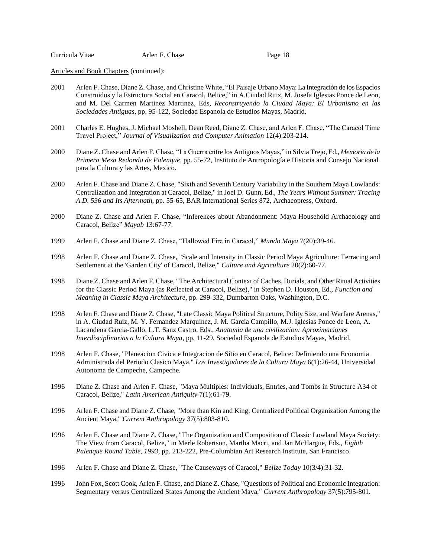- 2001 Arlen F. Chase, Diane Z. Chase, and Christine White, "El Paisaje Urbano Maya: La Integración de los Espacios Construidos y la Estructura Social en Caracol, Belice," in A.Ciudad Ruiz, M. Josefa Iglesias Ponce de Leon, and M. Del Carmen Martinez Martinez, Eds, *Reconstruyendo la Ciudad Maya: El Urbanismo en las Sociedades Antiguas*, pp. 95-122, Sociedad Espanola de Estudios Mayas, Madrid.
- 2001 Charles E. Hughes, J. Michael Moshell, Dean Reed, Diane Z. Chase, and Arlen F. Chase, "The Caracol Time Travel Project," *Journal of Visualization and Computer Animation* 12(4):203-214.
- 2000 Diane Z. Chase and Arlen F. Chase, "La Guerra entre los Antiguos Mayas," in Silvia Trejo, Ed., *Memoria de la Primera Mesa Redonda de Palenque*, pp. 55-72, Instituto de Antropología e Historia and Consejo Nacional para la Cultura y las Artes, Mexico.
- 2000 Arlen F. Chase and Diane Z. Chase, "Sixth and Seventh Century Variability in the Southern Maya Lowlands: Centralization and Integration at Caracol, Belize," in Joel D. Gunn, Ed., *The Years Without Summer: Tracing A.D. 536 and Its Aftermath*, pp. 55-65, BAR International Series 872, Archaeopress, Oxford.
- 2000 Diane Z. Chase and Arlen F. Chase, "Inferences about Abandonment: Maya Household Archaeology and Caracol, Belize" *Mayab* 13:67-77.
- 1999 Arlen F. Chase and Diane Z. Chase, "Hallowed Fire in Caracol," *Mundo Maya* 7(20):39-46.
- 1998 Arlen F. Chase and Diane Z. Chase, "Scale and Intensity in Classic Period Maya Agriculture: Terracing and Settlement at the 'Garden City' of Caracol, Belize," *Culture and Agriculture* 20(2):60-77.
- 1998 Diane Z. Chase and Arlen F. Chase, "The Architectural Context of Caches, Burials, and Other Ritual Activities for the Classic Period Maya (as Reflected at Caracol, Belize)," in Stephen D. Houston, Ed., *Function and Meaning in Classic Maya Architecture*, pp. 299-332, Dumbarton Oaks, Washington, D.C.
- 1998 Arlen F. Chase and Diane Z. Chase, "Late Classic Maya Political Structure, Polity Size, and Warfare Arenas," in A. Ciudad Ruiz, M. Y. Fernandez Marquinez, J. M. Garcia Campillo, M.J. Iglesias Ponce de Leon, A. Lacandena Garcia-Gallo, L.T. Sanz Castro, Eds., *Anatomia de una civilizacion: Aproximaciones Interdisciplinarias a la Cultura Maya*, pp. 11-29, Sociedad Espanola de Estudios Mayas, Madrid.
- 1998 Arlen F. Chase, "Planeacion Civica e Integracion de Sitio en Caracol, Belice: Definiendo una Economia Administrada del Periodo Clasico Maya," *Los Investigadores de la Cultura Maya* 6(1):26-44, Universidad Autonoma de Campeche, Campeche.
- 1996 Diane Z. Chase and Arlen F. Chase, "Maya Multiples: Individuals, Entries, and Tombs in Structure A34 of Caracol, Belize," *Latin American Antiquity* 7(1):61-79.
- 1996 Arlen F. Chase and Diane Z. Chase, "More than Kin and King: Centralized Political Organization Among the Ancient Maya," *Current Anthropology* 37(5):803-810.
- 1996 Arlen F. Chase and Diane Z. Chase, "The Organization and Composition of Classic Lowland Maya Society: The View from Caracol, Belize," in Merle Robertson, Martha Macri, and Jan McHargue, Eds., *Eighth Palenque Round Table, 1993*, pp. 213-222, Pre-Columbian Art Research Institute, San Francisco.
- 1996 Arlen F. Chase and Diane Z. Chase, "The Causeways of Caracol," *Belize Today* 10(3/4):31-32.
- 1996 John Fox, Scott Cook, Arlen F. Chase, and Diane Z. Chase, "Questions of Political and Economic Integration: Segmentary versus Centralized States Among the Ancient Maya," *Current Anthropology* 37(5):795-801.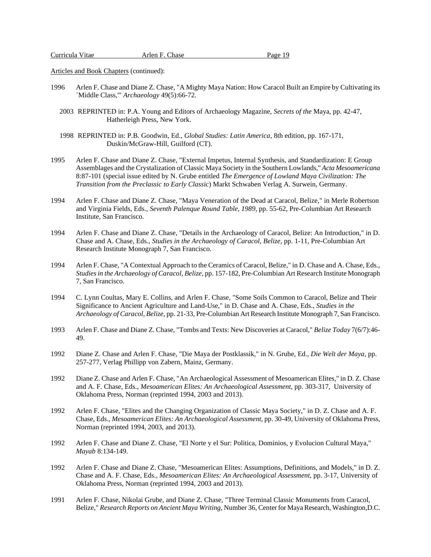- 1996 Arlen F. Chase and Diane Z. Chase, "A Mighty Maya Nation: How Caracol Built an Empire by Cultivating its `Middle Class,'" *Archaeology* 49(5):66-72.
	- 2003 REPRINTED in: P.A. Young and Editors of Archaeology Magazine, *Secrets of the* Maya, pp. 42-47, Hatherleigh Press, New York.
	- 1998 REPRINTED in: P.B. Goodwin, Ed., *Global Studies: Latin America*, 8th edition, pp. 167-171, Duskin/McGraw-Hill, Guilford (CT).
- 1995 Arlen F. Chase and Diane Z. Chase, "External Impetus, Internal Synthesis, and Standardization: E Group Assemblages and the Crystalization of Classic Maya Society in the Southern Lowlands," *Acta Mesoamericana* 8:87-101 (special issue edited by N. Grube entitled *The Emergence of Lowland Maya Civilization: The Transition from the Preclassic to Early Classic*) Markt Schwaben Verlag A. Surwein, Germany.
- 1994 Arlen F. Chase and Diane Z. Chase, "Maya Veneration of the Dead at Caracol, Belize," in Merle Robertson and Virginia Fields, Eds., *Seventh Palenque Round Table, 1989*, pp. 55-62, Pre-Columbian Art Research Institute, San Francisco.
- 1994 Arlen F. Chase and Diane Z. Chase, "Details in the Archaeology of Caracol, Belize: An Introduction," in D. Chase and A. Chase, Eds., *Studies in the Archaeology of Caracol, Belize*, pp. 1-11, Pre-Columbian Art Research Institute Monograph 7, San Francisco.
- 1994 Arlen F. Chase, "A Contextual Approach to the Ceramics of Caracol, Belize," in D. Chase and A. Chase, Eds., *Studies in the Archaeology of Caracol, Belize*, pp. 157-182, Pre-Columbian Art Research Institute Monograph 7, San Francisco.
- 1994 C. Lynn Coultas, Mary E. Collins, and Arlen F. Chase, "Some Soils Common to Caracol, Belize and Their Significance to Ancient Agriculture and Land-Use," in D. Chase and A. Chase, Eds., *Studies in the Archaeology of Caracol, Belize*, pp. 21-33, Pre-Columbian Art Research Institute Monograph 7, San Francisco.
- 1993 Arlen F. Chase and Diane Z. Chase, "Tombs and Texts: New Discoveries at Caracol," *Belize Today* 7(6/7):46- 49.
- 1992 Diane Z. Chase and Arlen F. Chase, "Die Maya der Postklassik," in N. Grube, Ed., *Die Welt der Maya*, pp. 257-277, Verlag Phillipp von Zabern, Mainz, Germany.
- 1992 Diane Z. Chase and Arlen F. Chase, "An Archaeological Assessment of Mesoamerican Elites," in D. Z. Chase and A. F. Chase, Eds., *Mesoamerican Elites: An Archaeological Assessment*, pp. 303-317, University of Oklahoma Press, Norman (reprinted 1994, 2003 and 2013).
- 1992 Arlen F. Chase, "Elites and the Changing Organization of Classic Maya Society," in D. Z. Chase and A. F. Chase, Eds., *Mesoamerican Elites: An Archaeological Assessment*, pp. 30-49, University of Oklahoma Press, Norman (reprinted 1994, 2003, and 2013).
- 1992 Arlen F. Chase and Diane Z. Chase, "El Norte y el Sur: Politica, Dominios, y Evolucion Cultural Maya," *Mayab* 8:134-149.
- 1992 Arlen F. Chase and Diane Z. Chase, "Mesoamerican Elites: Assumptions, Definitions, and Models," in D. Z. Chase and A. F. Chase, Eds., *Mesoamerican Elites: An Archaeological Assessment*, pp. 3-17, University of Oklahoma Press, Norman (reprinted 1994, 2003 and 2013).
- 1991 Arlen F. Chase, Nikolai Grube, and Diane Z. Chase, "Three Terminal Classic Monuments from Caracol, Belize," *Research Reports on Ancient Maya Writing*, Number 36, Center for Maya Research, Washington,D.C.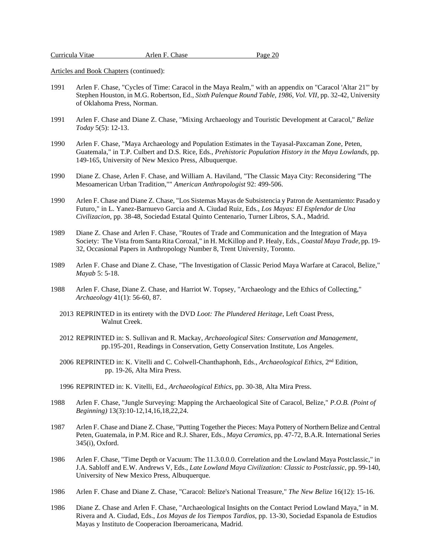|--|

- 1991 Arlen F. Chase, "Cycles of Time: Caracol in the Maya Realm," with an appendix on "Caracol 'Altar 21'" by Stephen Houston, in M.G. Robertson, Ed., *Sixth Palenque Round Table, 1986, Vol. VII*, pp. 32-42, University of Oklahoma Press, Norman.
- 1991 Arlen F. Chase and Diane Z. Chase, "Mixing Archaeology and Touristic Development at Caracol," *Belize Today* 5(5): 12-13.
- 1990 Arlen F. Chase, "Maya Archaeology and Population Estimates in the Tayasal-Paxcaman Zone, Peten, Guatemala," in T.P. Culbert and D.S. Rice, Eds., *Prehistoric Population History in the Maya Lowlands*, pp. 149-165, University of New Mexico Press, Albuquerque.
- 1990 Diane Z. Chase, Arlen F. Chase, and William A. Haviland, "The Classic Maya City: Reconsidering "The Mesoamerican Urban Tradition,"" *American Anthropologist* 92: 499-506.
- 1990 Arlen F. Chase and Diane Z. Chase, "Los Sistemas Mayas de Subsistencia y Patron de Asentamiento: Pasado y Futuro," in L. Yanez-Barnuevo Garcia and A. Ciudad Ruiz, Eds., *Los Mayas: El Esplendor de Una Civilizacion*, pp. 38-48, Sociedad Estatal Quinto Centenario, Turner Libros, S.A., Madrid.
- 1989 Diane Z. Chase and Arlen F. Chase, "Routes of Trade and Communication and the Integration of Maya Society: The Vista from Santa Rita Corozal," in H. McKillop and P. Healy, Eds., *Coastal Maya Trade*, pp. 19- 32, Occasional Papers in Anthropology Number 8, Trent University, Toronto.
- 1989 Arlen F. Chase and Diane Z. Chase, "The Investigation of Classic Period Maya Warfare at Caracol, Belize," *Mayab* 5: 5-18.
- 1988 Arlen F. Chase, Diane Z. Chase, and Harriot W. Topsey, "Archaeology and the Ethics of Collecting," *Archaeology* 41(1): 56-60, 87.
	- 2013 REPRINTED in its entirety with the DVD *Loot: The Plundered Heritage*, Left Coast Press, Walnut Creek.
	- 2012 REPRINTED in: S. Sullivan and R. Mackay, *Archaeological Sites: Conservation and Management*, pp.195-201, Readings in Conservation, Getty Conservation Institute, Los Angeles.
- 2006 REPRINTED in: K. Vitelli and C. Colwell-Chanthaphonh, Eds., *Archaeological Ethics*, 2<sup>nd</sup> Edition, pp. 19-26, Alta Mira Press.
	- 1996 REPRINTED in: K. Vitelli, Ed., *Archaeological Ethics*, pp. 30-38, Alta Mira Press.
- 1988 Arlen F. Chase, "Jungle Surveying: Mapping the Archaeological Site of Caracol, Belize," *P.O.B. (Point of Beginning)* 13(3):10-12,14,16,18,22,24.
- 1987 Arlen F. Chase and Diane Z. Chase, "Putting Together the Pieces: Maya Pottery of Northern Belize and Central Peten, Guatemala, in P.M. Rice and R.J. Sharer, Eds., *Maya Ceramics*, pp. 47-72, B.A.R. International Series 345(i), Oxford.
- 1986 Arlen F. Chase, "Time Depth or Vacuum: The 11.3.0.0.0. Correlation and the Lowland Maya Postclassic," in J.A. Sabloff and E.W. Andrews V, Eds., *Late Lowland Maya Civilization: Classic to Postclassic*, pp. 99-140, University of New Mexico Press, Albuquerque.
- 1986 Arlen F. Chase and Diane Z. Chase, "Caracol: Belize's National Treasure," *The New Belize* 16(12): 15-16.
- 1986 Diane Z. Chase and Arlen F. Chase, "Archaeological Insights on the Contact Period Lowland Maya," in M. Rivera and A. Ciudad, Eds., *Los Mayas de los Tiempos Tardios*, pp. 13-30, Sociedad Espanola de Estudios Mayas y Instituto de Cooperacion Iberoamericana, Madrid.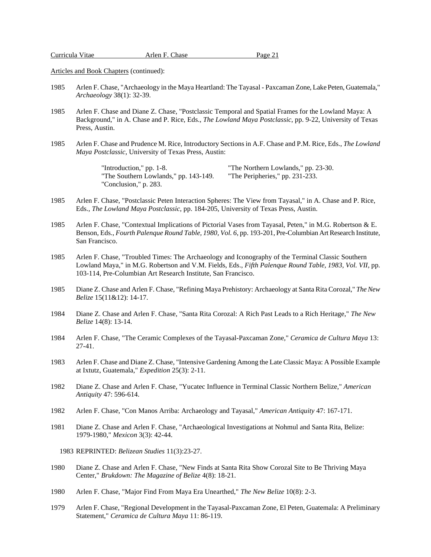| Curricula Vitae | Arlen F. Chase | Page 21 |
|-----------------|----------------|---------|
|                 |                |         |

- 1985 Arlen F. Chase, "Archaeology in the Maya Heartland: The Tayasal Paxcaman Zone, Lake Peten, Guatemala," *Archaeology* 38(1): 32-39.
- 1985 Arlen F. Chase and Diane Z. Chase, "Postclassic Temporal and Spatial Frames for the Lowland Maya: A Background," in A. Chase and P. Rice, Eds., *The Lowland Maya Postclassic*, pp. 9-22, University of Texas Press, Austin.
- 1985 Arlen F. Chase and Prudence M. Rice, Introductory Sections in A.F. Chase and P.M. Rice, Eds., *The Lowland Maya Postclassic*, University of Texas Press, Austin:

"Introduction," pp. 1-8. "The Northern Lowlands," pp. 23-30. "The Southern Lowlands," pp. 143-149. "The Peripheries," pp. 231-233. "Conclusion," p. 283.

- 1985 Arlen F. Chase, "Postclassic Peten Interaction Spheres: The View from Tayasal," in A. Chase and P. Rice, Eds., *The Lowland Maya Postclassic*, pp. 184-205, University of Texas Press, Austin.
- 1985 Arlen F. Chase, "Contextual Implications of Pictorial Vases from Tayasal, Peten," in M.G. Robertson & E. Benson, Eds., *Fourth Palenque Round Table, 1980, Vol. 6*, pp. 193-201, Pre-Columbian Art Research Institute, San Francisco.
- 1985 Arlen F. Chase, "Troubled Times: The Archaeology and Iconography of the Terminal Classic Southern Lowland Maya," in M.G. Robertson and V.M. Fields, Eds., *Fifth Palenque Round Table, 1983, Vol. VII*, pp. 103-114, Pre-Columbian Art Research Institute, San Francisco.
- 1985 Diane Z. Chase and Arlen F. Chase, "Refining Maya Prehistory: Archaeology at Santa Rita Corozal," *The New Belize* 15(11&12): 14-17.
- 1984 Diane Z. Chase and Arlen F. Chase, "Santa Rita Corozal: A Rich Past Leads to a Rich Heritage," *The New Belize* 14(8): 13-14.
- 1984 Arlen F. Chase, "The Ceramic Complexes of the Tayasal-Paxcaman Zone," *Ceramica de Cultura Maya* 13: 27-41.
- 1983 Arlen F. Chase and Diane Z. Chase, "Intensive Gardening Among the Late Classic Maya: A Possible Example at Ixtutz, Guatemala," *Expedition* 25(3): 2-11.
- 1982 Diane Z. Chase and Arlen F. Chase, "Yucatec Influence in Terminal Classic Northern Belize," *American Antiquity* 47: 596-614.
- 1982 Arlen F. Chase, "Con Manos Arriba: Archaeology and Tayasal," *American Antiquity* 47: 167-171.
- 1981 Diane Z. Chase and Arlen F. Chase, "Archaeological Investigations at Nohmul and Santa Rita, Belize: 1979-1980," *Mexicon* 3(3): 42-44.

1983 REPRINTED: *Belizean Studies* 11(3):23-27.

- 1980 Diane Z. Chase and Arlen F. Chase, "New Finds at Santa Rita Show Corozal Site to Be Thriving Maya Center," *Brukdown: The Magazine of Belize* 4(8): 18-21.
- 1980 Arlen F. Chase, "Major Find From Maya Era Unearthed," *The New Belize* 10(8): 2-3.
- 1979 Arlen F. Chase, "Regional Development in the Tayasal-Paxcaman Zone, El Peten, Guatemala: A Preliminary Statement," *Ceramica de Cultura Maya* 11: 86-119.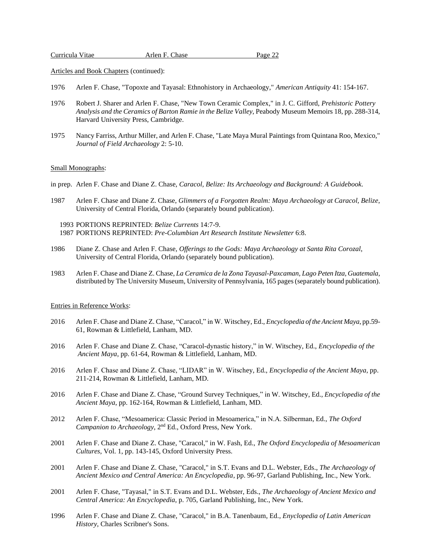Articles and Book Chapters (continued):

- 1976 Arlen F. Chase, "Topoxte and Tayasal: Ethnohistory in Archaeology," *American Antiquity* 41: 154-167.
- 1976 Robert J. Sharer and Arlen F. Chase, "New Town Ceramic Complex," in J. C. Gifford, *Prehistoric Pottery Analysis and the Ceramics of Barton Ramie in the Belize Valley*, Peabody Museum Memoirs 18, pp. 288-314, Harvard University Press, Cambridge.
- 1975 Nancy Farriss, Arthur Miller, and Arlen F. Chase, "Late Maya Mural Paintings from Quintana Roo, Mexico," *Journal of Field Archaeology* 2: 5-10.

### Small Monographs:

- in prep. Arlen F. Chase and Diane Z. Chase, *Caracol, Belize: Its Archaeology and Background: A Guidebook*.
- 1987 Arlen F. Chase and Diane Z. Chase, *Glimmers of a Forgotten Realm: Maya Archaeology at Caracol, Belize*, University of Central Florida, Orlando (separately bound publication).

 1993 PORTIONS REPRINTED: *Belize Currents* 14:7-9. 1987 PORTIONS REPRINTED: *Pre-Columbian Art Research Institute Newsletter* 6:8.

- 1986 Diane Z. Chase and Arlen F. Chase, *Offerings to the Gods: Maya Archaeology at Santa Rita Corozal*, University of Central Florida, Orlando (separately bound publication).
- 1983 Arlen F. Chase and Diane Z. Chase, *La Ceramica de la Zona Tayasal-Paxcaman, Lago Peten Itza, Guatemala*, distributed by The University Museum, University of Pennsylvania, 165 pages (separately bound publication).

#### Entries in Reference Works:

- 2016 Arlen F. Chase and Diane Z. Chase, "Caracol," in W. Witschey, Ed., *Encyclopedia of the Ancient Maya*, pp.59- 61, Rowman & Littlefield, Lanham, MD.
- 2016 Arlen F. Chase and Diane Z. Chase, "Caracol-dynastic history," in W. Witschey, Ed., *Encyclopedia of the Ancient Maya*, pp. 61-64, Rowman & Littlefield, Lanham, MD.
- 2016 Arlen F. Chase and Diane Z. Chase, "LIDAR" in W. Witschey, Ed., *Encyclopedia of the Ancient Maya*, pp. 211-214, Rowman & Littlefield, Lanham, MD.
- 2016 Arlen F. Chase and Diane Z. Chase, "Ground Survey Techniques," in W. Witschey, Ed., *Encyclopedia of the Ancient Maya*, pp. 162-164, Rowman & Littlefield, Lanham, MD.
- 2012 Arlen F. Chase, "Mesoamerica: Classic Period in Mesoamerica," in N.A. Silberman, Ed., *The Oxford Campanion to Archaeology*, 2nd Ed., Oxford Press, New York.
- 2001 Arlen F. Chase and Diane Z. Chase, "Caracol," in W. Fash, Ed., *The Oxford Encyclopedia of Mesoamerican Cultures*, Vol. 1, pp. 143-145, Oxford University Press.
- 2001 Arlen F. Chase and Diane Z. Chase, "Caracol," in S.T. Evans and D.L. Webster, Eds., *The Archaeology of Ancient Mexico and Central America: An Encyclopedia*, pp. 96-97, Garland Publishing, Inc., New York.
- 2001 Arlen F. Chase, "Tayasal," in S.T. Evans and D.L. Webster, Eds., *The Archaeology of Ancient Mexico and Central America: An Encyclopedia*, p. 705, Garland Publishing, Inc., New York.
- 1996 Arlen F. Chase and Diane Z. Chase, "Caracol," in B.A. Tanenbaum, Ed., *Enyclopedia of Latin American History*, Charles Scribner's Sons.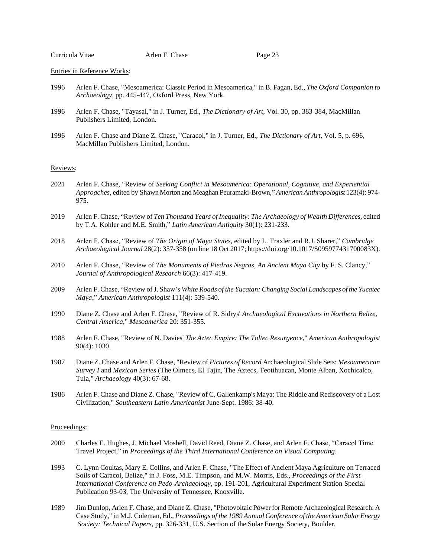| Curricula Vitae | Arlen F. Chase | Page 23 |
|-----------------|----------------|---------|
|                 |                |         |

Entries in Reference Works:

- 1996 Arlen F. Chase, "Mesoamerica: Classic Period in Mesoamerica," in B. Fagan, Ed., *The Oxford Companion to Archaeology*, pp. 445-447, Oxford Press, New York.
- 1996 Arlen F. Chase, "Tayasal," in J. Turner, Ed., *The Dictionary of Art*, Vol. 30, pp. 383-384, MacMillan Publishers Limited, London.
- 1996 Arlen F. Chase and Diane Z. Chase, "Caracol," in J. Turner, Ed., *The Dictionary of Art*, Vol. 5, p. 696, MacMillan Publishers Limited, London.

### Reviews:

- 2021 Arlen F. Chase, "Review of *Seeking Conflict in Mesoamerica: Operational, Cognitive, and Experiential Approaches,* edited by Shawn Morton and Meaghan Peuramaki-Brown," *American Anthropologist* 123(4): 974- 975.
- 2019 Arlen F. Chase, "Review of *Ten Thousand Years of Inequality: The Archaeology of Wealth Differences,* edited by T.A. Kohler and M.E. Smith," *Latin American Antiquity* 30(1): 231-233.
- 2018 Arlen F. Chase, "Review of *The Origin of Maya States*, edited by L. Traxler and R.J. Sharer," *Cambridge Archaeological Journal* 28(2): 357-358 (on line 18 Oct 2017; https://doi.org/10.1017/S095977431700083X).
- 2010 Arlen F. Chase, "Review of *The Monuments of Piedras Negras, An Ancient Maya City* by F. S. Clancy," *Journal of Anthropological Research* 66(3): 417-419.
- 2009 Arlen F. Chase, "Review of J. Shaw's *White Roads of the Yucatan: Changing Social Landscapes of the Yucatec Maya*," *American Anthropologist* 111(4): 539-540.
- 1990 Diane Z. Chase and Arlen F. Chase, "Review of R. Sidrys' *Archaeological Excavations in Northern Belize, Central America*," *Mesoamerica* 20: 351-355.
- 1988 Arlen F. Chase, "Review of N. Davies' *The Aztec Empire: The Toltec Resurgence*," *American Anthropologist* 90(4): 1030.
- 1987 Diane Z. Chase and Arlen F. Chase, "Review of *Pictures of Record* Archaeological Slide Sets: *Mesoamerican Survey I* and *Mexican Series* (The Olmecs, El Tajin, The Aztecs, Teotihuacan, Monte Alban, Xochicalco, Tula," *Archaeology* 40(3): 67-68.
- 1986 Arlen F. Chase and Diane Z. Chase, "Review of C. Gallenkamp's Maya: The Riddle and Rediscovery of a Lost Civilization," *Southeastern Latin Americanist* June-Sept. 1986: 38-40.

#### Proceedings:

- 2000 Charles E. Hughes, J. Michael Moshell, David Reed, Diane Z. Chase, and Arlen F. Chase, "Caracol Time Travel Project," in *Proceedings of the Third International Conference on Visual Computing*.
- 1993 C. Lynn Coultas, Mary E. Collins, and Arlen F. Chase, "The Effect of Ancient Maya Agriculture on Terraced Soils of Caracol, Belize," in J. Foss, M.E. Timpson, and M.W. Morris, Eds., *Proceedings of the First International Conference on Pedo-Archaeology*, pp. 191-201, Agricultural Experiment Station Special Publication 93-03, The University of Tennessee, Knoxville.
- 1989 Jim Dunlop, Arlen F. Chase, and Diane Z. Chase, "Photovoltaic Power forRemote Archaeological Research: A Case Study," in M.J. Coleman, Ed., *Proceedings of the 1989 Annual Conference of the American Solar Energy Society: Technical Papers*, pp. 326-331, U.S. Section of the Solar Energy Society, Boulder.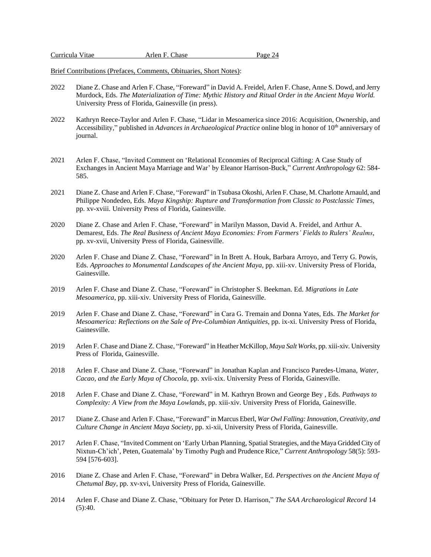| Curricula Vitae | Arlen F. Chase | Page 24 |
|-----------------|----------------|---------|
|-----------------|----------------|---------|

Brief Contributions (Prefaces, Comments, Obituaries, Short Notes):

- 2022 Diane Z. Chase and Arlen F. Chase, "Foreward" in David A. Freidel, Arlen F. Chase, Anne S. Dowd, and Jerry Murdock, Eds. *The Materialization of Time: Mythic History and Ritual Order in the Ancient Maya World.* University Press of Florida, Gainesville (in press).
- 2022 Kathryn Reece-Taylor and Arlen F. Chase, "Lidar in Mesoamerica since 2016: Acquisition, Ownership, and Accessibility," published in *Advances in Archaeological Practice* online blog in honor of 10<sup>th</sup> anniversary of journal.
- 2021 Arlen F. Chase, "Invited Comment on 'Relational Economies of Reciprocal Gifting: A Case Study of Exchanges in Ancient Maya Marriage and War' by Eleanor Harrison-Buck," *Current Anthropology* 62: 584- 585.
- 2021 Diane Z. Chase and Arlen F. Chase, "Foreward" in Tsubasa Okoshi, Arlen F. Chase, M. Charlotte Arnauld, and Philippe Nondedeo, Eds. *Maya Kingship: Rupture and Transformation from Classic to Postclassic Times*, pp. xv-xviii. University Press of Florida, Gainesville.
- 2020 Diane Z. Chase and Arlen F. Chase, "Foreward" in Marilyn Masson, David A. Freidel, and Arthur A. Demarest, Eds. *The Real Business of Ancient Maya Economies: From Farmers' Fields to Rulers' Realms*, pp. xv-xvii, University Press of Florida, Gainesville.
- 2020 Arlen F. Chase and Diane Z. Chase, "Foreward" in In Brett A. Houk, Barbara Arroyo, and Terry G. Powis, Eds. *Approaches to Monumental Landscapes of the Ancient Maya,* pp. xiii-xv. University Press of Florida, Gainesville.
- 2019 Arlen F. Chase and Diane Z. Chase, "Foreward" in Christopher S. Beekman. Ed. *Migrations in Late Mesoamerica*, pp. xiii-xiv*.* University Press of Florida, Gainesville.
- 2019 Arlen F. Chase and Diane Z. Chase, "Foreward" in Cara G. Tremain and Donna Yates, Eds. *The Market for Mesoamerica: Reflections on the Sale of Pre-Columbian Antiquities*, pp. ix-xi. University Press of Florida, Gainesville.
- 2019 Arlen F. Chase and Diane Z. Chase, "Foreward" in Heather McKillop, *Maya Salt Works*, pp. xiii-xiv*.* University Press of Florida, Gainesville.
- 2018 Arlen F. Chase and Diane Z. Chase, "Foreward" in Jonathan Kaplan and Francisco Paredes-Umana, *Water, Cacao, and the Early Maya of Chocola*, pp. xvii-xix. University Press of Florida, Gainesville.
- 2018 Arlen F. Chase and Diane Z. Chase, "Foreward" in M. Kathryn Brown and George Bey , Eds. *Pathways to Complexity: A View from the Maya Lowlands*, pp. xiii-xiv. University Press of Florida, Gainesville.
- 2017 Diane Z. Chase and Arlen F. Chase, "Foreward" in Marcus Eberl, *War Owl Falling:Innovation, Creativity, and Culture Change in Ancient Maya Society*, pp. xi-xii, University Press of Florida, Gainesville.
- 2017 Arlen F. Chase, "Invited Comment on 'Early Urban Planning, Spatial Strategies, and the Maya Gridded City of Nixtun-Ch'ich', Peten, Guatemala' by Timothy Pugh and Prudence Rice," *Current Anthropology* 58(5): 593- 594 [576-603].
- 2016 Diane Z. Chase and Arlen F. Chase, "Foreward" in Debra Walker, Ed. *Perspectives on the Ancient Maya of Chetumal Bay,* pp. xv-xvi, University Press of Florida, Gainesville.
- 2014 Arlen F. Chase and Diane Z. Chase, "Obituary for Peter D. Harrison," *The SAA Archaeological Record* 14  $(5):40.$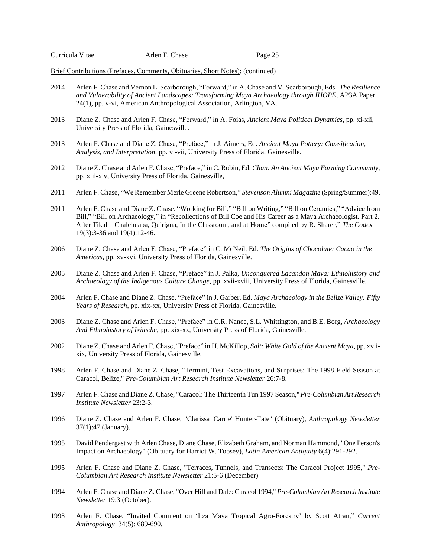| Curricula Vitae | Arlen F. Chase | Page 25 |
|-----------------|----------------|---------|
|-----------------|----------------|---------|

Brief Contributions (Prefaces, Comments, Obituaries, Short Notes): (continued)

- 2014 Arlen F. Chase and Vernon L. Scarborough, "Forward," in A. Chase and V. Scarborough, Eds. *The Resilience and Vulnerability of Ancient Landscapes: Transforming Maya Archaeology through IHOPE*, AP3A Paper 24(1), pp. v-vi, American Anthropological Association, Arlington, VA.
- 2013 Diane Z. Chase and Arlen F. Chase, "Forward," in A. Foias, *Ancient Maya Political Dynamics*, pp. xi-xii, University Press of Florida, Gainesville.
- 2013 Arlen F. Chase and Diane Z. Chase, "Preface," in J. Aimers, Ed. *Ancient Maya Pottery: Classification, Analysis, and Interpretation*, pp. vi-vii, University Press of Florida, Gainesville.
- 2012 Diane Z. Chase and Arlen F. Chase, "Preface," in C. Robin, Ed. *Chan: An Ancient Maya Farming Community*, pp. xiii-xiv, University Press of Florida, Gainesville,
- 2011 Arlen F. Chase, "We Remember Merle Greene Robertson," *Stevenson Alumni Magazine* (Spring/Summer):49.
- 2011 Arlen F. Chase and Diane Z. Chase, "Working for Bill," "Bill on Writing," "Bill on Ceramics," "Advice from Bill," "Bill on Archaeology," in "Recollections of Bill Coe and His Career as a Maya Archaeologist. Part 2. After Tikal – Chalchuapa, Quirigua, In the Classroom, and at Home" compiled by R. Sharer," *The Codex* 19(3):3-36 and 19(4):12-46.
- 2006 Diane Z. Chase and Arlen F. Chase, "Preface" in C. McNeil, Ed. *The Origins of Chocolate: Cacao in the Americas*, pp. xv-xvi, University Press of Florida, Gainesville.
- 2005 Diane Z. Chase and Arlen F. Chase, "Preface" in J. Palka, *Unconquered Lacandon Maya: Ethnohistory and Archaeology of the Indigenous Culture Change*, pp. xvii-xviii, University Press of Florida, Gainesville.
- 2004 Arlen F. Chase and Diane Z. Chase, "Preface" in J. Garber, Ed. *Maya Archaeology in the Belize Valley: Fifty Years of Research*, pp. xix-xx, University Press of Florida, Gainesville.
- 2003 Diane Z. Chase and Arlen F. Chase, "Preface" in C.R. Nance, S.L. Whittington, and B.E. Borg, *Archaeology And Ethnohistory of Iximche*, pp. xix-xx, University Press of Florida, Gainesville.
- 2002 Diane Z. Chase and Arlen F. Chase, "Preface" in H. McKillop, *Salt: White Gold of the Ancient Maya*, pp. xviixix, University Press of Florida, Gainesville.
- 1998 Arlen F. Chase and Diane Z. Chase, "Termini, Test Excavations, and Surprises: The 1998 Field Season at Caracol, Belize," *Pre-Columbian Art Research Institute Newsletter* 26:7-8.
- 1997 Arlen F. Chase and Diane Z. Chase, "Caracol: The Thirteenth Tun 1997 Season," *Pre-Columbian Art Research Institute Newsletter* 23:2-3.
- 1996 Diane Z. Chase and Arlen F. Chase, "Clarissa 'Carrie' Hunter-Tate" (Obituary), *Anthropology Newsletter* 37(1):47 (January).
- 1995 David Pendergast with Arlen Chase, Diane Chase, Elizabeth Graham, and Norman Hammond, "One Person's Impact on Archaeology" (Obituary for Harriot W. Topsey), *Latin American Antiquity* 6(4):291-292.
- 1995 Arlen F. Chase and Diane Z. Chase, "Terraces, Tunnels, and Transects: The Caracol Project 1995," *Pre-Columbian Art Research Institute Newsletter* 21:5-6 (December)
- 1994 Arlen F. Chase and Diane Z. Chase, "Over Hill and Dale: Caracol 1994," *Pre-Columbian Art Research Institute Newsletter* 19:3 (October).
- 1993 Arlen F. Chase, "Invited Comment on 'Itza Maya Tropical Agro-Forestry' by Scott Atran," *Current Anthropology* 34(5): 689-690.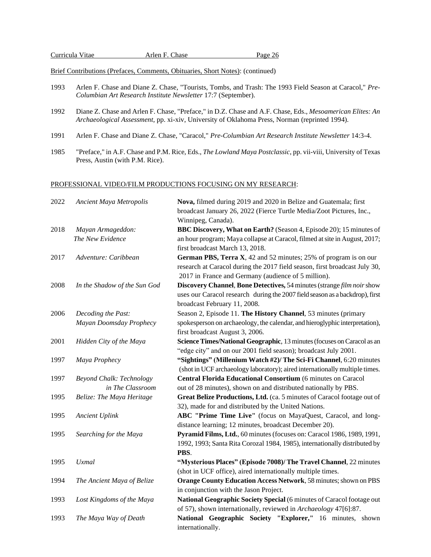| Curricula Vitae |  |
|-----------------|--|
|-----------------|--|

Arlen F. Chase Page 26

Brief Contributions (Prefaces, Comments, Obituaries, Short Notes): (continued)

- 1993 Arlen F. Chase and Diane Z. Chase, "Tourists, Tombs, and Trash: The 1993 Field Season at Caracol," *Pre-Columbian Art Research Institute Newsletter* 17:7 (September).
- 1992 Diane Z. Chase and Arlen F. Chase, "Preface," in D.Z. Chase and A.F. Chase, Eds., *Mesoamerican Elites: An Archaeological Assessment*, pp. xi-xiv, University of Oklahoma Press, Norman (reprinted 1994).
- 1991 Arlen F. Chase and Diane Z. Chase, "Caracol," *Pre-Columbian Art Research Institute Newsletter* 14:3-4.
- 1985 "Preface," in A.F. Chase and P.M. Rice, Eds., *The Lowland Maya Postclassic*, pp. vii-viii, University of Texas Press, Austin (with P.M. Rice).

### PROFESSIONAL VIDEO/FILM PRODUCTIONS FOCUSING ON MY RESEARCH:

| 2022 | Ancient Maya Metropolis         | Nova, filmed during 2019 and 2020 in Belize and Guatemala; first             |
|------|---------------------------------|------------------------------------------------------------------------------|
|      |                                 | broadcast January 26, 2022 (Fierce Turtle Media/Zoot Pictures, Inc.,         |
|      |                                 | Winnipeg, Canada).                                                           |
| 2018 | Mayan Armageddon:               | BBC Discovery, What on Earth? (Season 4, Episode 20); 15 minutes of          |
|      | The New Evidence                | an hour program; Maya collapse at Caracol, filmed at site in August, 2017;   |
|      |                                 | first broadcast March 13, 2018.                                              |
| 2017 | Adventure: Caribbean            | German PBS, Terra X, 42 and 52 minutes; 25% of program is on our             |
|      |                                 | research at Caracol during the 2017 field season, first broadcast July 30,   |
|      |                                 | 2017 in France and Germany (audience of 5 million).                          |
| 2008 | In the Shadow of the Sun God    | Discovery Channel, Bone Detectives, 54 minutes (strange film noir show       |
|      |                                 | uses our Caracol research during the 2007 field season as a backdrop), first |
|      |                                 | broadcast February 11, 2008.                                                 |
| 2006 | Decoding the Past:              | Season 2, Episode 11. The History Channel, 53 minutes (primary               |
|      | Mayan Doomsday Prophecy         | spokesperson on archaeology, the calendar, and hieroglyphic interpretation), |
|      |                                 | first broadcast August 3, 2006.                                              |
| 2001 | Hidden City of the Maya         | Science Times/National Geographic, 13 minutes (focuses on Caracol as an      |
|      |                                 | "edge city" and on our 2001 field season); broadcast July 2001.              |
| 1997 | Maya Prophecy                   | "Sightings" (Millenium Watch #2)/ The Sci-Fi Channel, 6:20 minutes           |
|      |                                 | (shot in UCF archaeology laboratory); aired internationally multiple times.  |
| 1997 | <b>Beyond Chalk: Technology</b> | Central Florida Educational Consortium (6 minutes on Caracol                 |
|      | in The Classroom                | out of 28 minutes), shown on and distributed nationally by PBS.              |
| 1995 | Belize: The Maya Heritage       | Great Belize Productions, Ltd. (ca. 5 minutes of Caracol footage out of      |
|      |                                 | 32), made for and distributed by the United Nations.                         |
| 1995 | <b>Ancient Uplink</b>           | ABC "Prime Time Live" (focus on MayaQuest, Caracol, and long-                |
|      |                                 | distance learning; 12 minutes, broadcast December 20).                       |
| 1995 | Searching for the Maya          | Pyramid Films, Ltd., 60 minutes (focuses on: Caracol 1986, 1989, 1991,       |
|      |                                 | 1992, 1993; Santa Rita Corozal 1984, 1985), internationally distributed by   |
|      |                                 | PBS.                                                                         |
| 1995 | <b>Uxmal</b>                    | "Mysterious Places" (Episode 7008)/ The Travel Channel, 22 minutes           |
|      |                                 | (shot in UCF office), aired internationally multiple times.                  |
| 1994 | The Ancient Maya of Belize      | Orange County Education Access Network, 58 minutes; shown on PBS             |
|      |                                 | in conjunction with the Jason Project.                                       |
| 1993 | Lost Kingdoms of the Maya       | National Geographic Society Special (6 minutes of Caracol footage out        |
|      |                                 | of 57), shown internationally, reviewed in Archaeology 47[6]:87.             |
| 1993 | The Maya Way of Death           | National Geographic Society "Explorer," 16 minutes, shown                    |
|      |                                 | internationally.                                                             |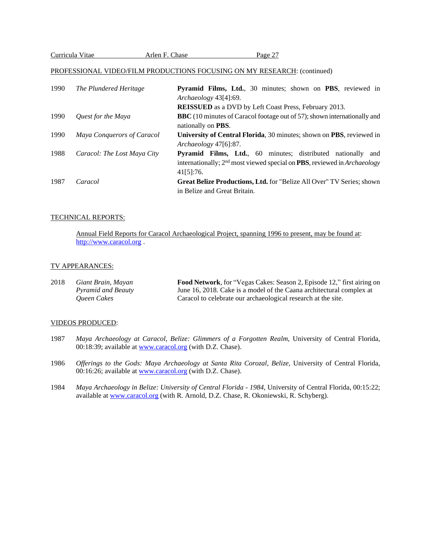| Curricula Vitae | Arlen F. Chase | Page 27 |
|-----------------|----------------|---------|
|                 |                |         |

# PROFESSIONAL VIDEO/FILM PRODUCTIONS FOCUSING ON MY RESEARCH: (continued)

| 1990 | The Plundered Heritage      | Pyramid Films, Ltd., 30 minutes; shown on PBS, reviewed in                                |
|------|-----------------------------|-------------------------------------------------------------------------------------------|
|      |                             | Archaeology 43[4]:69.                                                                     |
|      |                             | <b>REISSUED</b> as a DVD by Left Coast Press, February 2013.                              |
| 1990 | Quest for the Maya          | BBC (10 minutes of Caracol footage out of 57); shown internationally and                  |
|      |                             | nationally on <b>PBS</b> .                                                                |
| 1990 | Maya Conquerors of Caracol  | <b>University of Central Florida, 30 minutes; shown on PBS, reviewed in</b>               |
|      |                             | Archaeology 47[6]:87.                                                                     |
| 1988 | Caracol: The Lost Maya City | <b>Pyramid Films, Ltd.</b> , 60 minutes; distributed nationally and                       |
|      |                             | internationally; $2nd$ most viewed special on <b>PBS</b> , reviewed in <i>Archaeology</i> |
|      |                             | 41[5]:76.                                                                                 |
| 1987 | Caracol                     | Great Belize Productions, Ltd. for "Belize All Over" TV Series; shown                     |
|      |                             | in Belize and Great Britain.                                                              |

# TECHNICAL REPORTS:

Annual Field Reports for Caracol Archaeological Project, spanning 1996 to present, may be found at: [http://www.caracol.org](http://www.caracol.org/) .

# TV APPEARANCES:

| 2018 | Giant Brain, Mayan | Food Network, for "Vegas Cakes: Season 2, Episode 12," first airing on |
|------|--------------------|------------------------------------------------------------------------|
|      | Pyramid and Beauty | June 16, 2018. Cake is a model of the Caana architectural complex at   |
|      | Oueen Cakes        | Caracol to celebrate our archaeological research at the site.          |

# VIDEOS PRODUCED:

- 1987 *Maya Archaeology at Caracol, Belize: Glimmers of a Forgotten Realm*, University of Central Florida, 00:18:39; available at [www.caracol.org](http://www.caracol.org/) (with D.Z. Chase).
- 1986 *Offerings to the Gods: Maya Archaeology at Santa Rita Corozal, Belize*, University of Central Florida, 00:16:26; available at [www.caracol.org](http://www.caracol.org/) (with D.Z. Chase).
- 1984 *Maya Archaeology in Belize: University of Central Florida - 1984*, University of Central Florida, 00:15:22; available at [www.caracol.org](http://www.caracol.org/) (with R. Arnold, D.Z. Chase, R. Okoniewski, R. Schyberg).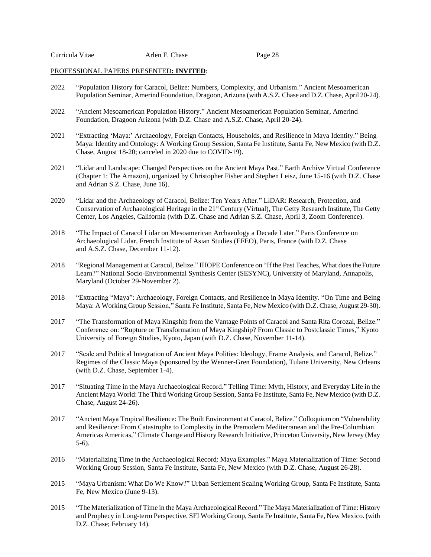#### PROFESSIONAL PAPERS PRESENTED**: INVITED**:

- 2022 "Population History for Caracol, Belize: Numbers, Complexity, and Urbanism." Ancient Mesoamerican Population Seminar, Amerind Foundation, Dragoon, Arizona (with A.S.Z. Chase and D.Z. Chase, April 20-24).
- 2022 "Ancient Mesoamerican Population History." Ancient Mesoamerican Population Seminar, Amerind Foundation, Dragoon Arizona (with D.Z. Chase and A.S.Z. Chase, April 20-24).
- 2021 "Extracting 'Maya:' Archaeology, Foreign Contacts, Households, and Resilience in Maya Identity." Being Maya: Identity and Ontology: A Working Group Session, Santa Fe Institute, Santa Fe, New Mexico (with D.Z. Chase, August 18-20; canceled in 2020 due to COVID-19).
- 2021 "Lidar and Landscape: Changed Perspectives on the Ancient Maya Past." Earth Archive Virtual Conference (Chapter 1: The Amazon), organized by Christopher Fisher and Stephen Leisz, June 15-16 (with D.Z. Chase and Adrian S.Z. Chase, June 16).
- 2020 "Lidar and the Archaeology of Caracol, Belize: Ten Years After." LiDAR: Research, Protection, and Conservation of Archaeological Heritage in the 21<sup>st</sup> Century (Virtual), The Getty Research Institute, The Getty Center, Los Angeles, California (with D.Z. Chase and Adrian S.Z. Chase, April 3, Zoom Conference).
- 2018 "The Impact of Caracol Lidar on Mesoamerican Archaeology a Decade Later." Paris Conference on Archaeological Lidar, French Institute of Asian Studies (EFEO), Paris, France (with D.Z. Chase and A.S.Z. Chase, December 11-12).
- 2018 "Regional Management at Caracol, Belize." IHOPE Conference on "If the Past Teaches, What doesthe Future Learn?" National Socio-Environmental Synthesis Center (SESYNC), University of Maryland, Annapolis, Maryland (October 29-November 2).
- 2018 "Extracting "Maya": Archaeology, Foreign Contacts, and Resilience in Maya Identity. "On Time and Being Maya: A Working Group Session," Santa Fe Institute, Santa Fe, New Mexico (with D.Z. Chase, August 29-30).
- 2017 "The Transformation of Maya Kingship from the Vantage Points of Caracol and Santa Rita Corozal, Belize." Conference on: "Rupture or Transformation of Maya Kingship? From Classic to Postclassic Times," Kyoto University of Foreign Studies, Kyoto, Japan (with D.Z. Chase, November 11-14).
- 2017 "Scale and Political Integration of Ancient Maya Polities: Ideology, Frame Analysis, and Caracol, Belize." Regimes of the Classic Maya (sponsored by the Wenner-Gren Foundation), Tulane University, New Orleans (with D.Z. Chase, September 1-4).
- 2017 "Situating Time in the Maya Archaeological Record." Telling Time: Myth, History, and Everyday Life in the Ancient Maya World: The Third Working Group Session, Santa Fe Institute, Santa Fe, New Mexico (with D.Z. Chase, August 24-26).
- 2017 "Ancient Maya Tropical Resilience: The Built Environment at Caracol, Belize." Colloquium on "Vulnerability and Resilience: From Catastrophe to Complexity in the Premodern Mediterranean and the Pre-Columbian Americas Americas," Climate Change and History Research Initiative, Princeton University, New Jersey (May 5-6).
- 2016 "Materializing Time in the Archaeological Record: Maya Examples." Maya Materialization of Time: Second Working Group Session, Santa Fe Institute, Santa Fe, New Mexico (with D.Z. Chase, August 26-28).
- 2015 "Maya Urbanism: What Do We Know?" Urban Settlement Scaling Working Group, Santa Fe Institute, Santa Fe, New Mexico (June 9-13).
- 2015 "The Materialization of Time in the Maya Archaeological Record." The Maya Materialization of Time: History and Prophecy in Long-term Perspective, SFI Working Group, Santa Fe Institute, Santa Fe, New Mexico. (with D.Z. Chase; February 14).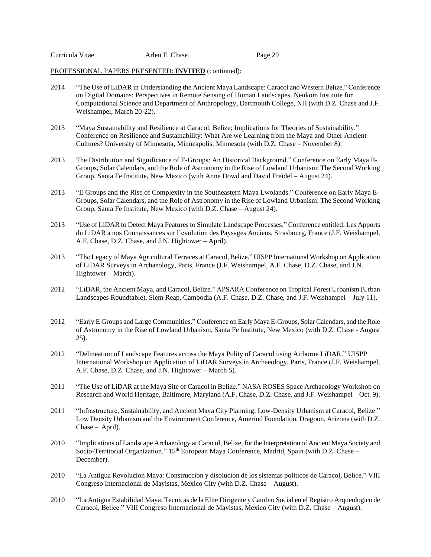| Curricula Vitae | Arlen F. Chase | Page 29 |
|-----------------|----------------|---------|
|                 |                |         |

# PROFESSIONAL PAPERS PRESENTED: **INVITED** (continued):

- 2014 "The Use of LiDAR in Understanding the Ancient Maya Landscape: Caracol and Western Belize." Conference on Digital Domains: Perspectives in Remote Sensing of Human Landscapes, Neukom Institute for Computational Science and Department of Anthropology, Dartmouth College, NH (with D.Z. Chase and J.F. Weishampel, March 20-22).
- 2013 "Maya Sustainability and Resilience at Caracol, Belize: Implications for Theories of Sustainability." Conference on Resilience and Sustainability: What Are we Learning from the Maya and Other Ancient Cultures? University of Minnesota, Minneapolis, Minnesota (with D.Z. Chase – November 8).
- 2013 The Distribution and Significance of E-Groups: An Historical Background." Conference on Early Maya E-Groups, Solar Calendars, and the Role of Astronomy in the Rise of Lowland Urbanism: The Second Working Group, Santa Fe Institute, New Mexico (with Anne Dowd and David Freidel – August 24).
- 2013 "E Groups and the Rise of Complexity in the Southeastern Maya Lwolands." Conference on Early Maya E-Groups, Solar Calendars, and the Role of Astronomy in the Rise of Lowland Urbanism: The Second Working Group, Santa Fe Institute, New Mexico (with D.Z. Chase – August 24).
- 2013 "Use of LiDAR to Detect Maya Features to Simulate Landscape Processes." Conference entitled: Les Apports du LiDAR a nos Connaissances sur l'evolution des Paysages Anciens. Strasbourg, France (J.F. Weishampel, A.F. Chase, D.Z. Chase, and J.N. Hightower – April).
- 2013 "The Legacy of Maya Agricultural Terraces at Caracol, Belize." UISPP International Workshop on Application of LiDAR Surveys in Archaeology, Paris, France (J.F. Weishampel, A.F. Chase, D.Z. Chase, and J.N. Hightower – March).
- 2012 "LiDAR, the Ancient Maya, and Caracol, Belize." APSARA Conference on Tropical Forest Urbanism (Urban Landscapes Roundtable), Siem Reap, Cambodia (A.F. Chase, D.Z. Chase, and J.F. Weishampel – July 11).
- 2012 "Early E Groups and Large Communities." Conference on Early Maya E-Groups, Solar Calendars, and the Role of Astronomy in the Rise of Lowland Urbanism, Santa Fe Institute, New Mexico (with D.Z. Chase - August 25).
- 2012 "Delineation of Landscape Features across the Maya Polity of Caracol using Airborne LiDAR." UISPP International Workshop on Application of LiDAR Surveys in Archaeology, Paris, France (J.F. Weishampel, A.F. Chase, D.Z. Chase, and J.N. Hightower – March 5).
- 2011 "The Use of LiDAR at the Maya Site of Caracol in Belize." NASA ROSES Space Archaeology Workshop on Research and World Heritage, Baltimore, Maryland (A.F. Chase, D.Z. Chase, and J.F. Weishampel – Oct. 9).
- 2011 "Infrastructure, Sustainability, and Ancient Maya City Planning: Low-Density Urbanism at Caracol, Belize." Low Density Urbanism and the Environment Conference, Amerind Foundation, Dragoon, Arizona (with D.Z. Chase – April).
- 2010 "Implications of Landscape Archaeology at Caracol, Belize, for the Interpretation of Ancient Maya Society and Socio-Territorial Organization." 15<sup>th</sup> European Maya Conference, Madrid, Spain (with D.Z. Chase – December).
- 2010 "La Antigua Revolucion Maya: Construccion y disolucion de los sistemas politicos de Caracol, Belice." VIII Congreso Internacional de Mayistas, Mexico City (with D.Z. Chase – August).
- 2010 "La Antigua Estabilidad Maya: Tecnicas de la Elite Dirigente y Cambio Social en el Registro Arqueologico de Caracol, Belice." VIII Congreso Internacional de Mayistas, Mexico City (with D.Z. Chase – August).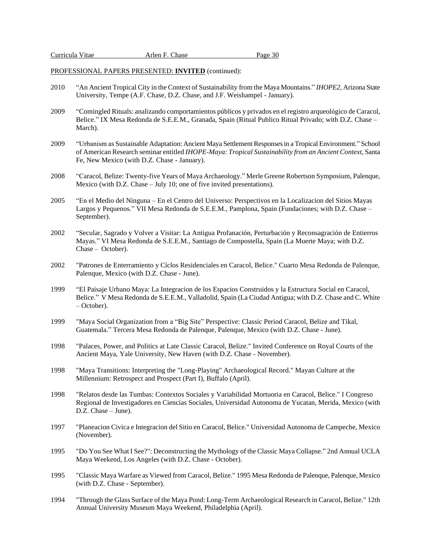PROFESSIONAL PAPERS PRESENTED: **INVITED** (continued):

- 2010 "An Ancient Tropical City in the Context of Sustainability from the Maya Mountains." *IHOPE2*, Arizona State University, Tempe (A.F. Chase, D.Z. Chase, and J.F. Weishampel - January).
- 2009 "Comingled Rituals: analizando comportamientos públicos y privados en el registro arqueológico de Caracol, Belice." IX Mesa Redonda de S.E.E.M., Granada, Spain (Ritual Publico Ritual Privado; with D.Z. Chase – March).
- 2009 "Urbanism as Sustainable Adaptation: Ancient Maya Settlement Responses in a Tropical Environment." School of American Research seminar entitled *IHOPE-Maya: Tropical Sustainability from an Ancient Context*, Santa Fe, New Mexico (with D.Z. Chase - January).
- 2008 "Caracol, Belize: Twenty-five Years of Maya Archaeology." Merle Greene Robertson Symposium, Palenque, Mexico (with D.Z. Chase – July 10; one of five invited presentations).
- 2005 "En el Medio del Ninguna En el Centro del Universo: Perspectivos en la Localizacion del Sitios Mayas Largos y Pequenos." VII Mesa Redonda de S.E.E.M., Pamplona, Spain (Fundaciones; with D.Z. Chase – September).
- 2002 "Secular, Sagrado y Volver a Visitar: La Antigua Profanación, Perturbación y Reconsagración de Entierros Mayas." VI Mesa Redonda de S.E.E.M., Santiago de Compostella, Spain (La Muerte Maya; with D.Z. Chase – October).
- 2002 "Patrones de Enterramiento y Cíclos Residenciales en Caracol, Belice." Cuarto Mesa Redonda de Palenque, Palenque, Mexico (with D.Z. Chase - June).
- 1999 "El Paisaje Urbano Maya: La Integracion de los Espacios Construidos y la Estructura Social en Caracol, Belice." V Mesa Redonda de S.E.E.M., Valladolid, Spain (La Ciudad Antigua; with D.Z. Chase and C. White – October).
- 1999 "Maya Social Organization from a "Big Site" Perspective: Classic Period Caracol, Belize and Tikal, Guatemala." Tercera Mesa Redonda de Palenque, Palenque, Mexico (with D.Z. Chase - June).
- 1998 "Palaces, Power, and Politics at Late Classic Caracol, Belize." Invited Conference on Royal Courts of the Ancient Maya, Yale University, New Haven (with D.Z. Chase - November).
- 1998 "Maya Transitions: Interpreting the "Long-Playing" Archaeological Record." Mayan Culture at the Millennium: Retrospect and Prospect (Part I), Buffalo (April).
- 1998 "Relatos desde las Tumbas: Contextos Sociales y Variabilidad Mortuoria en Caracol, Belice." I Congreso Regional de Investigadores en Ciencias Sociales, Universidad Autonoma de Yucatan, Merida, Mexico (with D.Z. Chase – June).
- 1997 "Planeacion Civica e Integracion del Sitio en Caracol, Belice." Universidad Autonoma de Campeche, Mexico (November).
- 1995 "Do You See What I See?": Deconstructing the Mythology of the Classic Maya Collapse." 2nd Annual UCLA Maya Weekend, Los Angeles (with D.Z. Chase - October).
- 1995 "Classic Maya Warfare as Viewed from Caracol, Belize." 1995 Mesa Redonda de Palenque, Palenque, Mexico (with D.Z. Chase - September).
- 1994 "Through the Glass Surface of the Maya Pond: Long-Term Archaeological Research in Caracol, Belize." 12th Annual University Museum Maya Weekend, Philadelphia (April).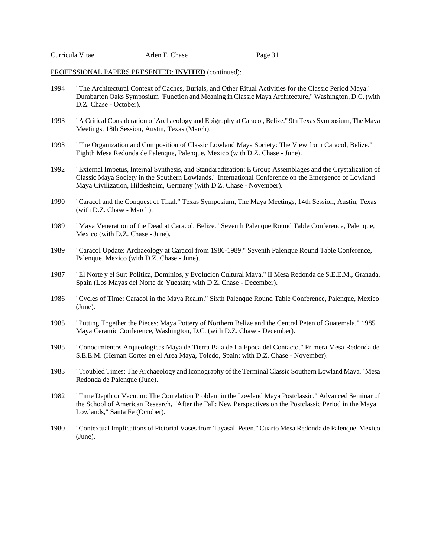| Curricula Vitae |  |  |
|-----------------|--|--|
|-----------------|--|--|

Arlen F. Chase Page 31

#### PROFESSIONAL PAPERS PRESENTED: **INVITED** (continued):

- 1994 "The Architectural Context of Caches, Burials, and Other Ritual Activities for the Classic Period Maya." Dumbarton Oaks Symposium "Function and Meaning in Classic Maya Architecture," Washington, D.C. (with D.Z. Chase - October).
- 1993 "A Critical Consideration of Archaeology and Epigraphy at Caracol, Belize." 9th Texas Symposium, The Maya Meetings, 18th Session, Austin, Texas (March).
- 1993 "The Organization and Composition of Classic Lowland Maya Society: The View from Caracol, Belize." Eighth Mesa Redonda de Palenque, Palenque, Mexico (with D.Z. Chase - June).
- 1992 "External Impetus, Internal Synthesis, and Standaradization: E Group Assemblages and the Crystalization of Classic Maya Society in the Southern Lowlands." International Conference on the Emergence of Lowland Maya Civilization, Hildesheim, Germany (with D.Z. Chase - November).
- 1990 "Caracol and the Conquest of Tikal." Texas Symposium, The Maya Meetings, 14th Session, Austin, Texas (with D.Z. Chase - March).
- 1989 "Maya Veneration of the Dead at Caracol, Belize." Seventh Palenque Round Table Conference, Palenque, Mexico (with D.Z. Chase - June).
- 1989 "Caracol Update: Archaeology at Caracol from 1986-1989." Seventh Palenque Round Table Conference, Palenque, Mexico (with D.Z. Chase - June).
- 1987 "El Norte y el Sur: Politica, Dominios, y Evolucion Cultural Maya." II Mesa Redonda de S.E.E.M., Granada, Spain (Los Mayas del Norte de Yucatán; with D.Z. Chase - December).
- 1986 "Cycles of Time: Caracol in the Maya Realm." Sixth Palenque Round Table Conference, Palenque, Mexico (June).
- 1985 "Putting Together the Pieces: Maya Pottery of Northern Belize and the Central Peten of Guatemala." 1985 Maya Ceramic Conference, Washington, D.C. (with D.Z. Chase - December).
- 1985 "Conocimientos Arqueologicas Maya de Tierra Baja de La Epoca del Contacto." Primera Mesa Redonda de S.E.E.M. (Hernan Cortes en el Area Maya, Toledo, Spain; with D.Z. Chase - November).
- 1983 "Troubled Times: The Archaeology and Iconography of the Terminal Classic Southern Lowland Maya." Mesa Redonda de Palenque (June).
- 1982 "Time Depth or Vacuum: The Correlation Problem in the Lowland Maya Postclassic." Advanced Seminar of the School of American Research, "After the Fall: New Perspectives on the Postclassic Period in the Maya Lowlands," Santa Fe (October).
- 1980 "Contextual Implications of Pictorial Vases from Tayasal, Peten." Cuarto Mesa Redonda de Palenque, Mexico (June).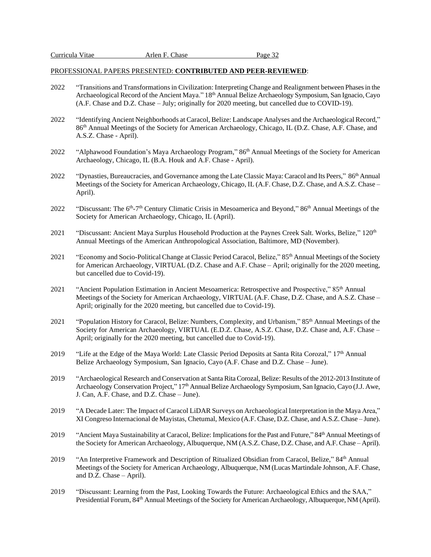- 2022 "Transitions and Transformations in Civilization: Interpreting Change and Realignment between Phases in the Archaeological Record of the Ancient Maya." 18th Annual Belize Archaeology Symposium, San Ignacio, Cayo (A.F. Chase and D.Z. Chase – July; originally for 2020 meeting, but cancelled due to COVID-19).
- 2022 "Identifying Ancient Neighborhoods at Caracol, Belize: Landscape Analyses and the Archaeological Record," 86<sup>th</sup> Annual Meetings of the Society for American Archaeology, Chicago, IL (D.Z. Chase, A.F. Chase, and A.S.Z. Chase - April).
- 2022 "Alphawood Foundation's Maya Archaeology Program," 86<sup>th</sup> Annual Meetings of the Society for American Archaeology, Chicago, IL (B.A. Houk and A.F. Chase - April).
- 2022 "Dynasties, Bureaucracies, and Governance among the Late Classic Maya: Caracol and Its Peers," 86<sup>th</sup> Annual Meetings of the Society for American Archaeology, Chicago, IL (A.F. Chase, D.Z. Chase, and A.S.Z. Chase – April).
- 2022 "Discussant: The 6<sup>th</sup>-7<sup>th</sup> Century Climatic Crisis in Mesoamerica and Beyond," 86<sup>th</sup> Annual Meetings of the Society for American Archaeology, Chicago, IL (April).
- 2021 "Discussant: Ancient Maya Surplus Household Production at the Paynes Creek Salt. Works, Belize," 120<sup>th</sup> Annual Meetings of the American Anthropological Association, Baltimore, MD (November).
- 2021 "Economy and Socio-Political Change at Classic Period Caracol, Belize," 85<sup>th</sup> Annual Meetings of the Society for American Archaeology, VIRTUAL (D.Z. Chase and A.F. Chase – April; originally for the 2020 meeting, but cancelled due to Covid-19).
- 2021 "Ancient Population Estimation in Ancient Mesoamerica: Retrospective and Prospective," 85<sup>th</sup> Annual Meetings of the Society for American Archaeology, VIRTUAL (A.F. Chase, D.Z. Chase, and A.S.Z. Chase – April; originally for the 2020 meeting, but cancelled due to Covid-19).
- 2021 "Population History for Caracol, Belize: Numbers, Complexity, and Urbanism," 85th Annual Meetings of the Society for American Archaeology, VIRTUAL (E.D.Z. Chase, A.S.Z. Chase, D.Z. Chase and, A.F. Chase – April; originally for the 2020 meeting, but cancelled due to Covid-19).
- 2019 "Life at the Edge of the Maya World: Late Classic Period Deposits at Santa Rita Corozal," 17th Annual Belize Archaeology Symposium, San Ignacio, Cayo (A.F. Chase and D.Z. Chase – June).
- 2019 "Archaeological Research and Conservation at Santa Rita Corozal, Belize: Results of the 2012-2013 Institute of Archaeology Conservation Project," 17<sup>th</sup> Annual Belize Archaeology Symposium, San Ignacio, Cayo (J.J. Awe, J. Can, A.F. Chase, and D.Z. Chase – June).
- 2019 "A Decade Later: The Impact of Caracol LiDAR Surveys on Archaeological Interpretation in the Maya Area," XI Congreso Internacional de Mayistas, Chetumal, Mexico (A.F. Chase, D.Z. Chase, and A.S.Z. Chase – June).
- 2019 "Ancient Maya Sustainability at Caracol, Belize: Implications for the Past and Future," 84<sup>th</sup> Annual Meetings of the Society for American Archaeology, Albuquerque, NM (A.S.Z. Chase, D.Z. Chase, and A.F. Chase – April).
- 2019 "An Interpretive Framework and Description of Ritualized Obsidian from Caracol, Belize," 84<sup>th</sup> Annual Meetings of the Society for American Archaeology, Albuquerque, NM (Lucas Martindale Johnson, A.F. Chase, and D.Z. Chase – April).
- 2019 "Discussant: Learning from the Past, Looking Towards the Future: Archaeological Ethics and the SAA," Presidential Forum, 84<sup>th</sup> Annual Meetings of the Society for American Archaeology, Albuquerque, NM (April).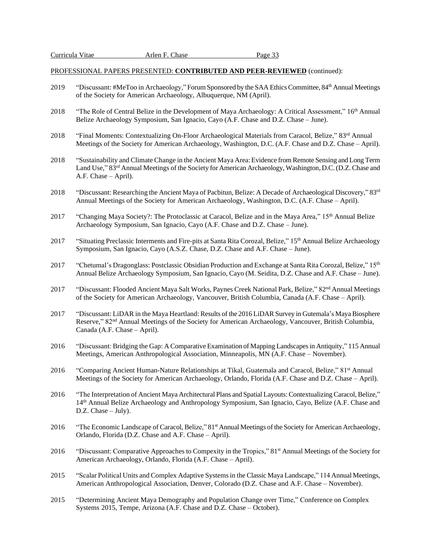- 2019 "Discussant: #MeToo in Archaeology," Forum Sponsored by the SAA Ethics Committee, 84<sup>th</sup> Annual Meetings of the Society for American Archaeology, Albuquerque, NM (April).
- 2018 "The Role of Central Belize in the Development of Maya Archaeology: A Critical Assessment," 16<sup>th</sup> Annual Belize Archaeology Symposium, San Ignacio, Cayo (A.F. Chase and D.Z. Chase – June).
- 2018 "Final Moments: Contextualizing On-Floor Archaeological Materials from Caracol, Belize," 83rd Annual Meetings of the Society for American Archaeology, Washington, D.C. (A.F. Chase and D.Z. Chase – April).
- 2018 "Sustainability and Climate Change in the Ancient Maya Area: Evidence from Remote Sensing and Long Term Land Use," 83<sup>rd</sup> Annual Meetings of the Society for American Archaeology, Washington, D.C. (D.Z. Chase and A.F. Chase – April).
- 2018 "Discussant: Researching the Ancient Maya of Pacbitun, Belize: A Decade of Archaeological Discovery," 83<sup>rd</sup> Annual Meetings of the Society for American Archaeology, Washington, D.C. (A.F. Chase – April).
- 2017 "Changing Maya Society?: The Protoclassic at Caracol, Belize and in the Maya Area," 15<sup>th</sup> Annual Belize Archaeology Symposium, San Ignacio, Cayo (A.F. Chase and D.Z. Chase – June).
- 2017 "Situating Preclassic Interments and Fire-pits at Santa Rita Corozal, Belize," 15<sup>th</sup> Annual Belize Archaeology Symposium, San Ignacio, Cayo (A.S.Z. Chase, D.Z. Chase and A.F. Chase – June).
- 2017 "Chetumal's Dragonglass: Postclassic Obsidian Production and Exchange at Santa Rita Corozal, Belize," 15<sup>th</sup> Annual Belize Archaeology Symposium, San Ignacio, Cayo (M. Seidita, D.Z. Chase and A.F. Chase – June).
- 2017 "Discussant: Flooded Ancient Maya Salt Works, Paynes Creek National Park, Belize," 82<sup>nd</sup> Annual Meetings of the Society for American Archaeology, Vancouver, British Columbia, Canada (A.F. Chase – April).
- 2017 "Discussant: LiDAR in the Maya Heartland: Results of the 2016 LiDAR Survey in Gutemala's Maya Biosphere Reserve," 82nd Annual Meetings of the Society for American Archaeology, Vancouver, British Columbia, Canada (A.F. Chase – April).
- 2016 "Discussant: Bridging the Gap: A Comparative Examination of Mapping Landscapes in Antiquity," 115 Annual Meetings, American Anthropological Association, Minneapolis, MN (A.F. Chase – November).
- 2016 "Comparing Ancient Human-Nature Relationships at Tikal, Guatemala and Caracol, Belize," 81<sup>st</sup> Annual Meetings of the Society for American Archaeology, Orlando, Florida (A.F. Chase and D.Z. Chase – April).
- 2016 "The Interpretation of Ancient Maya Architectural Plans and Spatial Layouts: Contextualizing Caracol, Belize," 14th Annual Belize Archaeology and Anthropology Symposium, San Ignacio, Cayo, Belize (A.F. Chase and D.Z. Chase – July).
- 2016 "The Economic Landscape of Caracol, Belize," 81<sup>st</sup> Annual Meetings of the Society for American Archaeology, Orlando, Florida (D.Z. Chase and A.F. Chase – April).
- 2016 "Discussant: Comparative Approaches to Compexity in the Tropics," 81<sup>st</sup> Annual Meetings of the Society for American Archaeology, Orlando, Florida (A.F. Chase – April).
- 2015 "Scalar Political Units and Complex Adaptive Systems in the Classic Maya Landscape," 114 Annual Meetings, American Anthropological Association, Denver, Colorado (D.Z. Chase and A.F. Chase – November).
- 2015 "Determining Ancient Maya Demography and Population Change over Time," Conference on Complex Systems 2015, Tempe, Arizona (A.F. Chase and D.Z. Chase – October).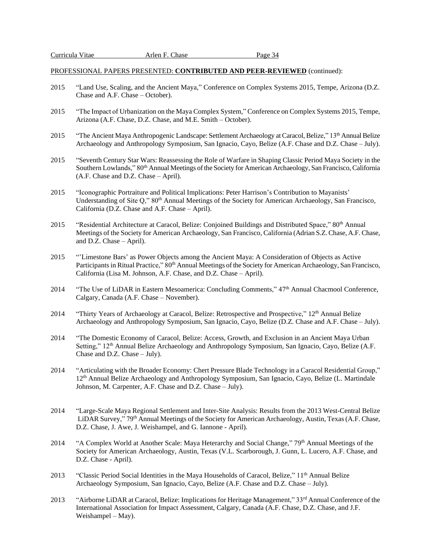- 2015 "Land Use, Scaling, and the Ancient Maya," Conference on Complex Systems 2015, Tempe, Arizona (D.Z. Chase and A.F. Chase – October).
- 2015 "The Impact of Urbanization on the Maya Complex System," Conference on Complex Systems 2015, Tempe, Arizona (A.F. Chase, D.Z. Chase, and M.E. Smith – October).
- 2015 "The Ancient Maya Anthropogenic Landscape: Settlement Archaeology at Caracol, Belize," 13th Annual Belize Archaeology and Anthropology Symposium, San Ignacio, Cayo, Belize (A.F. Chase and D.Z. Chase – July).
- 2015 "Seventh Century Star Wars: Reassessing the Role of Warfare in Shaping Classic Period Maya Society in the Southern Lowlands," 80<sup>th</sup> Annual Meetings of the Society for American Archaeology, San Francisco, California (A.F. Chase and D.Z. Chase – April).
- 2015 "Iconographic Portraiture and Political Implications: Peter Harrison's Contribution to Mayanists' Understanding of Site Q," 80<sup>th</sup> Annual Meetings of the Society for American Archaeology, San Francisco, California (D.Z. Chase and A.F. Chase – April).
- 2015 "Residential Architecture at Caracol, Belize: Conjoined Buildings and Distributed Space," 80<sup>th</sup> Annual Meetings of the Society for American Archaeology, San Francisco, California (Adrian S.Z. Chase, A.F. Chase, and D.Z. Chase – April).
- 2015 "'Limestone Bars' as Power Objects among the Ancient Maya: A Consideration of Objects as Active Participants in Ritual Practice," 80<sup>th</sup> Annual Meetings of the Society for American Archaeology, San Francisco, California (Lisa M. Johnson, A.F. Chase, and D.Z. Chase – April).
- 2014 "The Use of LiDAR in Eastern Mesoamerica: Concluding Comments," 47th Annual Chacmool Conference, Calgary, Canada (A.F. Chase – November).
- 2014 "Thirty Years of Archaeology at Caracol, Belize: Retrospective and Prospective," 12<sup>th</sup> Annual Belize Archaeology and Anthropology Symposium, San Ignacio, Cayo, Belize (D.Z. Chase and A.F. Chase – July).
- 2014 "The Domestic Economy of Caracol, Belize: Access, Growth, and Exclusion in an Ancient Maya Urban Setting," 12<sup>th</sup> Annual Belize Archaeology and Anthropology Symposium, San Ignacio, Cayo, Belize (A.F. Chase and D.Z. Chase – July).
- 2014 "Articulating with the Broader Economy: Chert Pressure Blade Technology in a Caracol Residential Group," 12th Annual Belize Archaeology and Anthropology Symposium, San Ignacio, Cayo, Belize (L. Martindale Johnson, M. Carpenter, A.F. Chase and D.Z. Chase – July).
- 2014 "Large-Scale Maya Regional Settlement and Inter-Site Analysis: Results from the 2013 West-Central Belize LiDAR Survey," 79<sup>th</sup> Annual Meetings of the Society for American Archaeology, Austin, Texas (A.F. Chase, D.Z. Chase, J. Awe, J. Weishampel, and G. Iannone - April).
- 2014 "A Complex World at Another Scale: Maya Heterarchy and Social Change," 79<sup>th</sup> Annual Meetings of the Society for American Archaeology, Austin, Texas (V.L. Scarborough, J. Gunn, L. Lucero, A.F. Chase, and D.Z. Chase - April).
- 2013 "Classic Period Social Identities in the Maya Households of Caracol, Belize," 11<sup>th</sup> Annual Belize Archaeology Symposium, San Ignacio, Cayo, Belize (A.F. Chase and D.Z. Chase – July).
- 2013 "Airborne LiDAR at Caracol, Belize: Implications for Heritage Management," 33rd Annual Conference of the International Association for Impact Assessment, Calgary, Canada (A.F. Chase, D.Z. Chase, and J.F. Weishampel – May).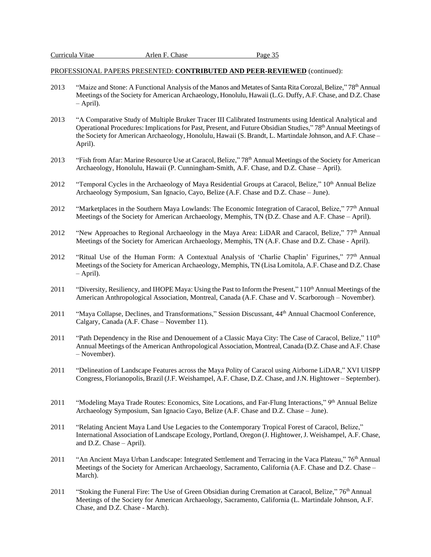- 2013 "Maize and Stone: A Functional Analysis of the Manos and Metates of Santa Rita Corozal, Belize," 78<sup>th</sup> Annual Meetings of the Society for American Archaeology, Honolulu, Hawaii (L.G. Duffy, A.F. Chase, and D.Z. Chase – April).
- 2013 "A Comparative Study of Multiple Bruker Tracer III Calibrated Instruments using Identical Analytical and Operational Procedures: Implications for Past, Present, and Future Obsidian Studies," 78<sup>th</sup> Annual Meetings of the Society for American Archaeology, Honolulu, Hawaii (S. Brandt, L. Martindale Johnson, and A.F. Chase – April).
- 2013 "Fish from Afar: Marine Resource Use at Caracol, Belize," 78<sup>th</sup> Annual Meetings of the Society for American Archaeology, Honolulu, Hawaii (P. Cunningham-Smith, A.F. Chase, and D.Z. Chase – April).
- 2012 "Temporal Cycles in the Archaeology of Maya Residential Groups at Caracol, Belize," 10<sup>th</sup> Annual Belize Archaeology Symposium, San Ignacio, Cayo, Belize (A.F. Chase and D.Z. Chase – June).
- 2012 "Marketplaces in the Southern Maya Lowlands: The Economic Integration of Caracol, Belize," 77<sup>th</sup> Annual Meetings of the Society for American Archaeology, Memphis, TN (D.Z. Chase and A.F. Chase – April).
- 2012 "New Approaches to Regional Archaeology in the Maya Area: LiDAR and Caracol, Belize," 77<sup>th</sup> Annual Meetings of the Society for American Archaeology, Memphis, TN (A.F. Chase and D.Z. Chase - April).
- 2012 "Ritual Use of the Human Form: A Contextual Analysis of 'Charlie Chaplin' Figurines," 77th Annual Meetings of the Society for American Archaeology, Memphis, TN (Lisa Lomitola, A.F. Chase and D.Z. Chase – April).
- 2011 "Diversity, Resiliency, and IHOPE Maya: Using the Past to Inform the Present," 110<sup>th</sup> Annual Meetings of the American Anthropological Association, Montreal, Canada (A.F. Chase and V. Scarborough – November).
- 2011 "Maya Collapse, Declines, and Transformations," Session Discussant, 44<sup>th</sup> Annual Chacmool Conference, Calgary, Canada (A.F. Chase – November 11).
- 2011 "Path Dependency in the Rise and Denouement of a Classic Maya City: The Case of Caracol, Belize," 110<sup>th</sup> Annual Meetings of the American Anthropological Association, Montreal, Canada (D.Z. Chase and A.F. Chase – November).
- 2011 "Delineation of Landscape Features across the Maya Polity of Caracol using Airborne LiDAR," XVI UISPP Congress, Florianopolis, Brazil (J.F. Weishampel, A.F. Chase, D.Z. Chase, and J.N. Hightower – September).
- 2011 "Modeling Maya Trade Routes: Economics, Site Locations, and Far-Flung Interactions," 9<sup>th</sup> Annual Belize Archaeology Symposium, San Ignacio Cayo, Belize (A.F. Chase and D.Z. Chase – June).
- 2011 "Relating Ancient Maya Land Use Legacies to the Contemporary Tropical Forest of Caracol, Belize," International Association of Landscape Ecology, Portland, Oregon (J. Hightower, J. Weishampel, A.F. Chase, and D.Z. Chase – April).
- 2011 "An Ancient Maya Urban Landscape: Integrated Settlement and Terracing in the Vaca Plateau," 76<sup>th</sup> Annual Meetings of the Society for American Archaeology, Sacramento, California (A.F. Chase and D.Z. Chase – March).
- 2011 "Stoking the Funeral Fire: The Use of Green Obsidian during Cremation at Caracol, Belize," 76<sup>th</sup> Annual Meetings of the Society for American Archaeology, Sacramento, California (L. Martindale Johnson, A.F. Chase, and D.Z. Chase - March).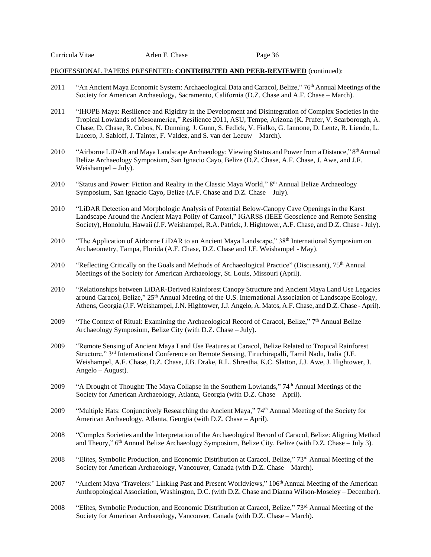- 2011 "An Ancient Maya Economic System: Archaeological Data and Caracol, Belize," 76<sup>th</sup> Annual Meetings of the Society for American Archaeology, Sacramento, California (D.Z. Chase and A.F. Chase – March).
- 2011 "IHOPE Maya: Resilience and Rigidity in the Development and Disintegration of Complex Societies in the Tropical Lowlands of Mesoamerica," Resilience 2011, ASU, Tempe, Arizona (K. Prufer, V. Scarborough, A. Chase, D. Chase, R. Cobos, N. Dunning, J. Gunn, S. Fedick, V. Fialko, G. Iannone, D. Lentz, R. Liendo, L. Lucero, J. Sabloff, J. Tainter, F. Valdez, and S. van der Leeuw – March).
- 2010 "Airborne LiDAR and Maya Landscape Archaeology: Viewing Status and Power from a Distance," 8<sup>th</sup> Annual Belize Archaeology Symposium, San Ignacio Cayo, Belize (D.Z. Chase, A.F. Chase, J. Awe, and J.F. Weishampel – July).
- 2010 "Status and Power: Fiction and Reality in the Classic Maya World," 8<sup>th</sup> Annual Belize Archaeology Symposium, San Ignacio Cayo, Belize (A.F. Chase and D.Z. Chase – July).
- 2010 "LiDAR Detection and Morphologic Analysis of Potential Below-Canopy Cave Openings in the Karst Landscape Around the Ancient Maya Polity of Caracol," IGARSS (IEEE Geoscience and Remote Sensing Society), Honolulu, Hawaii (J.F. Weishampel, R.A. Patrick, J. Hightower, A.F. Chase, and D.Z. Chase - July).
- 2010 "The Application of Airborne LiDAR to an Ancient Maya Landscape," 38<sup>th</sup> International Symposium on Archaeometry, Tampa, Florida (A.F. Chase, D.Z. Chase and J.F. Weishampel - May).
- 2010 "Reflecting Critically on the Goals and Methods of Archaeological Practice" (Discussant), 75<sup>th</sup> Annual Meetings of the Society for American Archaeology, St. Louis, Missouri (April).
- 2010 "Relationships between LiDAR-Derived Rainforest Canopy Structure and Ancient Maya Land Use Legacies around Caracol, Belize," 25<sup>th</sup> Annual Meeting of the U.S. International Association of Landscape Ecology, Athens, Georgia (J.F. Weishampel, J.N. Hightower, J.J. Angelo, A. Matos, A.F. Chase, and D.Z. Chase - April).
- 2009 "The Context of Ritual: Examining the Archaeological Record of Caracol, Belize," 7<sup>th</sup> Annual Belize Archaeology Symposium, Belize City (with D.Z. Chase – July).
- 2009 "Remote Sensing of Ancient Maya Land Use Features at Caracol, Belize Related to Tropical Rainforest Structure," 3rd International Conference on Remote Sensing, Tiruchirapalli, Tamil Nadu, India (J.F. Weishampel, A.F. Chase, D.Z. Chase, J.B. Drake, R.L. Shrestha, K.C. Slatton, J.J. Awe, J. Hightower, J. Angelo – August).
- 2009 "A Drought of Thought: The Maya Collapse in the Southern Lowlands," 74<sup>th</sup> Annual Meetings of the Society for American Archaeology, Atlanta, Georgia (with D.Z. Chase – April).
- 2009 "Multiple Hats: Conjunctively Researching the Ancient Maya," 74th Annual Meeting of the Society for American Archaeology, Atlanta, Georgia (with D.Z. Chase – April).
- 2008 "Complex Societies and the Interpretation of the Archaeological Record of Caracol, Belize: Aligning Method and Theory," 6<sup>th</sup> Annual Belize Archaeology Symposium, Belize City, Belize (with D.Z. Chase - July 3).
- 2008 "Elites, Symbolic Production, and Economic Distribution at Caracol, Belize," 73<sup>rd</sup> Annual Meeting of the Society for American Archaeology, Vancouver, Canada (with D.Z. Chase – March).
- 2007 "Ancient Maya 'Travelers:' Linking Past and Present Worldviews," 106<sup>th</sup> Annual Meeting of the American Anthropological Association, Washington, D.C. (with D.Z. Chase and Dianna Wilson-Moseley – December).
- 2008 "Elites, Symbolic Production, and Economic Distribution at Caracol, Belize," 73rd Annual Meeting of the Society for American Archaeology, Vancouver, Canada (with D.Z. Chase – March).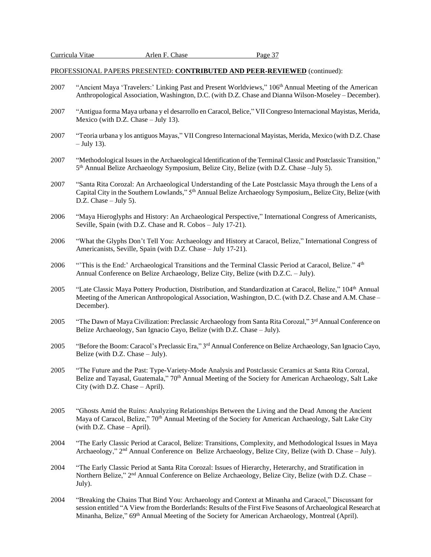- 2007 "Ancient Maya 'Travelers:' Linking Past and Present Worldviews," 106<sup>th</sup> Annual Meeting of the American Anthropological Association, Washington, D.C. (with D.Z. Chase and Dianna Wilson-Moseley – December).
- 2007 "Antigua forma Maya urbana y el desarrollo en Caracol, Belice," VII Congreso Internacional Mayistas, Merida, Mexico (with D.Z. Chase – July 13).
- 2007 "Teoria urbana y los antiguos Mayas," VII Congreso Internacional Mayistas, Merida, Mexico (with D.Z. Chase  $-$  July 13).
- 2007 "Methodological Issues in the Archaeological Identification of the Terminal Classic and Postclassic Transition," 5<sup>th</sup> Annual Belize Archaeology Symposium, Belize City, Belize (with D.Z. Chase -July 5).
- 2007 "Santa Rita Corozal: An Archaeological Understanding of the Late Postclassic Maya through the Lens of a Capital City in the Southern Lowlands," 5th Annual Belize Archaeology Symposium,, Belize City, Belize (with D.Z. Chase – July 5).
- 2006 "Maya Hieroglyphs and History: An Archaeological Perspective," International Congress of Americanists, Seville, Spain (with D.Z. Chase and R. Cobos – July 17-21).
- 2006 "What the Glyphs Don't Tell You: Archaeology and History at Caracol, Belize," International Congress of Americanists, Seville, Spain (with D.Z. Chase – July 17-21).
- 2006 "'This is the End:' Archaeological Transitions and the Terminal Classic Period at Caracol, Belize." 4<sup>th</sup> Annual Conference on Belize Archaeology, Belize City, Belize (with D.Z.C. – July).
- 2005 "Late Classic Maya Pottery Production, Distribution, and Standardization at Caracol, Belize," 104th Annual Meeting of the American Anthropological Association, Washington, D.C. (with D.Z. Chase and A.M. Chase – December).
- 2005 "The Dawn of Maya Civilization: Preclassic Archaeology from Santa Rita Corozal," 3<sup>rd</sup> Annual Conference on Belize Archaeology, San Ignacio Cayo, Belize (with D.Z. Chase – July).
- 2005 "Before the Boom: Caracol's Preclassic Era," 3rd Annual Conference on Belize Archaeology, San Ignacio Cayo, Belize (with D.Z. Chase – July).
- 2005 "The Future and the Past: Type-Variety-Mode Analysis and Postclassic Ceramics at Santa Rita Corozal, Belize and Tayasal, Guatemala," 70<sup>th</sup> Annual Meeting of the Society for American Archaeology, Salt Lake City (with D.Z. Chase – April).
- 2005 "Ghosts Amid the Ruins: Analyzing Relationships Between the Living and the Dead Among the Ancient Maya of Caracol, Belize," 70<sup>th</sup> Annual Meeting of the Society for American Archaeology, Salt Lake City (with D.Z. Chase – April).
- 2004 "The Early Classic Period at Caracol, Belize: Transitions, Complexity, and Methodological Issues in Maya Archaeology," 2<sup>nd</sup> Annual Conference on Belize Archaeology, Belize City, Belize (with D. Chase – July).
- 2004 "The Early Classic Period at Santa Rita Corozal: Issues of Hierarchy, Heterarchy, and Stratification in Northern Belize," 2<sup>nd</sup> Annual Conference on Belize Archaeology, Belize City, Belize (with D.Z. Chase -July).
- 2004 "Breaking the Chains That Bind You: Archaeology and Context at Minanha and Caracol," Discussant for session entitled "A View from the Borderlands: Results of the First Five Seasons of Archaeological Research at Minanha, Belize," 69<sup>th</sup> Annual Meeting of the Society for American Archaeology, Montreal (April).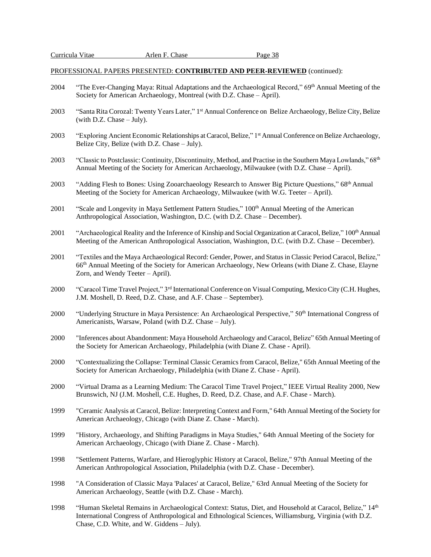- 2004 "The Ever-Changing Maya: Ritual Adaptations and the Archaeological Record," 69<sup>th</sup> Annual Meeting of the Society for American Archaeology, Montreal (with D.Z. Chase – April).
- 2003 "Santa Rita Corozal: Twenty Years Later," 1<sup>st</sup> Annual Conference on Belize Archaeology, Belize City, Belize (with D.Z. Chase – July).
- 2003 "Exploring Ancient Economic Relationships at Caracol, Belize," 1st Annual Conference on Belize Archaeology, Belize City, Belize (with D.Z. Chase – July).
- 2003 "Classic to Postclassic: Continuity, Discontinuity, Method, and Practise in the Southern Maya Lowlands," 68<sup>th</sup> Annual Meeting of the Society for American Archaeology, Milwaukee (with D.Z. Chase – April).
- 2003 "Adding Flesh to Bones: Using Zooarchaeology Research to Answer Big Picture Questions,"  $68<sup>th</sup>$  Annual Meeting of the Society for American Archaeology, Milwaukee (with W.G. Teeter – April).
- 2001 "Scale and Longevity in Maya Settlement Pattern Studies," 100<sup>th</sup> Annual Meeting of the American Anthropological Association, Washington, D.C. (with D.Z. Chase – December).
- 2001 "Archaeological Reality and the Inference of Kinship and Social Organization at Caracol, Belize," 100<sup>th</sup> Annual Meeting of the American Anthropological Association, Washington, D.C. (with D.Z. Chase – December).
- 2001 "Textiles and the Maya Archaeological Record: Gender, Power, and Status in Classic Period Caracol, Belize," 66th Annual Meeting of the Society for American Archaeology, New Orleans (with Diane Z. Chase, Elayne Zorn, and Wendy Teeter – April).
- 2000 "Caracol Time Travel Project," 3<sup>rd</sup> International Conference on Visual Computing, Mexico City (C.H. Hughes, J.M. Moshell, D. Reed, D.Z. Chase, and A.F. Chase – September).
- 2000 "Underlying Structure in Maya Persistence: An Archaeological Perspective," 50<sup>th</sup> International Congress of Americanists, Warsaw, Poland (with D.Z. Chase – July).
- 2000 "Inferences about Abandonment: Maya Household Archaeology and Caracol, Belize" 65th Annual Meeting of the Society for American Archaeology, Philadelphia (with Diane Z. Chase - April).
- 2000 "Contextualizing the Collapse: Terminal Classic Ceramicsfrom Caracol, Belize," 65th Annual Meeting of the Society for American Archaeology, Philadelphia (with Diane Z. Chase - April).
- 2000 "Virtual Drama as a Learning Medium: The Caracol Time Travel Project," IEEE Virtual Reality 2000, New Brunswich, NJ (J.M. Moshell, C.E. Hughes, D. Reed, D.Z. Chase, and A.F. Chase - March).
- 1999 "Ceramic Analysis at Caracol, Belize: Interpreting Context and Form," 64th Annual Meeting of the Society for American Archaeology, Chicago (with Diane Z. Chase - March).
- 1999 "History, Archaeology, and Shifting Paradigms in Maya Studies," 64th Annual Meeting of the Society for American Archaeology, Chicago (with Diane Z. Chase - March).
- 1998 "Settlement Patterns, Warfare, and Hieroglyphic History at Caracol, Belize," 97th Annual Meeting of the American Anthropological Association, Philadelphia (with D.Z. Chase - December).
- 1998 "A Consideration of Classic Maya 'Palaces' at Caracol, Belize," 63rd Annual Meeting of the Society for American Archaeology, Seattle (with D.Z. Chase - March).
- 1998 "Human Skeletal Remains in Archaeological Context: Status, Diet, and Household at Caracol, Belize," 14th International Congress of Anthropological and Ethnological Sciences, Williamsburg, Virginia (with D.Z. Chase, C.D. White, and W. Giddens – July).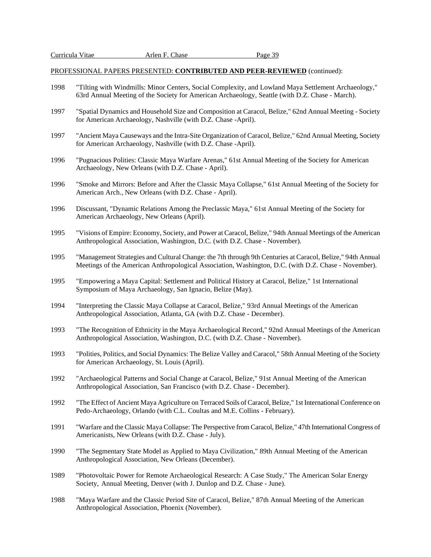- 1998 "Tilting with Windmills: Minor Centers, Social Complexity, and Lowland Maya Settlement Archaeology," 63rd Annual Meeting of the Society for American Archaeology, Seattle (with D.Z. Chase - March).
- 1997 "Spatial Dynamics and Household Size and Composition at Caracol, Belize," 62nd Annual Meeting Society for American Archaeology, Nashville (with D.Z. Chase -April).
- 1997 "Ancient Maya Causeways and the Intra-Site Organization of Caracol, Belize," 62nd Annual Meeting, Society for American Archaeology, Nashville (with D.Z. Chase -April).
- 1996 "Pugnacious Polities: Classic Maya Warfare Arenas," 61st Annual Meeting of the Society for American Archaeology, New Orleans (with D.Z. Chase - April).
- 1996 "Smoke and Mirrors: Before and After the Classic Maya Collapse," 61st Annual Meeting of the Society for American Arch., New Orleans (with D.Z. Chase - April).
- 1996 Discussant, "Dynamic Relations Among the Preclassic Maya," 61st Annual Meeting of the Society for American Archaeology, New Orleans (April).
- 1995 "Visions of Empire: Economy, Society, and Power at Caracol, Belize," 94th Annual Meetings of the American Anthropological Association, Washington, D.C. (with D.Z. Chase - November).
- 1995 "Management Strategies and Cultural Change: the 7th through 9th Centuries at Caracol, Belize," 94th Annual Meetings of the American Anthropological Association, Washington, D.C. (with D.Z. Chase - November).
- 1995 "Empowering a Maya Capital: Settlement and Political History at Caracol, Belize," 1st International Symposium of Maya Archaeology, San Ignacio, Belize (May).
- 1994 "Interpreting the Classic Maya Collapse at Caracol, Belize," 93rd Annual Meetings of the American Anthropological Association, Atlanta, GA (with D.Z. Chase - December).
- 1993 "The Recognition of Ethnicity in the Maya Archaeological Record," 92nd Annual Meetings of the American Anthropological Association, Washington, D.C. (with D.Z. Chase - November).
- 1993 "Polities, Politics, and Social Dynamics: The Belize Valley and Caracol," 58th Annual Meeting of the Society for American Archaeology, St. Louis (April).
- 1992 "Archaeological Patterns and Social Change at Caracol, Belize," 91st Annual Meeting of the American Anthropological Association, San Francisco (with D.Z. Chase - December).
- 1992 "The Effect of Ancient Maya Agriculture on Terraced Soils of Caracol, Belize," 1st International Conference on Pedo-Archaeology, Orlando (with C.L. Coultas and M.E. Collins - February).
- 1991 "Warfare and the Classic Maya Collapse: The Perspective from Caracol, Belize," 47th International Congress of Americanists, New Orleans (with D.Z. Chase - July).
- 1990 "The Segmentary State Model as Applied to Maya Civilization," 89th Annual Meeting of the American Anthropological Association, New Orleans (December).
- 1989 "Photovoltaic Power for Remote Archaeological Research: A Case Study," The American Solar Energy Society, Annual Meeting, Denver (with J. Dunlop and D.Z. Chase - June).
- 1988 "Maya Warfare and the Classic Period Site of Caracol, Belize," 87th Annual Meeting of the American Anthropological Association, Phoenix (November).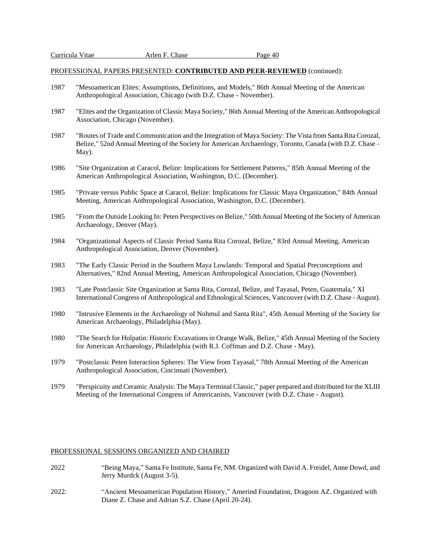- 1987 "Mesoamerican Elites: Assumptions, Definitions, and Models," 86th Annual Meeting of the American Anthropological Association, Chicago (with D.Z. Chase - November).
- 1987 "Elites and the Organization of Classic Maya Society," 86th Annual Meeting of the American Anthropological Association, Chicago (November).
- 1987 "Routes of Trade and Communication and the Integration of Maya Society: The Vista from Santa Rita Corozal, Belize," 52nd Annual Meeting of the Society for American Archaeology, Toronto, Canada (with D.Z. Chase – May).
- 1986 "Site Organization at Caracol, Belize: Implications for Settlement Patterns," 85th Annual Meeting of the American Anthropological Association, Washington, D.C. (December).
- 1985 "Private versus Public Space at Caracol, Belize: Implications for Classic Maya Organization," 84th Annual Meeting, American Anthropological Association, Washington, D.C. (December).
- 1985 "From the Outside Looking In: Peten Perspectives on Belize," 50th Annual Meeting of the Society of American Archaeology, Denver (May).
- 1984 "Organizational Aspects of Classic Period Santa Rita Corozal, Belize," 83rd Annual Meeting, American Anthropological Association, Denver (November).
- 1983 "The Early Classic Period in the Southern Maya Lowlands: Temporal and Spatial Preconceptions and Alternatives," 82nd Annual Meeting, American Anthropological Association, Chicago (November).
- 1983 "Late Postclassic Site Organization at Santa Rita, Corozal, Belize, and Tayasal, Peten, Guatemala," XI International Congress of Anthropological and Ethnological Sciences, Vancouver (with D.Z. Chase - August).
- 1980 "Intrusive Elements in the Archaeology of Nohmul and Santa Rita", 45th Annual Meeting of the Society for American Archaeology, Philadelphia (May).
- 1980 "The Search for Holpatin: Historic Excavations in Orange Walk, Belize," 45th Annual Meeting of the Society for American Archaeology, Philadelphia (with R.J. Coffman and D.Z. Chase - May).
- 1979 "Postclassic Peten Interaction Spheres: The View from Tayasal," 78th Annual Meeting of the American Anthropological Association, Cincinnati (November).
- 1979 "Perspicuity and Ceramic Analysis: The Maya Terminal Classic," paper prepared and distributed for the XLIII Meeting of the International Congress of Americanists, Vancouver (with D.Z. Chase - August).

#### PROFESSIONAL SESSIONS ORGANIZED AND CHAIRED

- 2022 "Being Maya," Santa Fe Institute, Santa Fe, NM. Organized with David A. Freidel, Anne Dowd, and Jerry Murdck (August 3-5).
- 2022: "Ancient Mesoamerican Population History," Amerind Foundation, Dragoon AZ. Organized with Diane Z. Chase and Adrian S.Z. Chase (April 20-24).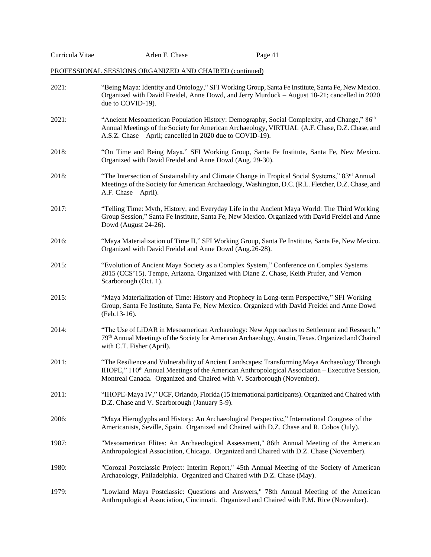|  | Curricula Vitae |
|--|-----------------|
|  |                 |

Page 41

# PROFESSIONAL SESSIONS ORGANIZED AND CHAIRED (continued)

| 2021: | "Being Maya: Identity and Ontology," SFI Working Group, Santa Fe Institute, Santa Fe, New Mexico.<br>Organized with David Freidel, Anne Dowd, and Jerry Murdock - August 18-21; cancelled in 2020<br>due to COVID-19).                                                                 |
|-------|----------------------------------------------------------------------------------------------------------------------------------------------------------------------------------------------------------------------------------------------------------------------------------------|
| 2021: | "Ancient Mesoamerican Population History: Demography, Social Complexity, and Change," 86 <sup>th</sup><br>Annual Meetings of the Society for American Archaeology, VIRTUAL (A.F. Chase, D.Z. Chase, and<br>A.S.Z. Chase – April; cancelled in 2020 due to COVID-19).                   |
| 2018: | "On Time and Being Maya." SFI Working Group, Santa Fe Institute, Santa Fe, New Mexico.<br>Organized with David Freidel and Anne Dowd (Aug. 29-30).                                                                                                                                     |
| 2018: | "The Intersection of Sustainability and Climate Change in Tropical Social Systems," 83 <sup>rd</sup> Annual<br>Meetings of the Society for American Archaeology, Washington, D.C. (R.L. Fletcher, D.Z. Chase, and<br>A.F. Chase - April).                                              |
| 2017: | "Telling Time: Myth, History, and Everyday Life in the Ancient Maya World: The Third Working<br>Group Session," Santa Fe Institute, Santa Fe, New Mexico. Organized with David Freidel and Anne<br>Dowd (August 24-26).                                                                |
| 2016: | "Maya Materialization of Time II," SFI Working Group, Santa Fe Institute, Santa Fe, New Mexico.<br>Organized with David Freidel and Anne Dowd (Aug.26-28).                                                                                                                             |
| 2015: | "Evolution of Ancient Maya Society as a Complex System," Conference on Complex Systems<br>2015 (CCS'15). Tempe, Arizona. Organized with Diane Z. Chase, Keith Prufer, and Vernon<br>Scarborough (Oct. 1).                                                                              |
| 2015: | "Maya Materialization of Time: History and Prophecy in Long-term Perspective," SFI Working<br>Group, Santa Fe Institute, Santa Fe, New Mexico. Organized with David Freidel and Anne Dowd<br>(Feb.13-16).                                                                              |
| 2014: | "The Use of LiDAR in Mesoamerican Archaeology: New Approaches to Settlement and Research,"<br>79th Annual Meetings of the Society for American Archaeology, Austin, Texas. Organized and Chaired<br>with C.T. Fisher (April).                                                          |
| 2011: | "The Resilience and Vulnerability of Ancient Landscapes: Transforming Maya Archaeology Through<br>IHOPE," 110 <sup>th</sup> Annual Meetings of the American Anthropological Association – Executive Session,<br>Montreal Canada. Organized and Chaired with V. Scarborough (November). |
| 2011: | "IHOPE-Maya IV," UCF, Orlando, Florida (15 international participants). Organized and Chaired with<br>D.Z. Chase and V. Scarborough (January 5-9).                                                                                                                                     |
| 2006: | "Maya Hieroglyphs and History: An Archaeological Perspective," International Congress of the<br>Americanists, Seville, Spain. Organized and Chaired with D.Z. Chase and R. Cobos (July).                                                                                               |
| 1987: | "Mesoamerican Elites: An Archaeological Assessment," 86th Annual Meeting of the American<br>Anthropological Association, Chicago. Organized and Chaired with D.Z. Chase (November).                                                                                                    |
| 1980: | "Corozal Postclassic Project: Interim Report," 45th Annual Meeting of the Society of American<br>Archaeology, Philadelphia. Organized and Chaired with D.Z. Chase (May).                                                                                                               |
| 1979: | "Lowland Maya Postclassic: Questions and Answers," 78th Annual Meeting of the American<br>Anthropological Association, Cincinnati. Organized and Chaired with P.M. Rice (November).                                                                                                    |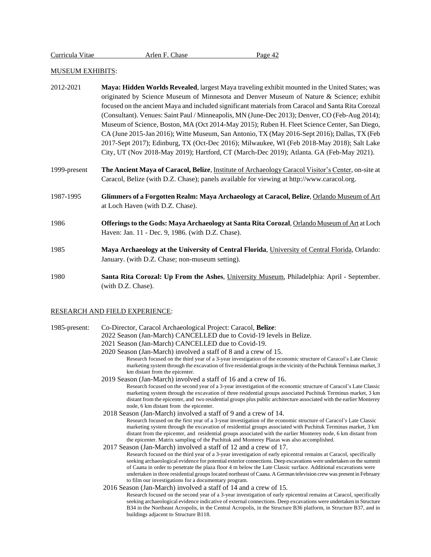### MUSEUM EXHIBITS:

- 2012-2021 **Maya: Hidden Worlds Revealed**, largest Maya traveling exhibit mounted in the United States; was originated by Science Museum of Minnesota and Denver Museum of Nature & Science; exhibit focused on the ancient Maya and included significant materials from Caracol and Santa Rita Corozal (Consultant). Venues: Saint Paul / Minneapolis, MN (June-Dec 2013); Denver, CO (Feb-Aug 2014); Museum of Science, Boston, MA (Oct 2014-May 2015); Ruben H. Fleet Science Center, San Diego, CA (June 2015-Jan 2016); Witte Museum, San Antonio, TX (May 2016-Sept 2016); Dallas, TX (Feb 2017-Sept 2017); Edinburg, TX (Oct-Dec 2016); Milwaukee, WI (Feb 2018-May 2018); Salt Lake City, UT (Nov 2018-May 2019); Hartford, CT (March-Dec 2019); Atlanta. GA (Feb-May 2021).
- 1999-present **The Ancient Maya of Caracol, Belize**, Institute of Archaeology Caracol Visitor's Center, on-site at Caracol, Belize (with D.Z. Chase); panels available for viewing at http://www.caracol.org.
- 1987-1995 **Glimmers of a Forgotten Realm: Maya Archaeology at Caracol, Belize**, Orlando Museum of Art at Loch Haven (with D.Z. Chase).
- 1986 **Offerings to the Gods: Maya Archaeology at Santa Rita Corozal**, Orlando Museum of Art at Loch Haven: Jan. 11 - Dec. 9, 1986. (with D.Z. Chase).
- 1985 **Maya Archaeology at the University of Central Florida**, University of Central Florida, Orlando: January. (with D.Z. Chase; non-museum setting).
- 1980 **Santa Rita Corozal: Up From the Ashes**, University Museum, Philadelphia: April September. (with D.Z. Chase).

#### RESEARCH AND FIELD EXPERIENCE:

1985-present: Co-Director, Caracol Archaeological Project: Caracol, **Belize**:

- 2022 Season (Jan-March) CANCELLED due to Covid-19 levels in Belize.
- 2021 Season (Jan-March) CANCELLED due to Covid-19.
- 2020 Season (Jan-March) involved a staff of 8 and a crew of 15. Research focused on the third year of a 3-year investigation of the economic structure of Caracol's Late Classic marketing system through the excavation of five residential groupsin the vicinity of the Puchituk Terminus market, 3 km distant from the epicenter.
- 2019 Season (Jan-March) involved a staff of 16 and a crew of 16. Research focused on the second year of a 3-year investigation of the economic structure of Caracol's Late Classic marketing system through the excavation of three residential groups associated Puchituk Terminus market, 3 km distant from the epicenter, and two residential groups plus public architecture associated with the earlier Monterey node, 6 km distant from the epicenter.
- 2018 Season (Jan-March) involved a staff of 9 and a crew of 14. Research focused on the first year of a 3-year investigation of the economic structure of Caracol's Late Classic marketing system through the excavation of residential groups associated with Puchituk Terminus market, 3 km distant from the epicenter, and residential groups associated with the earlier Monterey node, 6 km distant from the epicenter. Matrix sampling of the Puchituk and Monterey Plazas was also accomplished.
- 2017 Season (Jan-March) involved a staff of 12 and a crew of 17. Research focused on the third year of a 3-year investigation of early epicentral remains at Caracol, specifically seeking archaeological evidence for potential exterior connections. Deep excavations were undertaken on the summit of Caana in order to penetrate the plaza floor 4 m below the Late Classic surface. Additional excavations were undertaken in three residential groups located northeast of Caana. A German television crew was present in February to film our investigations for a documentary program.
- 2016 Season (Jan-March) involved a staff of 14 and a crew of 15.
	- Research focused on the second year of a 3-year investigation of early epicentral remains at Caracol, specifically seeking archaeological evidence indicative of external connections. Deep excavations were undertaken in Structure B34 in the Northeast Acropolis, in the Central Acropolis, in the Structure B36 platform, in Structure B37, and in buildings adjacent to Structure B118.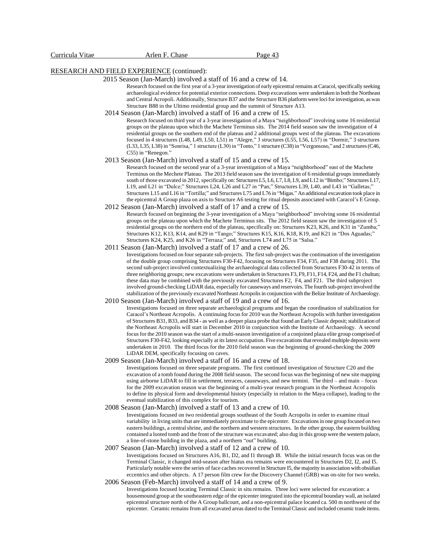# RESEARCH AND FIELD EXPERIENCE (continued):

2015 Season (Jan-March) involved a staff of 16 and a crew of 14.

Research focused on the first year of a 3-year investigation of early epicentral remains at Caracol, specifically seeking archaeological evidence for potential exterior connections. Deep excavations were undertaken in both the Northeast and Central Acropoli. Additionally, Structure B37 and the Structure B36 platform were loci for investigation, as was Structure B88 in the Ultimo residential group and the summit of Structure A13.

2014 Season (Jan-March) involved a staff of 16 and a crew of 15.

Research focused on third year of a 3-year investigation of a Maya "neighborhood" involving some 16 residential groups on the plateau upon which the Machete Terminus sits. The 2014 field season saw the investigation of 4 residential groups on the southern end of the plateau and 2 additional groups west of the plateau. The excavations focused in 4 structures (L48, L49, L50, L51) in "Alegre," 3 structures (L55, L56, L57) in "Dormir," 3 structures (L33, L35, L38) in "Sonrisa," 1 structure (L30) in "Tonto," 1 structure (C38) in "Vergonsoso," and 2 structures(C46, C55) in "Renegon."

2013 Season (Jan-March) involved a staff of 15 and a crew of 15.

Research focused on the second year of a 3-year investigation of a Maya "neighborhood" east of the Machete Terminus on the Mechete Plateau. The 2013 field season saw the investigation of 6 residential groups immediately south of those excavated in 2012, specifically on: Structures L5, L6, L7, L8, L9, and L12 in "Bimbo;" Structures L17, L19, and L21 in "Dulce;" Structures L24, L26 and L27 in "Pan;" Structures L39, L40, and L43 in "Galletas;" Structures L15 and L16 in "Tortilla;" and Structures L75 and L76 in "Migas." An additional excavation took place in the epicentral A Group plaza on axis to Structure A6 testing for ritual deposits associated with Caracol's E Group.

- 2012 Season (Jan-March) involved a staff of 17 and a crew of 15. Research focused on beginning the 3-year investigation of a Maya "neighborhood" involving some 16 residential groups on the plateau upon which the Machete Terminus sits. The 2012 field season saw the investigation of 5 residential groups on the northern end of the plateau, specifically on: Structures K23, K26, and K31 in "Zumba;" Structures K12, K13, K14, and K29 in "Tango;" Structures K15, K16, K18, K19, and K21 in "Dos Aguadas;" Structures K24, K25, and K26 in "Terraza;" and, Structures L74 and L75 in "Salsa."
- 2011 Season (Jan-March) involved a staff of 17 and a crew of 26.

Investigations focused on four separate sub-projects. The first sub-project was the continuation of the investigation of the double group comprising Structures F30-F42, focusing on Structures F34, F35, and F38 during 2011. The second sub-project involved contextualizing the archaeological data collected from Structures F30-42 in terms of three neighboring groups; new excavations were undertaken in Structures F3, F9, F11, F14, F24, and the F1 chultun; these data may be combined with the previously excavated Structures F2, F4, and F21. The third subproject involved ground-checking LiDAR data, especially for causeways and reservoirs. The fourth sub-project involved the stabilization of the previously excavated Northeast Acropolis in conjunction with the Belize Institute of Archaeology.

2010 Season (Jan-March) involved a staff of 19 and a crew of 16.

Investigations focused on three separate archaeological programs and began the coordination of stabilization for Caracol's Northeast Acropolis. A continuing focus for 2010 was the Northeast Acropolis with further investigation of Structures B31, B33, and B34 - as well as a deeper plaza probe that found an Early Classic deposit; stabilization of the Northeast Acropolis will start in December 2010 in conjunction with the Institute of Archaeology. A second focus for the 2010 season was the start of a multi-season investigation of a conjoined plaza elite group comprised of Structures F30-F42, looking especially at its latest occupation. Five excavations that revealed multiple deposits were undertaken in 2010. The third focus for the 2010 field season was the beginning of ground-checking the 2009 LiDAR DEM, specifically focusing on caves.

2009 Season (Jan-March) involved a staff of 16 and a crew of 18.

Investigations focused on three separate programs. The first continued investigation of Structure C20 and the excavation of a tomb found during the 2008 field season. The second focus was the beginning of new site mapping using airborne LiDAR to fill in settlement, terraces, causeways, and new termini. The third – and main – focus for the 2009 excavation season was the beginning of a multi-year research program in the Northeast Acropolis to define its physical form and developmental history (especially in relation to the Maya collapse), leading to the eventual stabilization of this complex for tourism.

2008 Season (Jan-March) involved a staff of 13 and a crew of 10.

Investigations focused on two residential groups southeast of the South Acropolis in order to examine ritual variability in living units that are immediately proximate to the epicenter. Excavations in one group focused on two eastern buildings, a central shrine, and the northern and western structures. In the other group, the eastern building contained a looted tomb and the front of the structure was excavated; also dug in this group were the western palace, a line-of-stone building in the plaza, and a northern "out" building.

2007 Season (Jan-March) involved a staff of 12 and a crew of 10.

Investigations focused on Structures A16, B1, D2, and I1 through I8. While the initial research focus was on the Terminal Classic, it changed mid-season after hiatus era remains were encountered in Structures D2, I2, and I5. Particularly notable were the series of face caches recovered in Structure I5, the majority in association with obsidian eccentrics and other objects. A 17 person film crew for the Discovery Channel (GRB) was on-site for two weeks. 2006 Season (Feb-March) involved a staff of 14 and a crew of 9.

Investigations focused locating Terminal Classic in situ remains. Three loci were selected for excavation: a housemound group at the southeastern edge of the epicenter integrated into the epicentral boundary wall, an isolated epicentral structure north of the A Group ballcourt, and a non-epicentral palace located ca. 500 m northwest of the epicenter. Ceramic remains from all excavated areas dated to the Terminal Classic and included ceramic trade items.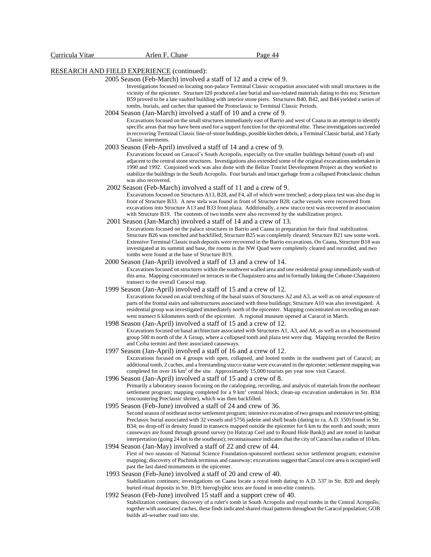### RESEARCH AND FIELD EXPERIENCE (continued):

#### 2005 Season (Feb-March) involved a staff of 12 and a crew of 9.

Investigations focused on locating non-palace Terminal Classic occupation associated with small structures in the vicinity of the epicenter. Structure I20 produced a late burial and use-related materials dating to this era; Structure B59 proved to be a late vaulted building with interior stone piers. Structures B40, B42, and B44 yielded a series of tombs, burials, and caches that spanned the Protoclassic to Terminal Classic Periods.

#### 2004 Season (Jan-March) involved a staff of 10 and a crew of 9.

Excavations focused on the small structures immediately east of Barrio and west of Caana in an attempt to identify specific areas that may have been used for a support function for the epicentral elite. These investigations succeeded in recovering Terminal Classic line-of-stone buildings, possible kitchen debris, a Terminal Classic burial, and 3 Early Classic interments.

#### 2003 Season (Feb-April) involved a staff of 14 and a crew of 9.

Excavations focused on Caracol's South Acropolis, especially on five smaller buildings behind (south of) and adjacent to the centralstone structures. Investigations also extended some of the original excavations undertaken in 1990 and 1992. Conjoined work was also done with the Belize Tourist Development Project as they worked to stabilize the buildings in the South Acropolis. Four burials and intact garbage from a collapsed Protoclassic chultun was also recovered.

2002 Season (Feb-March) involved a staff of 11 and a crew of 9.

Excavations focused on Structures A13, B28, and F4, all of which were trenched; a deep plaza test was also dug in front of Structure B33. A new stela was found in front of Structure B28; cache vessels were recovered from excavations into Structure A13 and B33 front plaza. Additionally, a new stucco text was recovered in association with Structure B19. The contents of two tombs were also recovered by the stabilization project.

2001 Season (Jan-March) involved a staff of 14 and a crew of 13.

Excavations focused on the palace structures in Barrio and Caana in preparation for their final stabilization. Structure B26 was trenched and backfilled; Structure B25 was completely cleared; Structure B21 saw some work. Extensive Terminal Classic trash deposits were recovered in the Barrio excavations. On Caana, Structure B18 was investigated at its summit and base, the rooms in the NW Quad were completely cleared and recorded, and two tombs were found at the base of Structure B19.

2000 Season (Jan-April) involved a staff of 13 and a crew of 14.

Excavations focused on structures within the southwest walled area and one residential group immediately south of this area. Mapping concentrated on terraces in the Chaquistero area and in formally linking theCohune-Chaquistero transect to the overall Caracol map.

1999 Season (Jan-April) involved a staff of 15 and a crew of 12.

Excavations focused on axial trenching of the basal stairs of Structures A2 and A3, as well as on areal exposure of parts of the frontal stairs and substructures associated with these buildings; Structure A10 was also investigated. A residential group was investigated immediately north of the epicenter. Mapping concentrated on recording an eastwest transect 6 kilometers north of the epicenter. A regional museum opened at Caracol in March.

1998 Season (Jan-April) involved a staff of 15 and a crew of 12.

Excavations focused on basal architecture associated with Structures A1, A3, and A8, as well as on a housemound group 500 m north of the A Group, where a collapsed tomb and plaza test were dug. Mapping recorded the Retiro and Ceiba termini and their associated causeways.

- 1997 Season (Jan-April) involved a staff of 16 and a crew of 12. Excavations focused on 4 groups with open, collapsed, and looted tombs in the southwest part of Caracol; an additional tomb, 2 caches, and a freestanding stucco statue were excavated in the epicenter; settlement mapping was completed for over 16 km<sup>2</sup> of the site. Approximately 15,000 tourists per year now visit Caracol.
- 1996 Season (Jan-April) involved a staff of 15 and a crew of 8. Primarily a laboratory season focusing on the cataloguing, recording, and analysis of materials from the northeast settlement program; mapping completed for a 9 km<sup>2</sup> central block; clean-up excavation undertaken in Str. B34 (encountering Preclassic shrine), which was then backfilled.
- 1995 Season (Feb-June) involved a staff of 24 and crew of 36.

Second season of northeast sector settlement program; intensive excavation of two groups and extensive test-pitting; Preclassic burial associated with 32 vessels and 5756 jadeite and shell beads (dating to ca. A.D. 150) found in Str. B34; no drop-off in density found in transects mapped outside the epicenter for 6 km to the north and south; more causeways are found through ground survey (to Hatzcap Ceel and to Round Hole Bank)) and are noted in landsat interpretation (going 24 km to the southeast); reconnaissance indicates that the city of Caracol has a radius of 10 km.

- 1994 Season (Jan-May) involved a staff of 22 and crew of 44. First of two seasons of National Science Foundation-sponsored northeast sector settlement program; extensive mapping; discovery of Puchituk terminus and causeway; excavations suggest that Caracol core area is occupied well past the last dated monuments in the epicenter.
- 1993 Season (Feb-June) involved a staff of 20 and crew of 40. Stabilization continues; investigations on Caana locate a royal tomb dating to A.D. 537 in Str. B20 and deeply buried ritual deposits in Str. B19; hieroglyphic texts are found in non-elite contexts.
- 1992 Season (Feb-June) involved 15 staff and a support crew of 40. Stabilization continues; discovery of a ruler's tomb in South Acropolis and royal tombs in the Central Acropolis; together with associated caches, these finds indicated shared ritual patterns throughout the Caracol population; GOB builds all-weather road into site.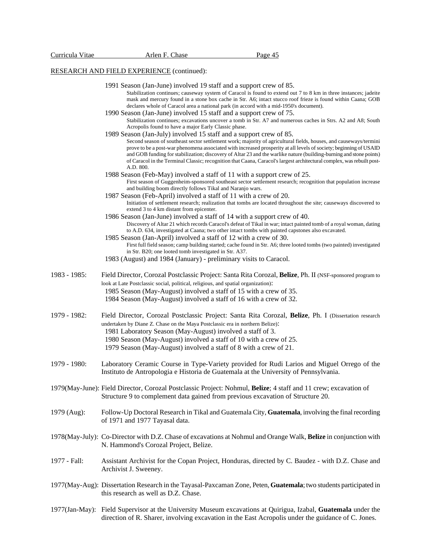# RESEARCH AND FIELD EXPERIENCE (continued):

|              | LOL MOTHAM THEEP LATERNER (COMMIGG)                                                                                                                                                                                                                                                                                                                                                                                                                                                                   |
|--------------|-------------------------------------------------------------------------------------------------------------------------------------------------------------------------------------------------------------------------------------------------------------------------------------------------------------------------------------------------------------------------------------------------------------------------------------------------------------------------------------------------------|
|              | 1991 Season (Jan-June) involved 19 staff and a support crew of 85.                                                                                                                                                                                                                                                                                                                                                                                                                                    |
|              | Stabilization continues; causeway system of Caracol is found to extend out 7 to 8 km in three instances; jadeite<br>mask and mercury found in a stone box cache in Str. A6; intact stucco roof frieze is found within Caana; GOB<br>declares whole of Caracol area a national park (in accord with a mid-1950's document).                                                                                                                                                                            |
|              | 1990 Season (Jan-June) involved 15 staff and a support crew of 75.<br>Stabilization continues; excavations uncover a tomb in Str. A7 and numerous caches in Strs. A2 and A8; South<br>Acropolis found to have a major Early Classic phase.                                                                                                                                                                                                                                                            |
|              | 1989 Season (Jan-July) involved 15 staff and a support crew of 85.                                                                                                                                                                                                                                                                                                                                                                                                                                    |
|              | Second season of southeast sector settlement work; majority of agricultural fields, houses, and causeways/termini<br>prove to be a post-war phenomena associated with increased prosperity at all levels of society; beginning of USAID<br>and GOB funding for stabilization; discovery of Altar 23 and the warlike nature (building-burning and stone points)<br>of Caracol in the Terminal Classic; recognition that Caana, Caracol's largest architectural complex, was rebuilt post-<br>A.D. 800. |
|              | 1988 Season (Feb-May) involved a staff of 11 with a support crew of 25.<br>First season of Guggenheim-sponsored southeast sector settlement research; recognition that population increase<br>and building boom directly follows Tikal and Naranjo wars.                                                                                                                                                                                                                                              |
|              | 1987 Season (Feb-April) involved a staff of 11 with a crew of 20.<br>Initiation of settlement research; realization that tombs are located throughout the site; causeways discovered to<br>extend 3 to 4 km distant from epicenter.                                                                                                                                                                                                                                                                   |
|              | 1986 Season (Jan-June) involved a staff of 14 with a support crew of 40.<br>Discovery of Altar 21 which records Caracol's defeat of Tikal in war; intact painted tomb of a royal woman, dating<br>to A.D. 634, investigated at Caana; two other intact tombs with painted capstones also excavated.                                                                                                                                                                                                   |
|              | 1985 Season (Jan-April) involved a staff of 12 with a crew of 30.<br>First full field season; camp building started; cache found in Str. A6; three looted tombs (two painted) investigated<br>in Str. B20; one looted tomb investigated in Str. A37.                                                                                                                                                                                                                                                  |
|              | 1983 (August) and 1984 (January) - preliminary visits to Caracol.                                                                                                                                                                                                                                                                                                                                                                                                                                     |
| 1983 - 1985: | Field Director, Corozal Postclassic Project: Santa Rita Corozal, Belize, Ph. II (NSF-sponsored program to                                                                                                                                                                                                                                                                                                                                                                                             |
|              | look at Late Postclassic social, political, religious, and spatial organization):                                                                                                                                                                                                                                                                                                                                                                                                                     |
|              | 1985 Season (May-August) involved a staff of 15 with a crew of 35.<br>1984 Season (May-August) involved a staff of 16 with a crew of 32.                                                                                                                                                                                                                                                                                                                                                              |
| 1979 - 1982: | Field Director, Corozal Postclassic Project: Santa Rita Corozal, Belize, Ph. I (Dissertation research                                                                                                                                                                                                                                                                                                                                                                                                 |
|              | undertaken by Diane Z. Chase on the Maya Postclassic era in northern Belize):<br>1981 Laboratory Season (May-August) involved a staff of 3.                                                                                                                                                                                                                                                                                                                                                           |
|              | 1980 Season (May-August) involved a staff of 10 with a crew of 25.<br>1979 Season (May-August) involved a staff of 8 with a crew of 21.                                                                                                                                                                                                                                                                                                                                                               |
|              |                                                                                                                                                                                                                                                                                                                                                                                                                                                                                                       |
| 1979 - 1980: | Laboratory Ceramic Course in Type-Variety provided for Rudi Larios and Miguel Orrego of the<br>Instituto de Antropologia e Historia de Guatemala at the University of Pennsylvania.                                                                                                                                                                                                                                                                                                                   |
|              | 1979(May-June): Field Director, Corozal Postclassic Project: Nohmul, Belize; 4 staff and 11 crew; excavation of<br>Structure 9 to complement data gained from previous excavation of Structure 20.                                                                                                                                                                                                                                                                                                    |
| 1979 (Aug):  | Follow-Up Doctoral Research in Tikal and Guatemala City, Guatemala, involving the final recording<br>of 1971 and 1977 Tayasal data.                                                                                                                                                                                                                                                                                                                                                                   |
|              | 1978(May-July): Co-Director with D.Z. Chase of excavations at Nohmul and Orange Walk, Belize in conjunction with<br>N. Hammond's Corozal Project, Belize.                                                                                                                                                                                                                                                                                                                                             |
| 1977 - Fall: | Assistant Archivist for the Copan Project, Honduras, directed by C. Baudez - with D.Z. Chase and<br>Archivist J. Sweeney.                                                                                                                                                                                                                                                                                                                                                                             |
|              | 1977(May-Aug): Dissertation Research in the Tayasal-Paxcaman Zone, Peten, Guatemala; two students participated in<br>this research as well as D.Z. Chase.                                                                                                                                                                                                                                                                                                                                             |
|              |                                                                                                                                                                                                                                                                                                                                                                                                                                                                                                       |

1977(Jan-May): Field Supervisor at the University Museum excavations at Quirigua, Izabal, **Guatemala** under the direction of R. Sharer, involving excavation in the East Acropolis under the guidance of C. Jones.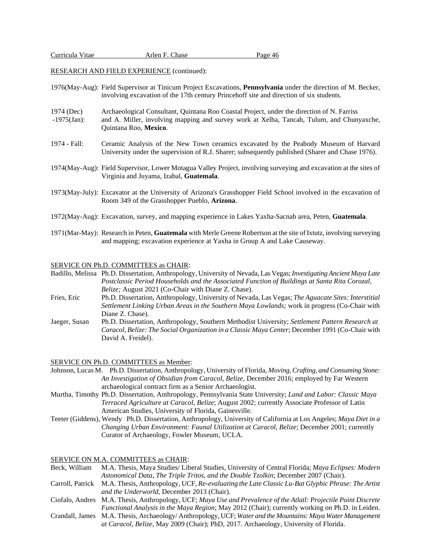RESEARCH AND FIELD EXPERIENCE (continued):

- 1976(May-Aug): Field Supervisor at Tinicum Project Excavations, **Pennsylvania** under the direction of M. Becker, involving excavation of the 17th century Princehoff site and direction of six students.
- 1974 (Dec) Archaeological Consultant, Quintana Roo Coastal Project, under the direction of N. Farriss -1975(Jan): and A. Miller, involving mapping and survey work at Xelha, Tancah, Tulum, and Chunyaxche, Quintana Roo, **Mexico**.
- 1974 Fall: Ceramic Analysis of the New Town ceramics excavated by the Peabody Museum of Harvard University under the supervision of R.J. Sharer; subsequently published (Sharer and Chase 1976).
- 1974(May-Aug): Field Supervisor, Lower Motagua Valley Project, involving surveying and excavation at the sites of Virginia and Juyama, Izabal, **Guatemala**.
- 1973(May-July): Excavator at the University of Arizona's Grasshopper Field School involved in the excavation of Room 349 of the Grasshopper Pueblo, **Arizona**.
- 1972(May-Aug): Excavation, survey, and mapping experience in Lakes Yaxha-Sacnab area, Peten, **Guatemala**.
- 1971(Mar-May): Research in Peten, **Guatemala** with Merle Greene Robertson at the site of Ixtutz, involving surveying and mapping; excavation experience at Yaxha in Group A and Lake Causeway.

### SERVICE ON Ph.D. COMMITTEES as CHAIR:

Badillo, Melissa Ph.D. Dissertation, Anthropology, University of Nevada, Las Vegas; *Investigating Ancient Maya Late Postclassic Period Households and the Associated Function of Buildings at Santa Rita Corozal, Belize;* August 2021 (Co-Chair with Diane Z. Chase).

- Fries, Eric Ph.D. Dissertation, Anthropology, University of Nevada, Las Vegas; *The Aguacate Sites: Interstitial Settlement Linking Urban Areas in the Southern Maya Lowlands;* work in progress (Co-Chair with Diane Z. Chase).
- Jaeger, Susan Ph.D. Dissertation, Anthropology, Southern Methodist University; *Settlement Pattern Research at Caracol, Belize: The Social Organization in a Classic Maya Center*; December 1991 (Co-Chair with David A. Freidel).

#### SERVICE ON Ph.D. COMMITTEES as Member:

Johnson, Lucas M. Ph.D. Dissertation, Anthropology, University of Florida, *Moving, Crafting, and Consuming Stone: An Investigation of Obsidian from Caracol, Belize*, December 2016; employed by Far Western archaeological contract firm as a Senior Archaeologist.

- Murtha, Timothy Ph.D. Dissertation, Anthropology, Pennsylvania State University; *Land and Labor: Classic Maya Terraced Agriculture at Caracol, Belize*; August 2002; currently Associate Professor of Latin American Studies, University of Florida, Gainesville.
- Teeter (Giddens), Wendy Ph.D. Dissertation, Anthropology, University of California at Los Angeles; *Maya Diet in a Changing Urban Environment: Faunal Utilization at Caracol, Belize*; December 2001; currently Curator of Archaeology, Fowler Museum, UCLA.

#### SERVICE ON M.A. COMMITTEES as CHAIR:

- Beck, William M.A. Thesis, Maya Studies/ Liberal Studies, University of Central Florida; *Maya Eclipses: Modern Astonomical Data, The Triple Tritos, and the Double Tzolkin*; December 2007 (Chair). Carroll, Patrick M.A. Thesis, Anthropology, UCF, *Re-evaluating the Late Classic Lu-Bat Glyphic Phrase: The Artist and the Underworld*, December 2013 (Chair). Ciofalo, Andres M.A. Thesis, Anthropology, UCF; *Maya Use and Prevalence of the Atlatl: Projectile Point Discrete Functional Analysis in the Maya Region*; May 2012 (Chair); currently working on Ph.D. in Leiden.
- Crandall, James M.A. Thesis, Archaeology/ Anthropology, UCF; *Water and the Mountains: Maya Water Management at Caracol, Belize*, May 2009 (Chair); PhD, 2017. Archaeology, University of Florida.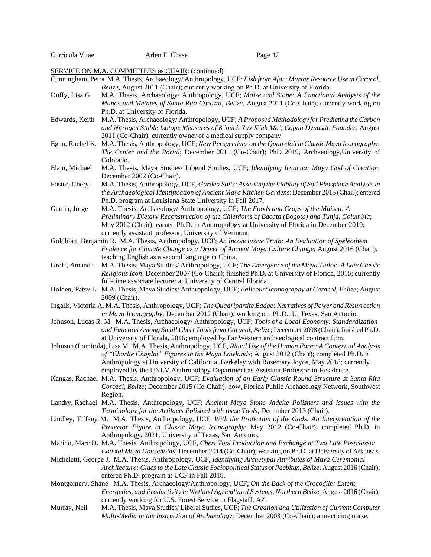| Curricula Vitae | Arlen F. Chase | Page 47 |
|-----------------|----------------|---------|
|                 |                |         |

SERVICE ON M.A. COMMITTEES as CHAIR: (continued)

- Cunningham, Petra M.A. Thesis, Archaeology/ Anthropology, UCF; *Fish from Afar: Marine Resource Use at Caracol, Belize*, August 2011 (Chair); currently working on Ph.D. at University of Florida.
- Duffy, Lisa G. M.A. Thesis, Archaeology/ Anthropology, UCF; *Maize and Stone: A Functional Analysis of the Manos and Metates of Santa Rita Corozal, Belize*, August 2011 (Co-Chair); currently working on Ph.D. at University of Florida.
- Edwards, Keith M.A. Thesis, Archaeology/ Anthropology, UCF; *A Proposed Methodology for Predicting the Carbon and Nitrogen Stable Isotope Measures of K'inich Yax K'uk Mo', Copan Dynastic Founder*, August 2011 (Co-Chair); currently owner of a medical supply company.
- Egan, Rachel K. M.A. Thesis, Anthropology, UCF; *New Perspectives on the Quatrefoil in Classic Maya Iconography: The Center and the Portal*; December 2011 (Co-Chair); PhD 2019, Archaeology,University of Colorado.
- Elam, Michael M.A. Thesis, Maya Studies/ Liberal Studies, UCF; *Identifying Itzamna: Maya God of Creation*; December 2002 (Co-Chair).
- Foster, Cheryl M.A. Thesis, Anthropology, UCF, *Garden Soils: Assessing the Viability of Soil Phosphate Analyses in the Archaeological Identification of Ancient Maya Kitchen Gardens*; December 2015 (Chair); entered Ph.D. program at Louisiana State University in Fall 2017.
- Garcia, Jorge M.A. Thesis, Archaeology/ Anthropology, UCF; *The Foods and Crops of the Muisca: A Preliminary Dietary Reconstruction of the Chiefdoms of Bacata (Bogota) and Tunja, Columbia*; May 2012 (Chair); earned Ph.D. in Anthropology at University of Florida in December 2019; currently assistant professor, University of Vermont.
- Goldblatt, Benjamin R. M.A. Thesis, Anthropology, UCF; *An Inconclusive Truth: An Evaluation of Speleothem Evidence for Climate Change as a Driver of Ancient Maya Culture Change*; August 2016 (Chair); teaching English as a second language in China.
- Groff, Amanda M.A. Thesis, Maya Studies/ Anthropology, UCF; *The Emergence of the Maya Tlaloc: A Late Classic Religious Icon*; December 2007 (Co-Chair); finished Ph.D. at University of Florida, 2015; currently full-time associate lecturer at University of Central Florida.
- Holden, Patsy L. M.A. Thesis, Maya Studies/ Anthropology, UCF; *Ballcourt Iconography at Caracol, Belize*; August 2009 (Chair).
- Ingalls, Victoria A. M.A. Thesis, Anthropology, UCF*; The Quadripartite Badge: Narratives of Power and Resurrection in Maya Iconography*; December 2012 (Chair); working on Ph.D., U. Texas, San Antonio.
- Johnson, Lucas R. M. M.A. Thesis, Archaeology/ Anthropology, UCF; *Tools of a Local Economy: Standardization and Function Among Small Chert Tools from Caracol, Belize*; December 2008 (Chair); finished Ph.D. at University of Florida, 2016; employed by Far Western archaeological contract firm.
- Johnson (Lomitola), Lisa M. M.A. Thesis, Anthropology, UCF, *Ritual Use of the Human Form: A Contextual Analysis of "Charlie Chaplin" Figures in the Maya Lowlands*; August 2012 (Chair); completed Ph.D.in Anthropology at University of California, Berkeley with Rosemary Joyce, May 2018; currently employed by the UNLV Anthropology Department as Assistant Professor-in-Residence.
- Kangas, Rachael M.A. Thesis, Anthropology, UCF; *Evaluation of an Early Classic Round Structure at Santa Rita Corozal, Belize*; December 2015 (Co-Chair); now, Florida Public Archaeology Network, Southwest Region.
- Landry, Rachael M.A. Thesis, Anthropology, UCF: *Ancient Maya Stone Jadeite Polishers and Issues with the Terminology for the Artifacts Polished with these Tools*, December 2013 (Chair).
- Lindley, Tiffany M. M.A. Thesis, Anthropology, UCF; *With the Protection of the Gods: An Interpretation of the Protector Figure in Classic Maya Iconography*; May 2012 (Co-Chair); completed Ph.D. in Anthropology, 2021, University of Texas, San Antonio.
- Marino, Marc D. M.A. Thesis, Anthropology, UCF, *Chert Tool Production and Exchange at Two Late Postclassic Coastal Maya Households*; December 2014 (Co-Chair); working on Ph.D. at University of Arkansas.
- Micheletti, George J. M.A. Thesis, Anthropology, UCF, *Identifying Archetypal Attributes of Maya Ceremonial Architecture: Clues to the Late Classic Sociopolitical Status of Pacbitun, Belize*; August 2016 (Chair); entered Ph.D. program at UCF in Fall 2018.
- Montgomery, Shane M.A. Thesis, Archaeology/Anthropology, UCF; *On the Back of the Crocodile: Extent, Energetics, and Productivity in Wetland Agricultural Systems, Northern Belize*; August 2016 (Chair); currently working for U.S. Forest Service in Flagstaff, AZ.
- Murray, Neil M.A. Thesis, Maya Studies/ Liberal Sudies, UCF; *The Creation and Utilization of Current Computer Multi-Media in the Instruction of Archaeology*; December 2003 (Co-Chair); a practicing nurse.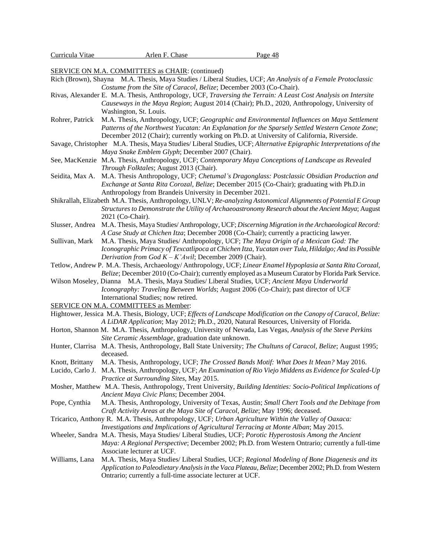SERVICE ON M.A. COMMITTEES as CHAIR: (continued)

- Rich (Brown), Shayna M.A. Thesis, Maya Studies / Liberal Studies, UCF; *An Analysis of a Female Protoclassic Costume from the Site of Caracol, Belize*; December 2003 (Co-Chair).
- Rivas, Alexander E. M.A. Thesis, Anthropology, UCF, *Traversing the Terrain: A Least Cost Analysis on Intersite Causeways in the Maya Region*; August 2014 (Chair); Ph.D., 2020, Anthropology, University of Washington, St. Louis.
- Rohrer, Patrick M.A. Thesis, Anthropology, UCF; *Geographic and Environmental Influences on Maya Settlement Patterns of the Northwest Yucatan: An Explanation for the Sparsely Settled Western Cenote Zone*; December 2012 (Chair); currently working on Ph.D. at University of California, Riverside.
- Savage, Christopher M.A. Thesis, Maya Studies/ Liberal Studies, UCF; *Alternative Epigraphic Interpretations of the Maya Snake Emblem Glyph*; December 2007 (Chair).
- See, MacKenzie M.A. Thesis, Anthropology, UCF; *Contemporary Maya Conceptions of Landscape as Revealed Through Folktales*; August 2013 (Chair).
- Seidita, Max A. M.A. Thesis Anthropology, UCF; *Chetumal's Dragonglass: Postclassic Obsidian Production and Exchange at Santa Rita Corozal, Belize*; December 2015 (Co-Chair); graduating with Ph.D.in Anthropology from Brandeis University in December 2021.
- Shikrallah, Elizabeth M.A. Thesis, Anthropology, UNLV; *Re-analyzing Astonomical Alignments of Potential E Group Structuresto Demonstrate the Utility of Archaeoastronomy Research about the Ancient Maya*; August 2021 (Co-Chair).
- Slusser, Andrea M.A. Thesis, Maya Studies/ Anthropology, UCF; *Discerning Migration in the Archaeological Record: A Case Study at Chichen Itza*; December 2008 (Co-Chair); currently a practicing lawyer.
- Sullivan, Mark M.A. Thesis, Maya Studies/ Anthropology, UCF; *The Maya Origin of a Mexican God: The Iconographic Primacy of Texcatlipoca at Chichen Itza, Yucatan over Tula, Hildalgo; And its Possible Derivation from God K – K'Awil*; December 2009 (Chair).
- Tetlow, Andrew P. M.A. Thesis, Archaeology/ Anthropology, UCF; *Linear Enamel Hypoplasia at Santa RitaCorozal, Belize*; December 2010 (Co-Chair); currently employed as a Museum Curator by Florida Park Service.
- Wilson Moseley, Dianna M.A. Thesis, Maya Studies/ Liberal Studies, UCF; *Ancient Maya Underworld Iconography: Traveling Between Worlds*; August 2006 (Co-Chair); past director of UCF International Studies; now retired.
- SERVICE ON M.A. COMMITTEES as Member:
- Hightower, Jessica M.A. Thesis, Biology, UCF; *Effects of Landscape Modification on the Canopy of Caracol, Belize: A LiDAR Application*; May 2012; Ph.D., 2020, Natural Resources, University of Florida.
- Horton, Shannon M. M.A. Thesis, Anthropology, University of Nevada, Las Vegas, *Analysis of the Steve Perkins Site Ceramic Assemblage*, graduation date unknown.
- Hunter, Clarrisa M.A. Thesis, Anthropology, Ball State University; *The Chultuns of Caracol, Belize*; August 1995; deceased.
- Knott, Brittany M.A. Thesis, Anthropology, UCF; *The Crossed Bands Motif: What Does It Mean?* May 2016.
- Lucido, Carlo J. M.A. Thesis, Anthropology, UCF; *An Examination of Rio Viejo Middens as Evidence for Scaled-Up Practice at Surrounding Sites*, May 2015.
- Mosher, Matthew M.A. Thesis, Anthropology, Trent University, *Building Identities: Socio-Political Implications of Ancient Maya Civic Plans*; December 2004.
- Pope, Cynthia M.A. Thesis, Anthropology, University of Texas, Austin; *Small Chert Tools and the Debitage from Craft Activity Areas at the Maya Site of Caracol, Belize*; May 1996; deceased.
- Tricarico, Anthony R. M.A. Thesis, Anthropology, UCF; *Urban Agriculture Within the Valley of Oaxaca: Investigations and Implications of Agricultural Terracing at Monte Alban*; May 2015.
- Wheeler, Sandra M.A. Thesis, Maya Studies/ Liberal Studies, UCF; *Porotic Hyperostosis Among the Ancient Maya: A Regional Perspective*; December 2002; Ph.D. from Western Ontrario; currently a full-time Associate lecturer at UCF.
- Williams, Lana M.A. Thesis, Maya Studies/ Liberal Studies, UCF; *Regional Modeling of Bone Diagenesis and its Application to Paleodietary Analysis in the Vaca Plateau, Belize*; December 2002; Ph.D.from Western Ontrario; currently a full-time associate lecturer at UCF.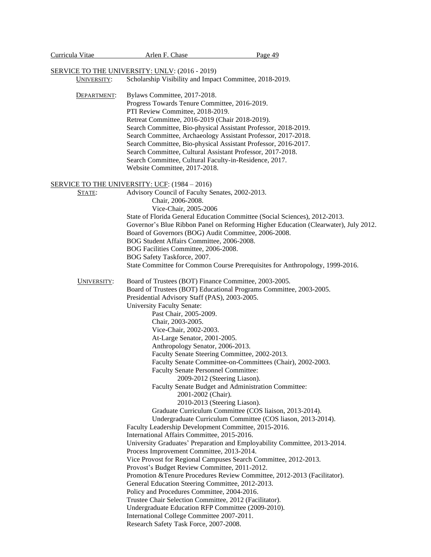| Curricula Vitae | Arlen F. Chase                                                                                      | Page 49                                                                             |
|-----------------|-----------------------------------------------------------------------------------------------------|-------------------------------------------------------------------------------------|
|                 | <b>SERVICE TO THE UNIVERSITY: UNLV: (2016 - 2019)</b>                                               |                                                                                     |
| UNIVERSITY:     | Scholarship Visibility and Impact Committee, 2018-2019.                                             |                                                                                     |
|                 |                                                                                                     |                                                                                     |
| DEPARTMENT:     | Bylaws Committee, 2017-2018.                                                                        |                                                                                     |
|                 | Progress Towards Tenure Committee, 2016-2019.                                                       |                                                                                     |
|                 | PTI Review Committee, 2018-2019.<br>Retreat Committee, 2016-2019 (Chair 2018-2019).                 |                                                                                     |
|                 |                                                                                                     | Search Committee, Bio-physical Assistant Professor, 2018-2019.                      |
|                 |                                                                                                     | Search Committee, Archaeology Assistant Professor, 2017-2018.                       |
|                 |                                                                                                     | Search Committee, Bio-physical Assistant Professor, 2016-2017.                      |
|                 | Search Committee, Cultural Assistant Professor, 2017-2018.                                          |                                                                                     |
|                 | Search Committee, Cultural Faculty-in-Residence, 2017.                                              |                                                                                     |
|                 | Website Committee, 2017-2018.                                                                       |                                                                                     |
|                 | <b>SERVICE TO THE UNIVERSITY: UCF: (1984 – 2016)</b>                                                |                                                                                     |
| STATE:          | Advisory Council of Faculty Senates, 2002-2013.                                                     |                                                                                     |
|                 | Chair, 2006-2008.                                                                                   |                                                                                     |
|                 | Vice-Chair, 2005-2006                                                                               |                                                                                     |
|                 |                                                                                                     | State of Florida General Education Committee (Social Sciences), 2012-2013.          |
|                 |                                                                                                     | Governor's Blue Ribbon Panel on Reforming Higher Education (Clearwater), July 2012. |
|                 | Board of Governors (BOG) Audit Committee, 2006-2008.                                                |                                                                                     |
|                 | BOG Student Affairs Committee, 2006-2008.                                                           |                                                                                     |
|                 | BOG Facilities Committee, 2006-2008.                                                                |                                                                                     |
|                 | BOG Safety Taskforce, 2007.                                                                         | State Committee for Common Course Prerequisites for Anthropology, 1999-2016.        |
|                 |                                                                                                     |                                                                                     |
| UNIVERSITY:     | Board of Trustees (BOT) Finance Committee, 2003-2005.                                               |                                                                                     |
|                 |                                                                                                     | Board of Trustees (BOT) Educational Programs Committee, 2003-2005.                  |
|                 | Presidential Advisory Staff (PAS), 2003-2005.                                                       |                                                                                     |
|                 | <b>University Faculty Senate:</b>                                                                   |                                                                                     |
|                 | Past Chair, 2005-2009.                                                                              |                                                                                     |
|                 | Chair, 2003-2005.                                                                                   |                                                                                     |
|                 | Vice-Chair, 2002-2003.<br>At-Large Senator, 2001-2005.                                              |                                                                                     |
|                 | Anthropology Senator, 2006-2013.                                                                    |                                                                                     |
|                 |                                                                                                     | Faculty Senate Steering Committee, 2002-2013.                                       |
|                 |                                                                                                     | Faculty Senate Committee-on-Committees (Chair), 2002-2003.                          |
|                 | <b>Faculty Senate Personnel Committee:</b>                                                          |                                                                                     |
|                 |                                                                                                     | 2009-2012 (Steering Liason).                                                        |
|                 |                                                                                                     | Faculty Senate Budget and Administration Committee:                                 |
|                 | 2001-2002 (Chair).                                                                                  |                                                                                     |
|                 |                                                                                                     | 2010-2013 (Steering Liason).                                                        |
|                 |                                                                                                     | Graduate Curriculum Committee (COS liaison, 2013-2014).                             |
|                 |                                                                                                     | Undergraduate Curriculum Committee (COS liason, 2013-2014).                         |
|                 | Faculty Leadership Development Committee, 2015-2016.<br>International Affairs Committee, 2015-2016. |                                                                                     |
|                 |                                                                                                     | University Graduates' Preparation and Employability Committee, 2013-2014.           |
|                 | Process Improvement Committee, 2013-2014.                                                           |                                                                                     |
|                 |                                                                                                     | Vice Provost for Regional Campuses Search Committee, 2012-2013.                     |
|                 | Provost's Budget Review Committee, 2011-2012.                                                       |                                                                                     |
|                 |                                                                                                     | Promotion & Tenure Procedures Review Committee, 2012-2013 (Facilitator).            |
|                 | General Education Steering Committee, 2012-2013.                                                    |                                                                                     |
|                 | Policy and Procedures Committee, 2004-2016.                                                         |                                                                                     |
|                 | Trustee Chair Selection Committee, 2012 (Facilitator).                                              |                                                                                     |
|                 | Undergraduate Education RFP Committee (2009-2010).                                                  |                                                                                     |
|                 | International College Committee 2007-2011.                                                          |                                                                                     |
|                 | Research Safety Task Force, 2007-2008.                                                              |                                                                                     |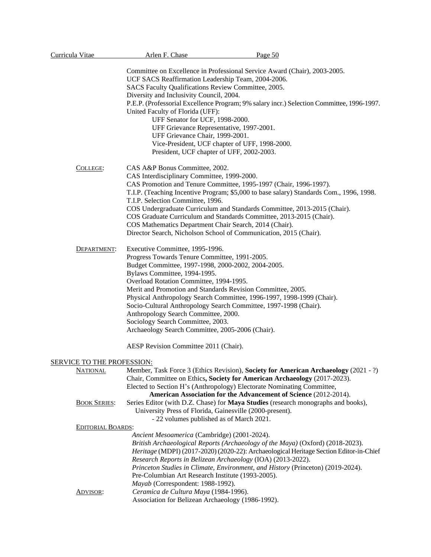| Curricula Vitae            | Arlen F. Chase                                           | Page 50                                                                                   |
|----------------------------|----------------------------------------------------------|-------------------------------------------------------------------------------------------|
|                            |                                                          | Committee on Excellence in Professional Service Award (Chair), 2003-2005.                 |
|                            | UCF SACS Reaffirmation Leadership Team, 2004-2006.       |                                                                                           |
|                            | SACS Faculty Qualifications Review Committee, 2005.      |                                                                                           |
|                            | Diversity and Inclusivity Council, 2004.                 |                                                                                           |
|                            |                                                          | P.E.P. (Professorial Excellence Program; 9% salary incr.) Selection Committee, 1996-1997. |
|                            | United Faculty of Florida (UFF):                         |                                                                                           |
|                            | UFF Senator for UCF, 1998-2000.                          |                                                                                           |
|                            | UFF Grievance Representative, 1997-2001.                 |                                                                                           |
|                            | UFF Grievance Chair, 1999-2001.                          |                                                                                           |
|                            |                                                          | Vice-President, UCF chapter of UFF, 1998-2000.                                            |
|                            | President, UCF chapter of UFF, 2002-2003.                |                                                                                           |
|                            |                                                          |                                                                                           |
| COLLEGE:                   | CAS A&P Bonus Committee, 2002.                           |                                                                                           |
|                            | CAS Interdisciplinary Committee, 1999-2000.              |                                                                                           |
|                            |                                                          | CAS Promotion and Tenure Committee, 1995-1997 (Chair, 1996-1997).                         |
|                            |                                                          | T.I.P. (Teaching Incentive Program; \$5,000 to base salary) Standards Com., 1996, 1998.   |
|                            | T.I.P. Selection Committee, 1996.                        |                                                                                           |
|                            |                                                          | COS Undergraduate Curriculum and Standards Committee, 2013-2015 (Chair).                  |
|                            |                                                          | COS Graduate Curriculum and Standards Committee, 2013-2015 (Chair).                       |
|                            | COS Mathematics Department Chair Search, 2014 (Chair).   |                                                                                           |
|                            |                                                          | Director Search, Nicholson School of Communication, 2015 (Chair).                         |
| DEPARTMENT:                | Executive Committee, 1995-1996.                          |                                                                                           |
|                            | Progress Towards Tenure Committee, 1991-2005.            |                                                                                           |
|                            | Budget Committee, 1997-1998, 2000-2002, 2004-2005.       |                                                                                           |
|                            | Bylaws Committee, 1994-1995.                             |                                                                                           |
|                            | Overload Rotation Committee, 1994-1995.                  |                                                                                           |
|                            |                                                          | Merit and Promotion and Standards Revision Committee, 2005.                               |
|                            |                                                          | Physical Anthropology Search Committee, 1996-1997, 1998-1999 (Chair).                     |
|                            |                                                          | Socio-Cultural Anthropology Search Committee, 1997-1998 (Chair).                          |
|                            | Anthropology Search Committee, 2000.                     |                                                                                           |
|                            | Sociology Search Committee, 2003.                        |                                                                                           |
|                            | Archaeology Search Committee, 2005-2006 (Chair).         |                                                                                           |
|                            | AESP Revision Committee 2011 (Chair).                    |                                                                                           |
| SERVICE TO THE PROFESSION: |                                                          |                                                                                           |
| <b>NATIONAL</b>            |                                                          | Member, Task Force 3 (Ethics Revision), Society for American Archaeology (2021 - ?)       |
|                            |                                                          | Chair, Committee on Ethics, Society for American Archaeology (2017-2023).                 |
|                            |                                                          | Elected to Section H's (Anthropology) Electorate Nominating Committee,                    |
|                            |                                                          | American Association for the Advancement of Science (2012-2014).                          |
| <b>BOOK SERIES:</b>        |                                                          | Series Editor (with D.Z. Chase) for Maya Studies (research monographs and books),         |
|                            | University Press of Florida, Gainesville (2000-present). |                                                                                           |
|                            | - 22 volumes published as of March 2021.                 |                                                                                           |
| <b>EDITORIAL BOARDS:</b>   |                                                          |                                                                                           |
|                            | Ancient Mesoamerica (Cambridge) (2001-2024).             |                                                                                           |
|                            |                                                          | British Archaeological Reports (Archaeology of the Maya) (Oxford) (2018-2023).            |
|                            |                                                          | Heritage (MDPI) (2017-2020) (2020-22): Archaeological Heritage Section Editor-in-Chief    |
|                            |                                                          | Research Reports in Belizean Archaeology (IOA) (2013-2022).                               |
|                            |                                                          | Princeton Studies in Climate, Environment, and History (Princeton) (2019-2024).           |
|                            | Pre-Columbian Art Research Institute (1993-2005).        |                                                                                           |
|                            | Mayab (Correspondent: 1988-1992).                        |                                                                                           |
| <u>ADVISOR:</u>            | Ceramica de Cultura Maya (1984-1996).                    |                                                                                           |
|                            | Association for Belizean Archaeology (1986-1992).        |                                                                                           |
|                            |                                                          |                                                                                           |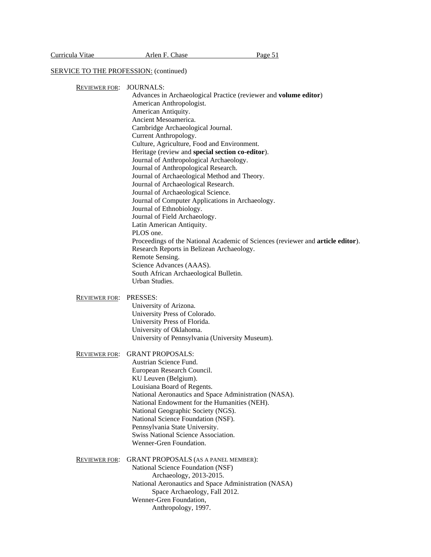#### SERVICE TO THE PROFESSION: (continued)

| <b>REVIEWER FOR:</b> | JOURNALS: |  |
|----------------------|-----------|--|
|----------------------|-----------|--|

Advances in Archaeological Practice (reviewer and **volume editor**) American Anthropologist. American Antiquity. Ancient Mesoamerica. Cambridge Archaeological Journal. Current Anthropology. Culture, Agriculture, Food and Environment. Heritage (review and **special section co-editor**). Journal of Anthropological Archaeology. Journal of Anthropological Research. Journal of Archaeological Method and Theory. Journal of Archaeological Research. Journal of Archaeological Science. Journal of Computer Applications in Archaeology. Journal of Ethnobiology. Journal of Field Archaeology. Latin American Antiquity. PLOS one. Proceedings of the National Academic of Sciences (reviewer and **article editor**). Research Reports in Belizean Archaeology. Remote Sensing. Science Advances (AAAS). South African Archaeological Bulletin. Urban Studies. REVIEWER FOR: PRESSES: University of Arizona. University Press of Colorado. University Press of Florida. University of Oklahoma. University of Pennsylvania (University Museum). REVIEWER FOR: GRANT PROPOSALS: Austrian Science Fund. European Research Council. KU Leuven (Belgium). Louisiana Board of Regents. National Aeronautics and Space Administration (NASA). National Endowment for the Humanities (NEH). National Geographic Society (NGS). National Science Foundation (NSF). Pennsylvania State University. Swiss National Science Association. Wenner-Gren Foundation. REVIEWER FOR: GRANT PROPOSALS (AS A PANEL MEMBER):

National Science Foundation (NSF) Archaeology, 2013-2015. National Aeronautics and Space Administration (NASA) Space Archaeology, Fall 2012. Wenner-Gren Foundation, Anthropology, 1997.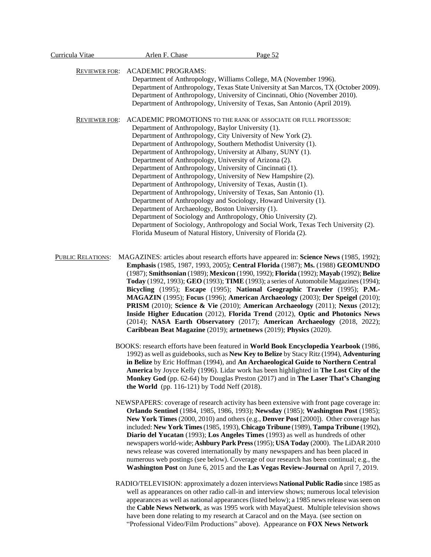| Curricula Vitae      | Arlen F. Chase                                     | Page 52                                                                              |
|----------------------|----------------------------------------------------|--------------------------------------------------------------------------------------|
|                      |                                                    |                                                                                      |
| <b>REVIEWER FOR:</b> | <b>ACADEMIC PROGRAMS:</b>                          |                                                                                      |
|                      |                                                    | Department of Anthropology, Williams College, MA (November 1996).                    |
|                      |                                                    | Department of Anthropology, Texas State University at San Marcos, TX (October 2009). |
|                      |                                                    | Department of Anthropology, University of Cincinnati, Ohio (November 2010).          |
|                      |                                                    | Department of Anthropology, University of Texas, San Antonio (April 2019).           |
| <b>REVIEWER FOR:</b> |                                                    | ACADEMIC PROMOTIONS TO THE RANK OF ASSOCIATE OR FULL PROFESSOR:                      |
|                      | Department of Anthropology, Baylor University (1). |                                                                                      |
|                      |                                                    | Department of Anthropology, City University of New York (2).                         |
|                      |                                                    | Department of Anthropology, Southern Methodist University (1).                       |
|                      |                                                    | Department of Anthropology, University at Albany, SUNY (1).                          |
|                      |                                                    | Department of Anthropology, University of Arizona (2).                               |
|                      |                                                    | Department of Anthropology, University of Cincinnati (1).                            |
|                      |                                                    | Department of Anthropology, University of New Hampshire (2).                         |
|                      |                                                    | Department of Anthropology, University of Texas, Austin (1).                         |
|                      |                                                    | Department of Anthropology, University of Texas, San Antonio (1).                    |
|                      |                                                    | Department of Anthropology and Sociology, Howard University (1).                     |
|                      | Department of Archaeology, Boston University (1).  |                                                                                      |
|                      |                                                    | Department of Sociology and Anthropology, Ohio University (2).                       |
|                      |                                                    | Department of Sociology, Anthropology and Social Work, Texas Tech University (2).    |
|                      |                                                    | Florida Museum of Natural History, University of Florida (2).                        |
|                      |                                                    |                                                                                      |
|                      |                                                    |                                                                                      |

 PUBLIC RELATIONS: MAGAZINES: articles about research efforts have appeared in: **Science News** (1985, 1992); **Emphasis** (1985, 1987, 1993, 2005); **Central Florida** (1987); **Ms.** (1988) **GEOMUNDO** (1987); **Smithsonian** (1989); **Mexicon** (1990, 1992); **Florida** (1992); **Mayab** (1992); **Belize Today** (1992, 1993); **GEO** (1993); **TIME** (1993); a series of Automobile Magazines(1994); **Bicycling** (1995); **Escape** (1995); **National Geographic Traveler** (1995); **P.M.- MAGAZIN** (1995); **Focus** (1996); **American Archaeology** (2003); **Der Speigel** (2010); **PRISM** (2010); **Science & Vie** (2010); **American Archaeology** (2011); **Nexus** (2012); **Inside Higher Education** (2012), **Florida Trend** (2012), **Optic and Photonics News** (2014); **NASA Earth Observatory** (2017); **American Archaeology** (2018, 2022); **Caribbean Beat Magazine** (2019); **artnetnews** (2019); **Physics** (2020).

> BOOKS: research efforts have been featured in **World Book Encyclopedia Yearbook** (1986, 1992) as well as guidebooks, such as **New Key to Belize** by Stacy Ritz (1994), **Adventuring in Belize** by Eric Hoffman (1994), and **An Archaeological Guide to Northern Central America** by Joyce Kelly (1996). Lidar work has been highlighted in **The Lost City of the Monkey God** (pp. 62-64) by Douglas Preston (2017) and in **The Laser That's Changing the World** (pp. 116-121) by Todd Neff (2018).

> NEWSPAPERS: coverage of research activity has been extensive with front page coverage in: **Orlando Sentinel** (1984, 1985, 1986, 1993); **Newsday** (1985); **Washington Post** (1985); **New York Times** (2000, 2010) and others (e.g., **Denver Post** [2000]). Other coverage has included: **New York Times**(1985, 1993), **Chicago Tribune** (1989), **Tampa Tribune** (1992), **Diario del Yucatan** (1993); **Los Angeles Times** (1993) as well as hundreds of other newspapers world-wide; **Ashbury Park Press**(1995); **USA Today** (2000). The LiDAR 2010 news release was covered internationally by many newspapers and has been placed in numerous web postings (see below). Coverage of our research has been continual; e.g., the **Washington Post** on June 6, 2015 and the **Las Vegas Review-Journal** on April 7, 2019.

> RADIO/TELEVISION: approximately a dozen interviews **National Public Radio** since 1985 as well as appearances on other radio call-in and interview shows; numerous local television appearances as well as national appearances (listed below); a 1985 newsrelease was seen on the **Cable News Network**, as was 1995 work with MayaQuest. Multiple television shows have been done relating to my research at Caracol and on the Maya. (see section on "Professional Video/Film Productions" above). Appearance on **FOX News Network**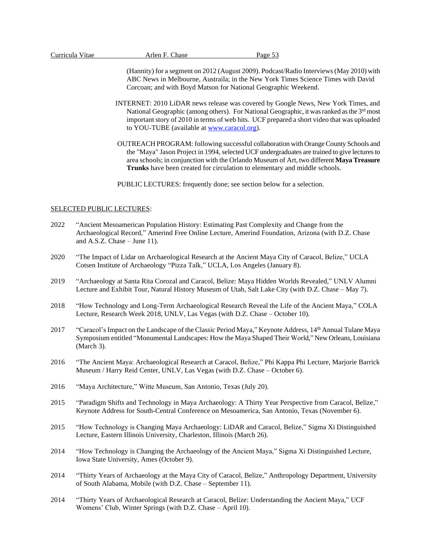|  |  | Curricula Vitae |
|--|--|-----------------|
|  |  |                 |

(Hannity) for a segment on 2012 (August 2009). Podcast/Radio Interviews(May 2010) with ABC News in Melbourne, Austraila; in the New York Times Science Times with David Corcoan; and with Boyd Matson for National Geographic Weekend.

- INTERNET: 2010 LiDAR news release was covered by Google News, New York Times, and National Geographic (among others). For National Geographic, it was ranked as the 3rd most important story of 2010 in terms of web hits. UCF prepared a short video that was uploaded to YOU-TUBE (available at [www.caracol.org\)](http://www.caracol.org/).
- OUTREACH PROGRAM: following successful collaboration with OrangeCounty Schools and the "Maya" Jason Project in 1994, selected UCF undergraduates are trained to give lectures to area schools; in conjunction with the Orlando Museum of Art, two different **Maya Treasure Trunks** have been created for circulation to elementary and middle schools.

PUBLIC LECTURES: frequently done; see section below for a selection.

# SELECTED PUBLIC LECTURES:

- 2022 "Ancient Mesoamerican Population History: Estimating Past Complexity and Change from the Archaeological Record," Amerind Free Online Lecture, Amerind Foundation, Arizona (with D.Z. Chase and A.S.Z. Chase – June 11).
- 2020 "The Impact of Lidar on Archaeological Research at the Ancient Maya City of Caracol, Belize," UCLA Cotsen Institute of Archaeology "Pizza Talk," UCLA, Los Angeles (January 8).
- 2019 "Archaeology at Santa Rita Corozal and Caracol, Belize: Maya Hidden Worlds Revealed," UNLV Alumni Lecture and Exhibit Tour, Natural History Museum of Utah, Salt Lake City (with D.Z. Chase – May 7).
- 2018 "How Technology and Long-Term Archaeological Research Reveal the Life of the Ancient Maya," COLA Lecture, Research Week 2018, UNLV, Las Vegas (with D.Z. Chase – October 10).
- 2017 "Caracol's Impact on the Landscape of the Classic Period Maya," Keynote Address, 14th Annual Tulane Maya Symposium entitled "Monumental Landscapes: How the Maya Shaped Their World," New Orleans, Louisiana (March 3).
- 2016 "The Ancient Maya: Archaeological Research at Caracol, Belize," Phi Kappa Phi Lecture, Marjorie Barrick Museum / Harry Reid Center, UNLV, Las Vegas (with D.Z. Chase – October 6).
- 2016 "Maya Architecture," Witte Museum, San Antonio, Texas (July 20).
- 2015 "Paradigm Shifts and Technology in Maya Archaeology: A Thirty Year Perspective from Caracol, Belize," Keynote Address for South-Central Conference on Mesoamerica, San Antonio, Texas (November 6).
- 2015 "How Technology is Changing Maya Archaeology: LiDAR and Caracol, Belize," Sigma Xi Distinguished Lecture, Eastern Illinois University, Charleston, Illinois (March 26).
- 2014 "How Technology is Changing the Archaeology of the Ancient Maya," Sigma Xi Distinguished Lecture, Iowa State University, Ames (October 9).
- 2014 "Thirty Years of Archaeology at the Maya City of Caracol, Belize," Anthropology Department, University of South Alabama, Mobile (with D.Z. Chase – September 11).
- 2014 "Thirty Years of Archaeological Research at Caracol, Belize: Understanding the Ancient Maya," UCF Womens' Club, Winter Springs (with D.Z. Chase – April 10).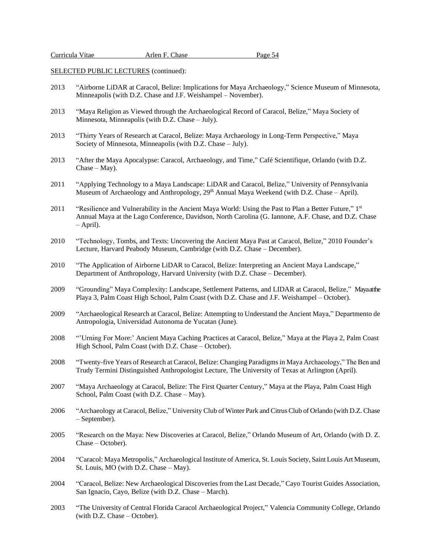- 2013 "Airborne LiDAR at Caracol, Belize: Implications for Maya Archaeology," Science Museum of Minnesota, Minneapolis (with D.Z. Chase and J.F. Weishampel – November).
- 2013 "Maya Religion as Viewed through the Archaeological Record of Caracol, Belize," Maya Society of Minnesota, Minneapolis (with D.Z. Chase – July).
- 2013 "Thirty Years of Research at Caracol, Belize: Maya Archaeology in Long-Term Perspective," Maya Society of Minnesota, Minneapolis (with D.Z. Chase – July).
- 2013 "After the Maya Apocalypse: Caracol, Archaeology, and Time," Café Scientifique, Orlando (with D.Z. Chase – May).
- 2011 "Applying Technology to a Maya Landscape: LiDAR and Caracol, Belize," University of Pennsylvania Museum of Archaeology and Anthropology, 29<sup>th</sup> Annual Maya Weekend (with D.Z. Chase – April).
- 2011 "Resilience and Vulnerability in the Ancient Maya World: Using the Past to Plan a Better Future," 1st Annual Maya at the Lago Conference, Davidson, North Carolina (G. Iannone, A.F. Chase, and D.Z. Chase – April).
- 2010 "Technology, Tombs, and Texts: Uncovering the Ancient Maya Past at Caracol, Belize," 2010 Founder's Lecture, Harvard Peabody Museum, Cambridge (with D.Z. Chase – December).
- 2010 "The Application of Airborne LiDAR to Caracol, Belize: Interpreting an Ancient Maya Landscape," Department of Anthropology, Harvard University (with D.Z. Chase – December).
- 2009 "Grounding" Maya Complexity: Landscape, Settlement Patterns, and LIDAR at Caracol, Belize," Mayaathe Playa 3, Palm Coast High School, Palm Coast (with D.Z. Chase and J.F. Weishampel – October).
- 2009 "Archaeological Research at Caracol, Belize: Attempting to Understand the Ancient Maya," Departmento de Antropologia, Universidad Autonoma de Yucatan (June).
- 2008 "'Urning For More:' Ancient Maya Caching Practices at Caracol, Belize," Maya at the Playa 2, Palm Coast High School, Palm Coast (with D.Z. Chase – October).
- 2008 "Twenty-five Years of Research at Caracol, Belize: Changing Paradigms in Maya Archaeology," The Ben and Trudy Termini Distinguished Anthropologist Lecture, The University of Texas at Arlington (April).
- 2007 "Maya Archaeology at Caracol, Belize: The First Quarter Century," Maya at the Playa, Palm Coast High School, Palm Coast (with D.Z. Chase – May).
- 2006 "Archaeology at Caracol, Belize," University Club of Winter Park and Citrus Club of Orlando (with D.Z. Chase – September).
- 2005 "Research on the Maya: New Discoveries at Caracol, Belize," Orlando Museum of Art, Orlando (with D. Z. Chase – October).
- 2004 "Caracol: Maya Metropolis," Archaeological Institute of America, St. Louis Society, Saint Louis Art Museum, St. Louis, MO (with D.Z. Chase – May).
- 2004 "Caracol, Belize: New Archaeological Discoveries from the Last Decade," Cayo Tourist Guides Association, San Ignacio, Cayo, Belize (with D.Z. Chase – March).
- 2003 "The University of Central Florida Caracol Archaeological Project," Valencia Community College, Orlando (with D.Z. Chase – October).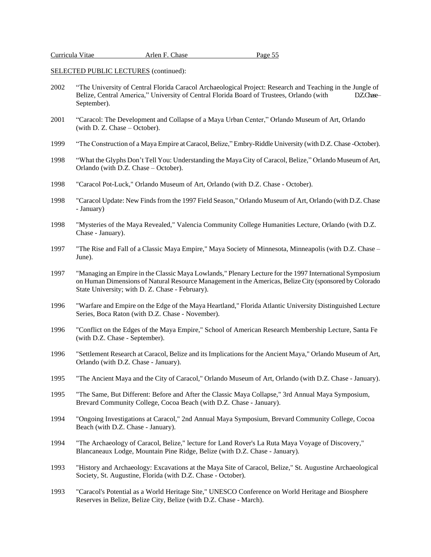| Curricula Vitae | Arlen F. Chase |
|-----------------|----------------|
|-----------------|----------------|

2002 "The University of Central Florida Caracol Archaeological Project: Research and Teaching in the Jungle of Belize, Central America," University of Central Florida Board of Trustees, Orlando (with DZChase-September).

Page 55

- 2001 "Caracol: The Development and Collapse of a Maya Urban Center," Orlando Museum of Art, Orlando (with D. Z. Chase – October).
- 1999 "The Construction of a Maya Empire at Caracol,Belize," Embry-Riddle University (with D.Z. Chase -October).
- 1998 "What the Glyphs Don't Tell You: Understanding the Maya City of Caracol, Belize," Orlando Museum of Art, Orlando (with D.Z. Chase – October).
- 1998 "Caracol Pot-Luck," Orlando Museum of Art, Orlando (with D.Z. Chase October).
- 1998 "Caracol Update: New Finds from the 1997 Field Season," Orlando Museum of Art, Orlando (with D.Z. Chase - January)
- 1998 "Mysteries of the Maya Revealed," Valencia Community College Humanities Lecture, Orlando (with D.Z. Chase - January).
- 1997 "The Rise and Fall of a Classic Maya Empire," Maya Society of Minnesota, Minneapolis (with D.Z. Chase June).
- 1997 "Managing an Empire in the Classic Maya Lowlands," Plenary Lecture for the 1997 International Symposium on Human Dimensions of Natural Resource Management in the Americas, Belize City (sponsored by Colorado State University; with D. Z. Chase - February).
- 1996 "Warfare and Empire on the Edge of the Maya Heartland," Florida Atlantic University Distinguished Lecture Series, Boca Raton (with D.Z. Chase - November).
- 1996 "Conflict on the Edges of the Maya Empire," School of American Research Membership Lecture, Santa Fe (with D.Z. Chase - September).
- 1996 "Settlement Research at Caracol, Belize and its Implications for the Ancient Maya," Orlando Museum of Art, Orlando (with D.Z. Chase - January).
- 1995 "The Ancient Maya and the City of Caracol," Orlando Museum of Art, Orlando (with D.Z. Chase January).
- 1995 "The Same, But Different: Before and After the Classic Maya Collapse," 3rd Annual Maya Symposium, Brevard Community College, Cocoa Beach (with D.Z. Chase - January).
- 1994 "Ongoing Investigations at Caracol," 2nd Annual Maya Symposium, Brevard Community College, Cocoa Beach (with D.Z. Chase - January).
- 1994 "The Archaeology of Caracol, Belize," lecture for Land Rover's La Ruta Maya Voyage of Discovery," Blancaneaux Lodge, Mountain Pine Ridge, Belize (with D.Z. Chase - January).
- 1993 "History and Archaeology: Excavations at the Maya Site of Caracol, Belize," St. Augustine Archaeological Society, St. Augustine, Florida (with D.Z. Chase - October).
- 1993 "Caracol's Potential as a World Heritage Site," UNESCO Conference on World Heritage and Biosphere Reserves in Belize, Belize City, Belize (with D.Z. Chase - March).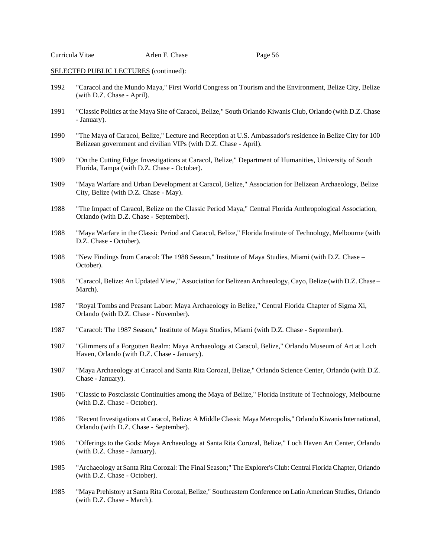| Curricula Vitae | Arlen F. Chase | Page 56 |
|-----------------|----------------|---------|
|-----------------|----------------|---------|

- 1992 "Caracol and the Mundo Maya," First World Congress on Tourism and the Environment, Belize City, Belize (with D.Z. Chase - April).
- 1991 "Classic Politics at the Maya Site of Caracol, Belize," South Orlando Kiwanis Club, Orlando (with D.Z. Chase - January).
- 1990 "The Maya of Caracol, Belize," Lecture and Reception at U.S. Ambassador's residence in Belize City for 100 Belizean government and civilian VIPs (with D.Z. Chase - April).
- 1989 "On the Cutting Edge: Investigations at Caracol, Belize," Department of Humanities, University of South Florida, Tampa (with D.Z. Chase - October).
- 1989 "Maya Warfare and Urban Development at Caracol, Belize," Association for Belizean Archaeology, Belize City, Belize (with D.Z. Chase - May).
- 1988 "The Impact of Caracol, Belize on the Classic Period Maya," Central Florida Anthropological Association, Orlando (with D.Z. Chase - September).
- 1988 "Maya Warfare in the Classic Period and Caracol, Belize," Florida Institute of Technology, Melbourne (with D.Z. Chase - October).
- 1988 "New Findings from Caracol: The 1988 Season," Institute of Maya Studies, Miami (with D.Z. Chase October).
- 1988 "Caracol, Belize: An Updated View," Association for Belizean Archaeology, Cayo, Belize (with D.Z. Chase March).
- 1987 "Royal Tombs and Peasant Labor: Maya Archaeology in Belize," Central Florida Chapter of Sigma Xi, Orlando (with D.Z. Chase - November).
- 1987 "Caracol: The 1987 Season," Institute of Maya Studies, Miami (with D.Z. Chase September).
- 1987 "Glimmers of a Forgotten Realm: Maya Archaeology at Caracol, Belize," Orlando Museum of Art at Loch Haven, Orlando (with D.Z. Chase - January).
- 1987 "Maya Archaeology at Caracol and Santa Rita Corozal, Belize," Orlando Science Center, Orlando (with D.Z. Chase - January).
- 1986 "Classic to Postclassic Continuities among the Maya of Belize," Florida Institute of Technology, Melbourne (with D.Z. Chase - October).
- 1986 "Recent Investigations at Caracol, Belize: A Middle Classic Maya Metropolis," Orlando Kiwanis International, Orlando (with D.Z. Chase - September).
- 1986 "Offerings to the Gods: Maya Archaeology at Santa Rita Corozal, Belize," Loch Haven Art Center, Orlando (with D.Z. Chase - January).
- 1985 "Archaeology at Santa Rita Corozal: The Final Season;" The Explorer'sClub: Central Florida Chapter, Orlando (with D.Z. Chase - October).
- 1985 "Maya Prehistory at Santa Rita Corozal, Belize," Southeastern Conference on Latin American Studies, Orlando (with D.Z. Chase - March).